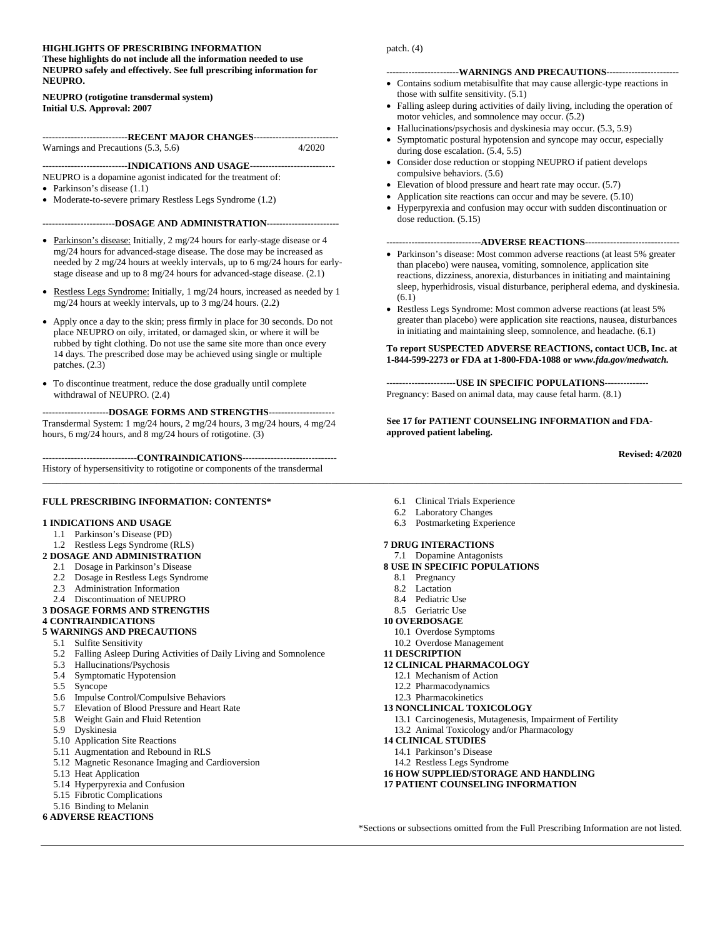#### **HIGHLIGHTS OF PRESCRIBING INFORMATION These highlights do not include all the information needed to use NEUPRO safely and effectively. See full prescribing information for NEUPRO.**

#### **NEUPRO (rotigotine transdermal system) Initial U.S. Approval: 2007**

**--------------------------RECENT MAJOR CHANGES----------------------------------**<br>ngs and Precautions (5.3, 5.6) 4/2020 Warnings and Precautions  $(5.3, 5.6)$ 

**---------------------------INDICATIONS AND USAGE---------------------------** NEUPRO is a dopamine agonist indicated for the treatment of:

- Parkinson's disease  $(1.1)$
- Moderate-to-severe primary Restless Legs Syndrome  $(1.2)$

#### **-----------------------DOSAGE AND ADMINISTRATION-----------------------**

- Parkinson's disease: Initially, 2 mg/24 hours for early-stage disease or 4 mg/24 hours for advanced-stage disease. The dose may be increased as needed by 2 mg/24 hours at weekly intervals, up to 6 mg/24 hours for earlystage disease and up to 8 mg/24 hours for advanced-stage disease. (2.1)
- Restless Legs Syndrome: Initially, 1 mg/24 hours, increased as needed by 1 mg/24 hours at weekly intervals, up to 3 mg/24 hours. (2.2)
- Apply once a day to the skin; press firmly in place for 30 seconds. Do not place NEUPRO on oily, irritated, or damaged skin, or where it will be rubbed by tight clothing. Do not use the same site more than once every 14 days. The prescribed dose may be achieved using single or multiple patches. (2.3)
- To discontinue treatment, reduce the dose gradually until complete withdrawal of NEUPRO. (2.4)

**---------------------DOSAGE FORMS AND STRENGTHS---------------------** Transdermal System: 1 mg/24 hours, 2 mg/24 hours, 3 mg/24 hours, 4 mg/24 hours, 6 mg/24 hours, and 8 mg/24 hours of rotigotine. (3)

**------------------------------CONTRAINDICATIONS------------------------------** History of hypersensitivity to rotigotine or components of the transdermal

#### **FULL PRESCRIBING INFORMATION: CONTENTS\***

#### **1 INDICATIONS AND USAGE**

- 1.1 Parkinson's Disease (PD)
- 1.2 Restless Legs Syndrome (RLS)
- **2 DOSAGE AND ADMINISTRATION**
- 2.1 Dosage in Parkinson's Disease
- 2.2 Dosage in Restless Legs Syndrome
- 2.3 Administration Information
- 2.4 Discontinuation of NEUPRO

#### **3 DOSAGE FORMS AND STRENGTHS**

**4 CONTRAINDICATIONS**

#### **5 WARNINGS AND PRECAUTIONS**

- 5.1 Sulfite Sensitivity
- 5.2 Falling Asleep During Activities of Daily Living and Somnolence
- 5.3 Hallucinations/Psychosis
- 5.4 Symptomatic Hypotension
- 5.5 Syncope
- 5.6 Impulse Control/Compulsive Behaviors
- 5.7 Elevation of Blood Pressure and Heart Rate
- 5.8 Weight Gain and Fluid Retention
- 5.9 Dyskinesia
- 5.10 Application Site Reactions
- 5.11 Augmentation and Rebound in RLS
- 5.12 Magnetic Resonance Imaging and Cardioversion
- 5.13 Heat Application
- 5.14 Hyperpyrexia and Confusion
- 5.15 Fibrotic Complications
- 5.16 Binding to Melanin

#### **6 ADVERSE REACTIONS**

- 6.1 Clinical Trials Experience
- 6.2 Laboratory Changes
- 6.3 Postmarketing Experience

#### **7 DRUG INTERACTIONS**

- 7.1 Dopamine Antagonists
- **8 USE IN SPECIFIC POPULATIONS**
- 8.1 Pregnancy

*\_\_\_\_\_\_\_\_\_\_\_\_\_\_\_\_\_\_\_\_\_\_\_\_\_\_\_\_\_\_\_\_\_\_\_\_\_\_\_\_\_\_\_\_\_\_\_\_\_\_\_\_\_\_\_\_\_\_\_\_\_\_\_\_\_\_\_\_\_\_\_\_\_\_\_\_\_\_\_\_\_\_\_\_\_\_\_\_\_\_\_\_\_\_\_\_\_\_\_\_\_\_\_\_\_\_\_\_\_\_\_\_\_\_\_\_\_\_\_\_\_\_\_\_\_\_\_\_\_\_\_\_\_\_\_*

- 8.2 Lactation
- 8.4 Pediatric Use
- 8.5 Geriatric Use
- **10 OVERDOSAGE**
	- 10.1 Overdose Symptoms
	- 10.2 Overdose Management
- **11 DESCRIPTION**
- **12 CLINICAL PHARMACOLOGY**
- 12.1 Mechanism of Action
- 12.2 Pharmacodynamics
- 12.3 Pharmacokinetics

#### **13 NONCLINICAL TOXICOLOGY**

- 13.1 Carcinogenesis, Mutagenesis, Impairment of Fertility
- 13.2 Animal Toxicology and/or Pharmacology
- **14 CLINICAL STUDIES**
	- 14.1 Parkinson's Disease
	- 14.2 Restless Legs Syndrome
- **16 HOW SUPPLIED/STORAGE AND HANDLING**
- **17 PATIENT COUNSELING INFORMATION**

\*Sections or subsections omitted from the Full Prescribing Information are not listed.

#### **-----------------------WARNINGS AND PRECAUTIONS-----------------------**

patch. (4)

- Contains sodium metabisulfite that may cause allergic-type reactions in those with sulfite sensitivity. (5.1)
- Falling asleep during activities of daily living, including the operation of motor vehicles, and somnolence may occur. (5.2)
- Hallucinations/psychosis and dyskinesia may occur. (5.3, 5.9)
- Symptomatic postural hypotension and syncope may occur, especially during dose escalation. (5.4, 5.5)
- Consider dose reduction or stopping NEUPRO if patient develops compulsive behaviors. (5.6)
- Elevation of blood pressure and heart rate may occur. (5.7)
- Application site reactions can occur and may be severe. (5.10)
- Hyperpyrexia and confusion may occur with sudden discontinuation or dose reduction. (5.15)

#### **------------------------------ADVERSE REACTIONS------------------------------**

- Parkinson's disease: Most common adverse reactions (at least 5% greater than placebo) were nausea, vomiting, somnolence, application site reactions, dizziness, anorexia, disturbances in initiating and maintaining sleep, hyperhidrosis, visual disturbance, peripheral edema, and dyskinesia. (6.1)
- Restless Legs Syndrome: Most common adverse reactions (at least 5% greater than placebo) were application site reactions, nausea, disturbances in initiating and maintaining sleep, somnolence, and headache. (6.1)

#### **To report SUSPECTED ADVERSE REACTIONS, contact UCB, Inc. at 1-844-599-2273 or FDA at 1-800-FDA-1088 or** *www.fda.gov/medwatch.*

**----------------------USE IN SPECIFIC POPULATIONS--------------** Pregnancy: Based on animal data, may cause fetal harm. (8.1)

#### **See 17 for PATIENT COUNSELING INFORMATION and FDAapproved patient labeling.**

**Revised: 4/2020**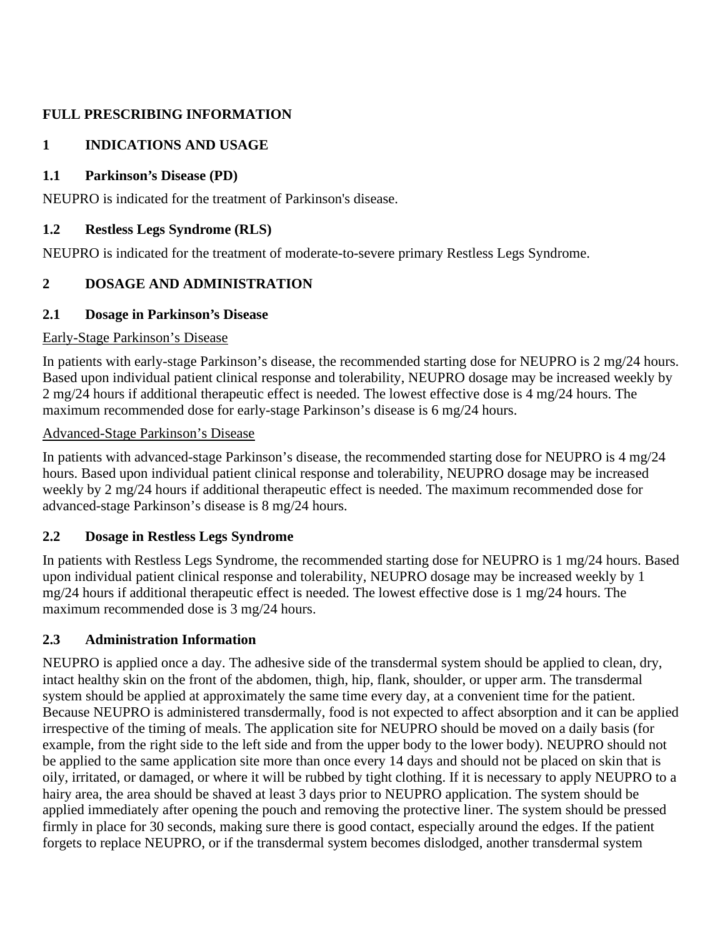# **FULL PRESCRIBING INFORMATION**

# **1 INDICATIONS AND USAGE**

# **1.1 Parkinson's Disease (PD)**

NEUPRO is indicated for the treatment of Parkinson's disease.

# **1.2 Restless Legs Syndrome (RLS)**

NEUPRO is indicated for the treatment of moderate-to-severe primary Restless Legs Syndrome.

# **2 DOSAGE AND ADMINISTRATION**

# **2.1 Dosage in Parkinson's Disease**

## Early-Stage Parkinson's Disease

In patients with early-stage Parkinson's disease, the recommended starting dose for NEUPRO is 2 mg/24 hours. Based upon individual patient clinical response and tolerability, NEUPRO dosage may be increased weekly by 2 mg/24 hours if additional therapeutic effect is needed. The lowest effective dose is 4 mg/24 hours. The maximum recommended dose for early-stage Parkinson's disease is 6 mg/24 hours.

## Advanced-Stage Parkinson's Disease

In patients with advanced-stage Parkinson's disease, the recommended starting dose for NEUPRO is 4 mg/24 hours. Based upon individual patient clinical response and tolerability, NEUPRO dosage may be increased weekly by 2 mg/24 hours if additional therapeutic effect is needed. The maximum recommended dose for advanced-stage Parkinson's disease is 8 mg/24 hours.

# **2.2 Dosage in Restless Legs Syndrome**

In patients with Restless Legs Syndrome, the recommended starting dose for NEUPRO is 1 mg/24 hours. Based upon individual patient clinical response and tolerability, NEUPRO dosage may be increased weekly by 1 mg/24 hours if additional therapeutic effect is needed. The lowest effective dose is 1 mg/24 hours. The maximum recommended dose is 3 mg/24 hours.

# **2.3 Administration Information**

NEUPRO is applied once a day. The adhesive side of the transdermal system should be applied to clean, dry, intact healthy skin on the front of the abdomen, thigh, hip, flank, shoulder, or upper arm. The transdermal system should be applied at approximately the same time every day, at a convenient time for the patient. Because NEUPRO is administered transdermally, food is not expected to affect absorption and it can be applied irrespective of the timing of meals. The application site for NEUPRO should be moved on a daily basis (for example, from the right side to the left side and from the upper body to the lower body). NEUPRO should not be applied to the same application site more than once every 14 days and should not be placed on skin that is oily, irritated, or damaged, or where it will be rubbed by tight clothing. If it is necessary to apply NEUPRO to a hairy area, the area should be shaved at least 3 days prior to NEUPRO application. The system should be applied immediately after opening the pouch and removing the protective liner. The system should be pressed firmly in place for 30 seconds, making sure there is good contact, especially around the edges. If the patient forgets to replace NEUPRO, or if the transdermal system becomes dislodged, another transdermal system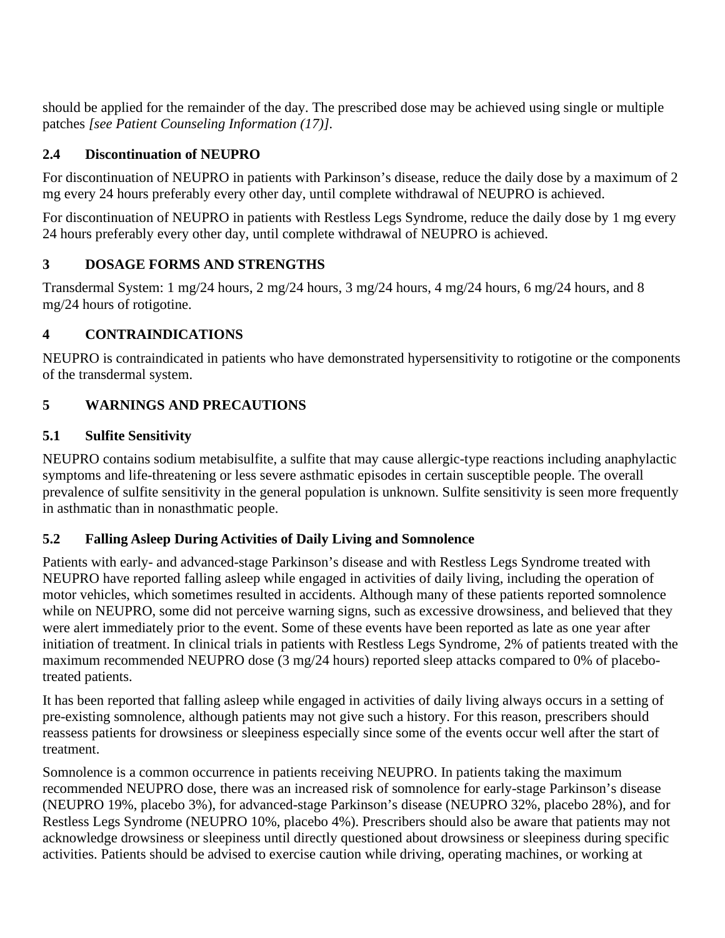should be applied for the remainder of the day. The prescribed dose may be achieved using single or multiple patches *[see Patient Counseling Information (17)].*

# **2.4 Discontinuation of NEUPRO**

For discontinuation of NEUPRO in patients with Parkinson's disease, reduce the daily dose by a maximum of 2 mg every 24 hours preferably every other day, until complete withdrawal of NEUPRO is achieved.

For discontinuation of NEUPRO in patients with Restless Legs Syndrome, reduce the daily dose by 1 mg every 24 hours preferably every other day, until complete withdrawal of NEUPRO is achieved.

# **3 DOSAGE FORMS AND STRENGTHS**

Transdermal System: 1 mg/24 hours, 2 mg/24 hours, 3 mg/24 hours, 4 mg/24 hours, 6 mg/24 hours, and 8 mg/24 hours of rotigotine.

# **4 CONTRAINDICATIONS**

NEUPRO is contraindicated in patients who have demonstrated hypersensitivity to rotigotine or the components of the transdermal system.

# **5 WARNINGS AND PRECAUTIONS**

# **5.1 Sulfite Sensitivity**

NEUPRO contains sodium metabisulfite, a sulfite that may cause allergic-type reactions including anaphylactic symptoms and life-threatening or less severe asthmatic episodes in certain susceptible people. The overall prevalence of sulfite sensitivity in the general population is unknown. Sulfite sensitivity is seen more frequently in asthmatic than in nonasthmatic people.

# **5.2 Falling Asleep During Activities of Daily Living and Somnolence**

Patients with early- and advanced-stage Parkinson's disease and with Restless Legs Syndrome treated with NEUPRO have reported falling asleep while engaged in activities of daily living, including the operation of motor vehicles, which sometimes resulted in accidents. Although many of these patients reported somnolence while on NEUPRO, some did not perceive warning signs, such as excessive drowsiness, and believed that they were alert immediately prior to the event. Some of these events have been reported as late as one year after initiation of treatment. In clinical trials in patients with Restless Legs Syndrome, 2% of patients treated with the maximum recommended NEUPRO dose (3 mg/24 hours) reported sleep attacks compared to 0% of placebotreated patients.

It has been reported that falling asleep while engaged in activities of daily living always occurs in a setting of pre-existing somnolence, although patients may not give such a history. For this reason, prescribers should reassess patients for drowsiness or sleepiness especially since some of the events occur well after the start of treatment.

Somnolence is a common occurrence in patients receiving NEUPRO. In patients taking the maximum recommended NEUPRO dose, there was an increased risk of somnolence for early-stage Parkinson's disease (NEUPRO 19%, placebo 3%), for advanced-stage Parkinson's disease (NEUPRO 32%, placebo 28%), and for Restless Legs Syndrome (NEUPRO 10%, placebo 4%). Prescribers should also be aware that patients may not acknowledge drowsiness or sleepiness until directly questioned about drowsiness or sleepiness during specific activities. Patients should be advised to exercise caution while driving, operating machines, or working at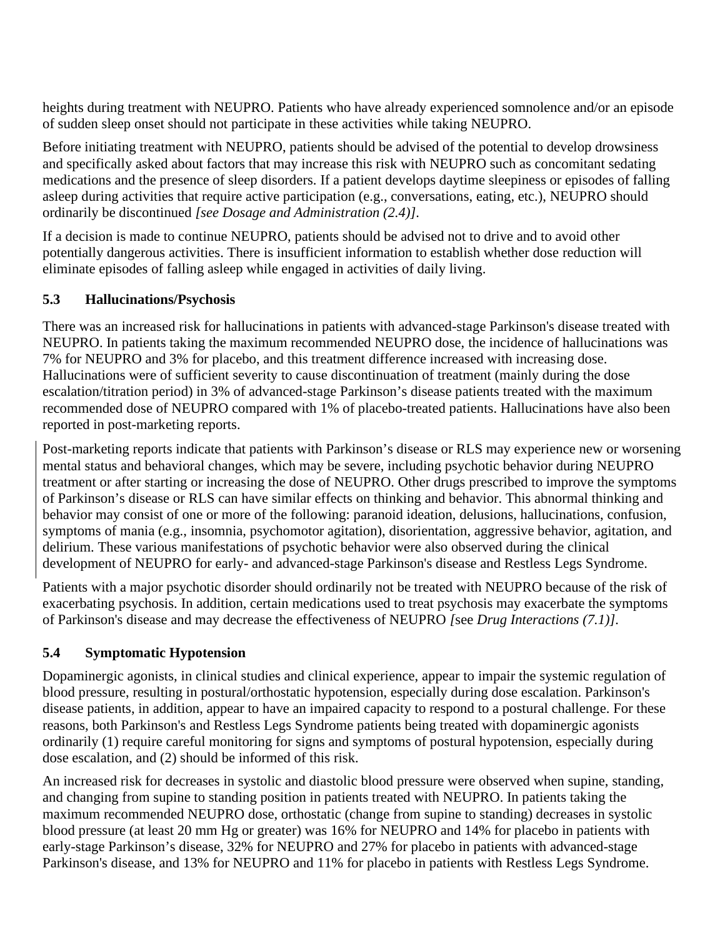heights during treatment with NEUPRO. Patients who have already experienced somnolence and/or an episode of sudden sleep onset should not participate in these activities while taking NEUPRO.

Before initiating treatment with NEUPRO, patients should be advised of the potential to develop drowsiness and specifically asked about factors that may increase this risk with NEUPRO such as concomitant sedating medications and the presence of sleep disorders. If a patient develops daytime sleepiness or episodes of falling asleep during activities that require active participation (e.g., conversations, eating, etc.), NEUPRO should ordinarily be discontinued *[see Dosage and Administration (2.4)]*.

If a decision is made to continue NEUPRO, patients should be advised not to drive and to avoid other potentially dangerous activities. There is insufficient information to establish whether dose reduction will eliminate episodes of falling asleep while engaged in activities of daily living.

# **5.3 Hallucinations/Psychosis**

There was an increased risk for hallucinations in patients with advanced-stage Parkinson's disease treated with NEUPRO. In patients taking the maximum recommended NEUPRO dose, the incidence of hallucinations was 7% for NEUPRO and 3% for placebo, and this treatment difference increased with increasing dose. Hallucinations were of sufficient severity to cause discontinuation of treatment (mainly during the dose escalation/titration period) in 3% of advanced-stage Parkinson's disease patients treated with the maximum recommended dose of NEUPRO compared with 1% of placebo-treated patients. Hallucinations have also been reported in post-marketing reports.

Post-marketing reports indicate that patients with Parkinson's disease or RLS may experience new or worsening mental status and behavioral changes, which may be severe, including psychotic behavior during NEUPRO treatment or after starting or increasing the dose of NEUPRO. Other drugs prescribed to improve the symptoms of Parkinson's disease or RLS can have similar effects on thinking and behavior. This abnormal thinking and behavior may consist of one or more of the following: paranoid ideation, delusions, hallucinations, confusion, symptoms of mania (e.g., insomnia, psychomotor agitation), disorientation, aggressive behavior, agitation, and delirium. These various manifestations of psychotic behavior were also observed during the clinical development of NEUPRO for early- and advanced-stage Parkinson's disease and Restless Legs Syndrome.

Patients with a major psychotic disorder should ordinarily not be treated with NEUPRO because of the risk of exacerbating psychosis. In addition, certain medications used to treat psychosis may exacerbate the symptoms of Parkinson's disease and may decrease the effectiveness of NEUPRO *[*see *Drug Interactions (7.1)].*

# **5.4 Symptomatic Hypotension**

Dopaminergic agonists, in clinical studies and clinical experience, appear to impair the systemic regulation of blood pressure, resulting in postural/orthostatic hypotension, especially during dose escalation. Parkinson's disease patients, in addition, appear to have an impaired capacity to respond to a postural challenge. For these reasons, both Parkinson's and Restless Legs Syndrome patients being treated with dopaminergic agonists ordinarily (1) require careful monitoring for signs and symptoms of postural hypotension, especially during dose escalation, and (2) should be informed of this risk.

An increased risk for decreases in systolic and diastolic blood pressure were observed when supine, standing, and changing from supine to standing position in patients treated with NEUPRO. In patients taking the maximum recommended NEUPRO dose, orthostatic (change from supine to standing) decreases in systolic blood pressure (at least 20 mm Hg or greater) was 16% for NEUPRO and 14% for placebo in patients with early-stage Parkinson's disease, 32% for NEUPRO and 27% for placebo in patients with advanced-stage Parkinson's disease, and 13% for NEUPRO and 11% for placebo in patients with Restless Legs Syndrome.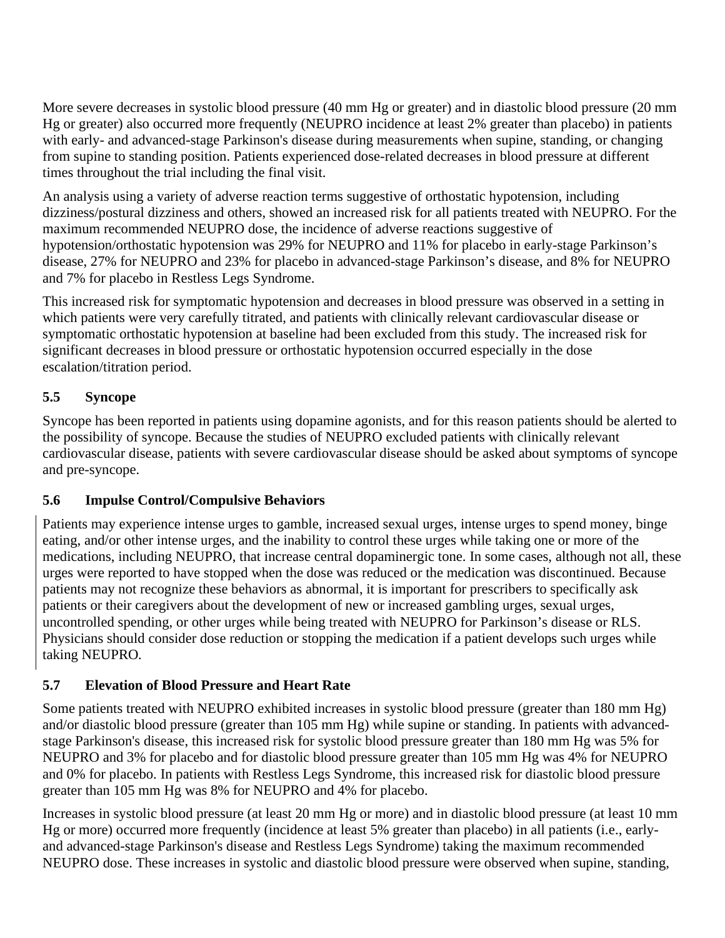More severe decreases in systolic blood pressure (40 mm Hg or greater) and in diastolic blood pressure (20 mm Hg or greater) also occurred more frequently (NEUPRO incidence at least 2% greater than placebo) in patients with early- and advanced-stage Parkinson's disease during measurements when supine, standing, or changing from supine to standing position. Patients experienced dose-related decreases in blood pressure at different times throughout the trial including the final visit.

An analysis using a variety of adverse reaction terms suggestive of orthostatic hypotension, including dizziness/postural dizziness and others, showed an increased risk for all patients treated with NEUPRO. For the maximum recommended NEUPRO dose, the incidence of adverse reactions suggestive of hypotension/orthostatic hypotension was 29% for NEUPRO and 11% for placebo in early-stage Parkinson's disease, 27% for NEUPRO and 23% for placebo in advanced-stage Parkinson's disease, and 8% for NEUPRO and 7% for placebo in Restless Legs Syndrome.

This increased risk for symptomatic hypotension and decreases in blood pressure was observed in a setting in which patients were very carefully titrated, and patients with clinically relevant cardiovascular disease or symptomatic orthostatic hypotension at baseline had been excluded from this study. The increased risk for significant decreases in blood pressure or orthostatic hypotension occurred especially in the dose escalation/titration period.

# **5.5 Syncope**

Syncope has been reported in patients using dopamine agonists, and for this reason patients should be alerted to the possibility of syncope. Because the studies of NEUPRO excluded patients with clinically relevant cardiovascular disease, patients with severe cardiovascular disease should be asked about symptoms of syncope and pre-syncope.

# **5.6 Impulse Control/Compulsive Behaviors**

Patients may experience intense urges to gamble, increased sexual urges, intense urges to spend money, binge eating, and/or other intense urges, and the inability to control these urges while taking one or more of the medications, including NEUPRO, that increase central dopaminergic tone. In some cases, although not all, these urges were reported to have stopped when the dose was reduced or the medication was discontinued. Because patients may not recognize these behaviors as abnormal, it is important for prescribers to specifically ask patients or their caregivers about the development of new or increased gambling urges, sexual urges, uncontrolled spending, or other urges while being treated with NEUPRO for Parkinson's disease or RLS. Physicians should consider dose reduction or stopping the medication if a patient develops such urges while taking NEUPRO*.*

# **5.7 Elevation of Blood Pressure and Heart Rate**

Some patients treated with NEUPRO exhibited increases in systolic blood pressure (greater than 180 mm Hg) and/or diastolic blood pressure (greater than 105 mm Hg) while supine or standing. In patients with advancedstage Parkinson's disease, this increased risk for systolic blood pressure greater than 180 mm Hg was 5% for NEUPRO and 3% for placebo and for diastolic blood pressure greater than 105 mm Hg was 4% for NEUPRO and 0% for placebo. In patients with Restless Legs Syndrome, this increased risk for diastolic blood pressure greater than 105 mm Hg was 8% for NEUPRO and 4% for placebo.

Increases in systolic blood pressure (at least 20 mm Hg or more) and in diastolic blood pressure (at least 10 mm Hg or more) occurred more frequently (incidence at least 5% greater than placebo) in all patients (i.e., earlyand advanced-stage Parkinson's disease and Restless Legs Syndrome) taking the maximum recommended NEUPRO dose. These increases in systolic and diastolic blood pressure were observed when supine, standing,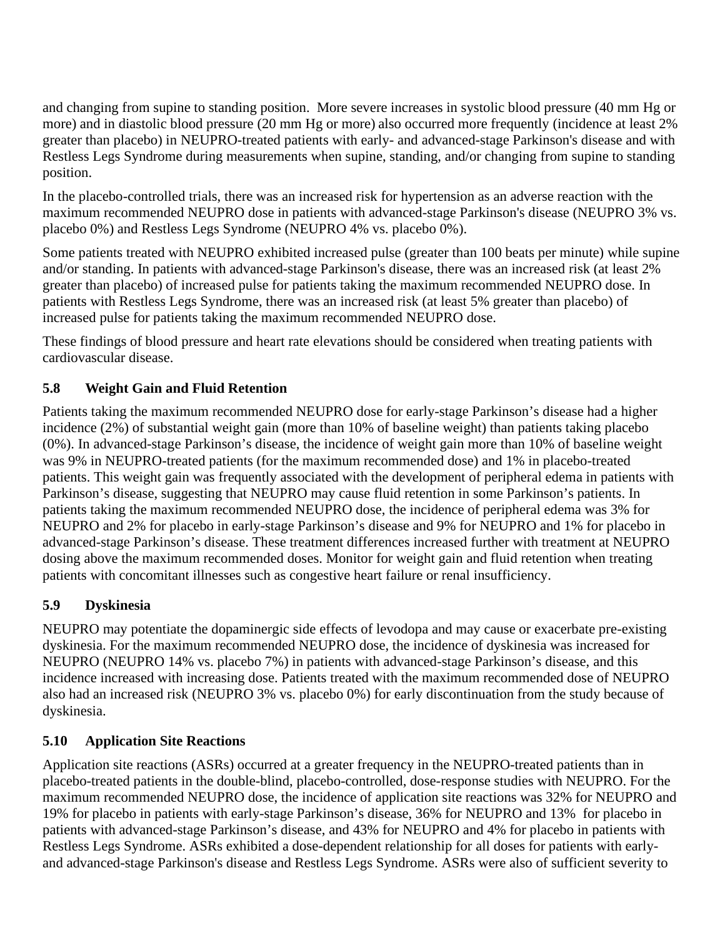and changing from supine to standing position. More severe increases in systolic blood pressure (40 mm Hg or more) and in diastolic blood pressure (20 mm Hg or more) also occurred more frequently (incidence at least 2% greater than placebo) in NEUPRO-treated patients with early- and advanced-stage Parkinson's disease and with Restless Legs Syndrome during measurements when supine, standing, and/or changing from supine to standing position.

In the placebo-controlled trials, there was an increased risk for hypertension as an adverse reaction with the maximum recommended NEUPRO dose in patients with advanced-stage Parkinson's disease (NEUPRO 3% vs. placebo 0%) and Restless Legs Syndrome (NEUPRO 4% vs. placebo 0%).

Some patients treated with NEUPRO exhibited increased pulse (greater than 100 beats per minute) while supine and/or standing. In patients with advanced-stage Parkinson's disease, there was an increased risk (at least 2% greater than placebo) of increased pulse for patients taking the maximum recommended NEUPRO dose. In patients with Restless Legs Syndrome, there was an increased risk (at least 5% greater than placebo) of increased pulse for patients taking the maximum recommended NEUPRO dose.

These findings of blood pressure and heart rate elevations should be considered when treating patients with cardiovascular disease.

# **5.8 Weight Gain and Fluid Retention**

Patients taking the maximum recommended NEUPRO dose for early-stage Parkinson's disease had a higher incidence (2%) of substantial weight gain (more than 10% of baseline weight) than patients taking placebo (0%). In advanced-stage Parkinson's disease, the incidence of weight gain more than 10% of baseline weight was 9% in NEUPRO-treated patients (for the maximum recommended dose) and 1% in placebo-treated patients. This weight gain was frequently associated with the development of peripheral edema in patients with Parkinson's disease, suggesting that NEUPRO may cause fluid retention in some Parkinson's patients. In patients taking the maximum recommended NEUPRO dose, the incidence of peripheral edema was 3% for NEUPRO and 2% for placebo in early-stage Parkinson's disease and 9% for NEUPRO and 1% for placebo in advanced-stage Parkinson's disease. These treatment differences increased further with treatment at NEUPRO dosing above the maximum recommended doses. Monitor for weight gain and fluid retention when treating patients with concomitant illnesses such as congestive heart failure or renal insufficiency.

# **5.9 Dyskinesia**

NEUPRO may potentiate the dopaminergic side effects of levodopa and may cause or exacerbate pre-existing dyskinesia. For the maximum recommended NEUPRO dose, the incidence of dyskinesia was increased for NEUPRO (NEUPRO 14% vs. placebo 7%) in patients with advanced-stage Parkinson's disease, and this incidence increased with increasing dose. Patients treated with the maximum recommended dose of NEUPRO also had an increased risk (NEUPRO 3% vs. placebo 0%) for early discontinuation from the study because of dyskinesia.

# **5.10 Application Site Reactions**

Application site reactions (ASRs) occurred at a greater frequency in the NEUPRO-treated patients than in placebo-treated patients in the double-blind, placebo-controlled, dose-response studies with NEUPRO. For the maximum recommended NEUPRO dose, the incidence of application site reactions was 32% for NEUPRO and 19% for placebo in patients with early-stage Parkinson's disease, 36% for NEUPRO and 13% for placebo in patients with advanced-stage Parkinson's disease, and 43% for NEUPRO and 4% for placebo in patients with Restless Legs Syndrome. ASRs exhibited a dose-dependent relationship for all doses for patients with earlyand advanced-stage Parkinson's disease and Restless Legs Syndrome. ASRs were also of sufficient severity to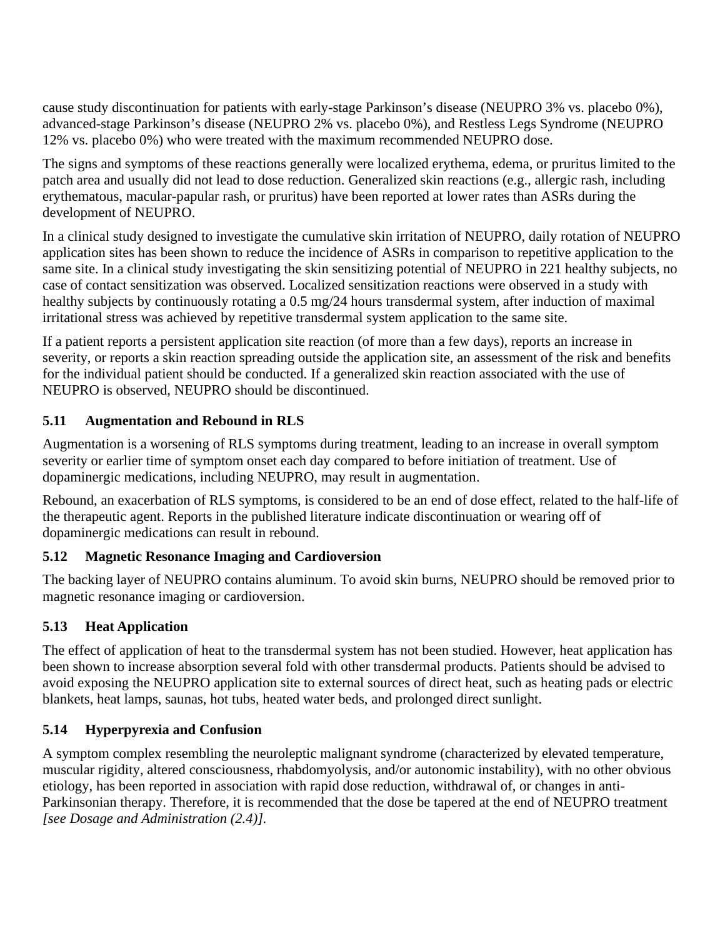cause study discontinuation for patients with early-stage Parkinson's disease (NEUPRO 3% vs. placebo 0%), advanced-stage Parkinson's disease (NEUPRO 2% vs. placebo 0%), and Restless Legs Syndrome (NEUPRO 12% vs. placebo 0%) who were treated with the maximum recommended NEUPRO dose.

The signs and symptoms of these reactions generally were localized erythema, edema, or pruritus limited to the patch area and usually did not lead to dose reduction. Generalized skin reactions (e.g., allergic rash, including erythematous, macular-papular rash, or pruritus) have been reported at lower rates than ASRs during the development of NEUPRO.

In a clinical study designed to investigate the cumulative skin irritation of NEUPRO, daily rotation of NEUPRO application sites has been shown to reduce the incidence of ASRs in comparison to repetitive application to the same site. In a clinical study investigating the skin sensitizing potential of NEUPRO in 221 healthy subjects, no case of contact sensitization was observed. Localized sensitization reactions were observed in a study with healthy subjects by continuously rotating a 0.5 mg/24 hours transdermal system, after induction of maximal irritational stress was achieved by repetitive transdermal system application to the same site.

If a patient reports a persistent application site reaction (of more than a few days), reports an increase in severity, or reports a skin reaction spreading outside the application site, an assessment of the risk and benefits for the individual patient should be conducted. If a generalized skin reaction associated with the use of NEUPRO is observed, NEUPRO should be discontinued.

# **5.11 Augmentation and Rebound in RLS**

Augmentation is a worsening of RLS symptoms during treatment, leading to an increase in overall symptom severity or earlier time of symptom onset each day compared to before initiation of treatment. Use of dopaminergic medications, including NEUPRO, may result in augmentation.

Rebound, an exacerbation of RLS symptoms, is considered to be an end of dose effect, related to the half-life of the therapeutic agent. Reports in the published literature indicate discontinuation or wearing off of dopaminergic medications can result in rebound.

# **5.12 Magnetic Resonance Imaging and Cardioversion**

The backing layer of NEUPRO contains aluminum. To avoid skin burns, NEUPRO should be removed prior to magnetic resonance imaging or cardioversion.

# **5.13 Heat Application**

The effect of application of heat to the transdermal system has not been studied. However, heat application has been shown to increase absorption several fold with other transdermal products. Patients should be advised to avoid exposing the NEUPRO application site to external sources of direct heat, such as heating pads or electric blankets, heat lamps, saunas, hot tubs, heated water beds, and prolonged direct sunlight.

# **5.14 Hyperpyrexia and Confusion**

A symptom complex resembling the neuroleptic malignant syndrome (characterized by elevated temperature, muscular rigidity, altered consciousness, rhabdomyolysis, and/or autonomic instability), with no other obvious etiology, has been reported in association with rapid dose reduction, withdrawal of, or changes in anti-Parkinsonian therapy. Therefore, it is recommended that the dose be tapered at the end of NEUPRO treatment *[see Dosage and Administration (2.4)].*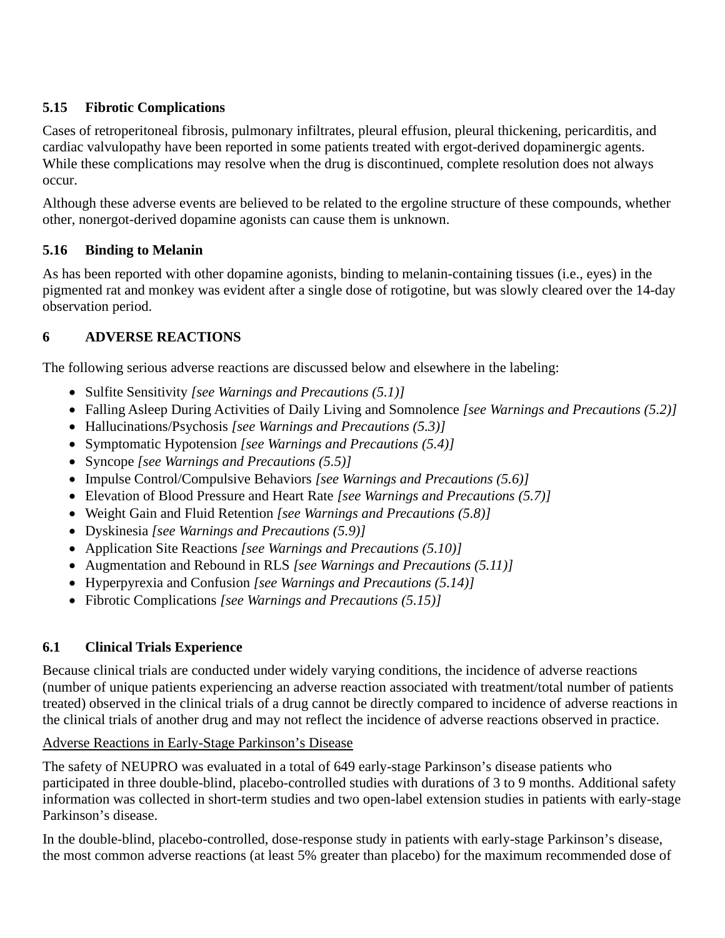# **5.15 Fibrotic Complications**

Cases of retroperitoneal fibrosis, pulmonary infiltrates, pleural effusion, pleural thickening, pericarditis, and cardiac valvulopathy have been reported in some patients treated with ergot-derived dopaminergic agents. While these complications may resolve when the drug is discontinued, complete resolution does not always occur.

Although these adverse events are believed to be related to the ergoline structure of these compounds, whether other, nonergot-derived dopamine agonists can cause them is unknown.

# **5.16 Binding to Melanin**

As has been reported with other dopamine agonists, binding to melanin-containing tissues (i.e., eyes) in the pigmented rat and monkey was evident after a single dose of rotigotine, but was slowly cleared over the 14-day observation period.

# **6 ADVERSE REACTIONS**

The following serious adverse reactions are discussed below and elsewhere in the labeling:

- Sulfite Sensitivity *[see Warnings and Precautions (5.1)]*
- Falling Asleep During Activities of Daily Living and Somnolence *[see Warnings and Precautions (5.2)]*
- Hallucinations/Psychosis *[see Warnings and Precautions (5.3)]*
- Symptomatic Hypotension *[see Warnings and Precautions (5.4)]*
- Syncope *[see Warnings and Precautions (5.5)]*
- Impulse Control/Compulsive Behaviors *[see Warnings and Precautions (5.6)]*
- Elevation of Blood Pressure and Heart Rate *[see Warnings and Precautions (5.7)]*
- Weight Gain and Fluid Retention *[see Warnings and Precautions (5.8)]*
- Dyskinesia *[see Warnings and Precautions (5.9)]*
- Application Site Reactions *[see Warnings and Precautions (5.10)]*
- Augmentation and Rebound in RLS *[see Warnings and Precautions (5.11)]*
- Hyperpyrexia and Confusion *[see Warnings and Precautions (5.14)]*
- Fibrotic Complications *[see Warnings and Precautions (5.15)]*

# **6.1 Clinical Trials Experience**

Because clinical trials are conducted under widely varying conditions, the incidence of adverse reactions (number of unique patients experiencing an adverse reaction associated with treatment/total number of patients treated) observed in the clinical trials of a drug cannot be directly compared to incidence of adverse reactions in the clinical trials of another drug and may not reflect the incidence of adverse reactions observed in practice.

# Adverse Reactions in Early-Stage Parkinson's Disease

The safety of NEUPRO was evaluated in a total of 649 early-stage Parkinson's disease patients who participated in three double-blind, placebo-controlled studies with durations of 3 to 9 months. Additional safety information was collected in short-term studies and two open-label extension studies in patients with early-stage Parkinson's disease.

In the double-blind, placebo-controlled, dose-response study in patients with early-stage Parkinson's disease, the most common adverse reactions (at least 5% greater than placebo) for the maximum recommended dose of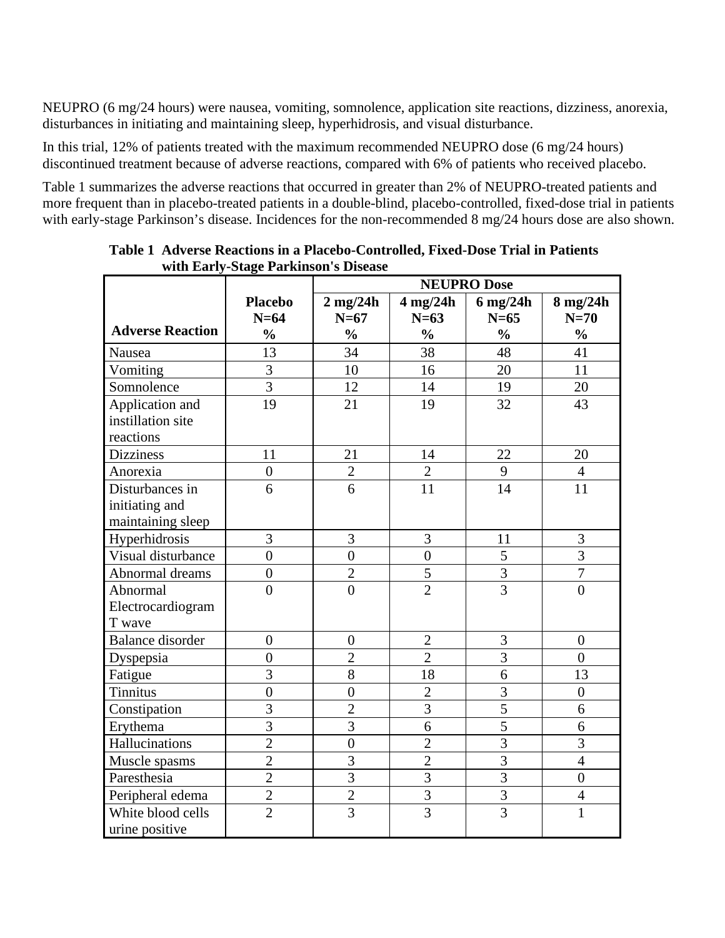NEUPRO (6 mg/24 hours) were nausea, vomiting, somnolence, application site reactions, dizziness, anorexia, disturbances in initiating and maintaining sleep, hyperhidrosis, and visual disturbance.

In this trial, 12% of patients treated with the maximum recommended NEUPRO dose (6 mg/24 hours) discontinued treatment because of adverse reactions, compared with 6% of patients who received placebo.

Table 1 summarizes the adverse reactions that occurred in greater than 2% of NEUPRO-treated patients and more frequent than in placebo-treated patients in a double-blind, placebo-controlled, fixed-dose trial in patients with early-stage Parkinson's disease. Incidences for the non-recommended 8 mg/24 hours dose are also shown.

|                         |                | <b>NEUPRO Dose</b> |                  |                |                |
|-------------------------|----------------|--------------------|------------------|----------------|----------------|
|                         | <b>Placebo</b> | $2$ mg/24h         | $4$ mg/24h       | $6$ mg/24h     | 8 mg/24h       |
|                         | $N=64$         | $N=67$             | $N=63$           | $N=65$         | $N=70$         |
| <b>Adverse Reaction</b> | $\frac{0}{0}$  | $\frac{0}{0}$      | $\frac{0}{0}$    | $\frac{0}{0}$  | $\frac{0}{0}$  |
| Nausea                  | 13             | 34                 | 38               | 48             | 41             |
| Vomiting                | 3              | 10                 | 16               | 20             | 11             |
| Somnolence              | $\overline{3}$ | 12                 | 14               | 19             | 20             |
| Application and         | 19             | 21                 | 19               | 32             | 43             |
| instillation site       |                |                    |                  |                |                |
| reactions               |                |                    |                  |                |                |
| <b>Dizziness</b>        | 11             | 21                 | 14               | 22             | 20             |
| Anorexia                | $\overline{0}$ | $\overline{2}$     | $\overline{2}$   | 9              | $\overline{4}$ |
| Disturbances in         | 6              | 6                  | 11               | 14             | 11             |
| initiating and          |                |                    |                  |                |                |
| maintaining sleep       |                |                    |                  |                |                |
| Hyperhidrosis           | $\overline{3}$ | 3                  | 3                | 11             | 3              |
| Visual disturbance      | $\overline{0}$ | $\overline{0}$     | $\boldsymbol{0}$ | 5              | $\overline{3}$ |
| Abnormal dreams         | $\overline{0}$ | $\overline{2}$     | 5                | $\overline{3}$ | $\overline{7}$ |
| Abnormal                | $\overline{0}$ | $\overline{0}$     | $\overline{2}$   | $\overline{3}$ | $\overline{0}$ |
| Electrocardiogram       |                |                    |                  |                |                |
| T wave                  |                |                    |                  |                |                |
| <b>Balance</b> disorder | $\overline{0}$ | $\overline{0}$     | $\overline{2}$   | 3              | $\overline{0}$ |
| Dyspepsia               | $\overline{0}$ | $\overline{2}$     | $\overline{2}$   | 3              | $\theta$       |
| Fatigue                 | 3              | $\overline{8}$     | 18               | 6              | 13             |
| <b>Tinnitus</b>         | $\overline{0}$ | $\overline{0}$     | $\overline{2}$   | 3              | $\overline{0}$ |
| Constipation            | $\overline{3}$ | $\overline{2}$     | $\overline{3}$   | $\overline{5}$ | 6              |
| Erythema                | $\overline{3}$ | $\overline{3}$     | 6                | $\overline{5}$ | 6              |
| Hallucinations          | $\overline{2}$ | $\boldsymbol{0}$   | $\overline{2}$   | 3              | 3              |
| Muscle spasms           | $\overline{2}$ | 3                  | $\overline{2}$   | $\overline{3}$ | $\overline{4}$ |
| Paresthesia             | $\overline{2}$ | $\overline{3}$     | $\overline{3}$   | $\overline{3}$ | $\overline{0}$ |
| Peripheral edema        | $\overline{2}$ | $\overline{2}$     | $\overline{3}$   | $\overline{3}$ | $\overline{4}$ |
| White blood cells       | $\overline{2}$ | $\overline{3}$     | $\overline{3}$   | $\overline{3}$ | $\mathbf{1}$   |
| urine positive          |                |                    |                  |                |                |

**Table 1 Adverse Reactions in a Placebo-Controlled, Fixed-Dose Trial in Patients with Early-Stage Parkinson's Disease**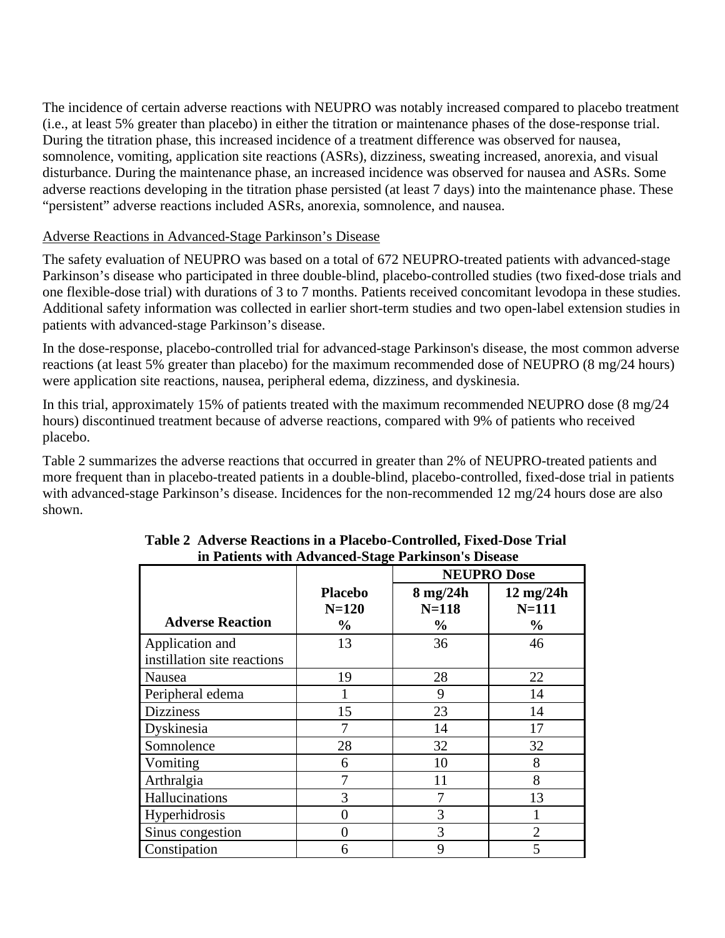The incidence of certain adverse reactions with NEUPRO was notably increased compared to placebo treatment (i.e., at least 5% greater than placebo) in either the titration or maintenance phases of the dose-response trial. During the titration phase, this increased incidence of a treatment difference was observed for nausea, somnolence, vomiting, application site reactions (ASRs), dizziness, sweating increased, anorexia, and visual disturbance. During the maintenance phase, an increased incidence was observed for nausea and ASRs. Some adverse reactions developing in the titration phase persisted (at least 7 days) into the maintenance phase. These "persistent" adverse reactions included ASRs, anorexia, somnolence, and nausea.

## Adverse Reactions in Advanced-Stage Parkinson's Disease

The safety evaluation of NEUPRO was based on a total of 672 NEUPRO-treated patients with advanced-stage Parkinson's disease who participated in three double-blind, placebo-controlled studies (two fixed-dose trials and one flexible-dose trial) with durations of 3 to 7 months. Patients received concomitant levodopa in these studies. Additional safety information was collected in earlier short-term studies and two open-label extension studies in patients with advanced-stage Parkinson's disease.

In the dose-response, placebo-controlled trial for advanced-stage Parkinson's disease, the most common adverse reactions (at least 5% greater than placebo) for the maximum recommended dose of NEUPRO (8 mg/24 hours) were application site reactions, nausea, peripheral edema, dizziness, and dyskinesia.

In this trial, approximately 15% of patients treated with the maximum recommended NEUPRO dose (8 mg/24 hours) discontinued treatment because of adverse reactions, compared with 9% of patients who received placebo.

Table 2 summarizes the adverse reactions that occurred in greater than 2% of NEUPRO-treated patients and more frequent than in placebo-treated patients in a double-blind, placebo-controlled, fixed-dose trial in patients with advanced-stage Parkinson's disease. Incidences for the non-recommended 12 mg/24 hours dose are also shown.

|                                                |                                   | <b>NEUPRO Dose</b>                     |                                                 |
|------------------------------------------------|-----------------------------------|----------------------------------------|-------------------------------------------------|
| <b>Adverse Reaction</b>                        | <b>Placebo</b><br>$N=120$<br>$\%$ | $8$ mg/24h<br>$N=118$<br>$\frac{6}{9}$ | $12 \text{ mg}/24h$<br>$N=111$<br>$\frac{6}{9}$ |
| Application and<br>instillation site reactions | 13                                | 36                                     | 46                                              |
| Nausea                                         | 19                                | 28                                     | 22                                              |
| Peripheral edema                               |                                   | 9                                      | 14                                              |
| <b>Dizziness</b>                               | 15                                | 23                                     | 14                                              |
| Dyskinesia                                     | 7                                 | 14                                     | 17                                              |
| Somnolence                                     | 28                                | 32                                     | 32                                              |
| Vomiting                                       | 6                                 | 10                                     | 8                                               |
| Arthralgia                                     | 7                                 | 11                                     | 8                                               |
| Hallucinations                                 | 3                                 | 7                                      | 13                                              |
| Hyperhidrosis                                  | 0                                 | 3                                      |                                                 |
| Sinus congestion                               | 0                                 | 3                                      | $\overline{2}$                                  |
| Constipation                                   | 6                                 | 9                                      | 5                                               |

#### **Table 2 Adverse Reactions in a Placebo-Controlled, Fixed-Dose Trial in Patients with Advanced-Stage Parkinson's Disease**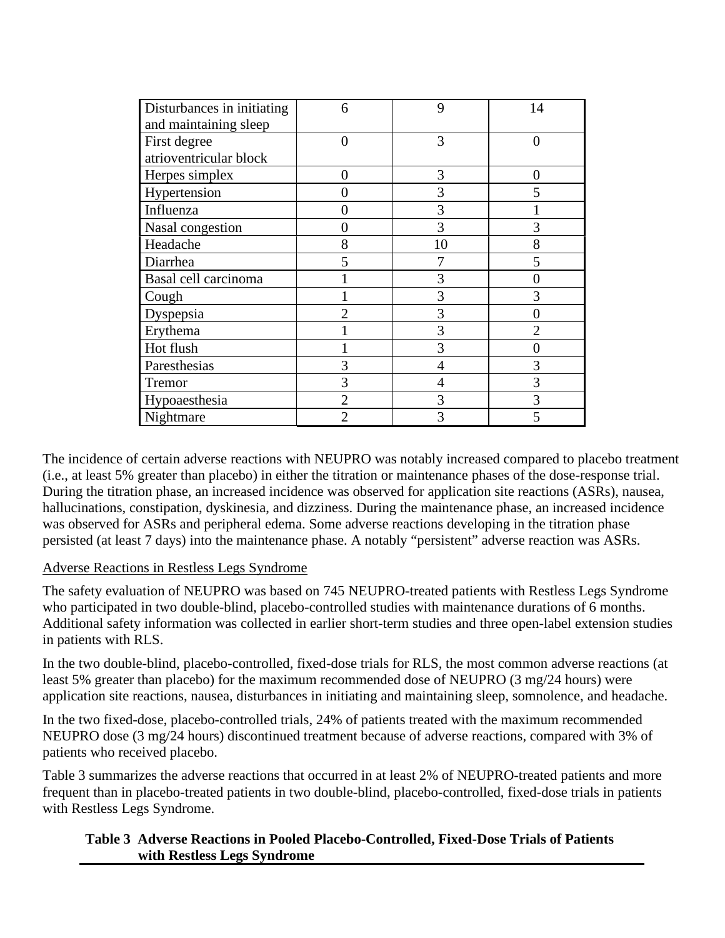| Disturbances in initiating<br>and maintaining sleep | 6              | 9  | 14                          |
|-----------------------------------------------------|----------------|----|-----------------------------|
| First degree                                        | 0              | 3  | 0                           |
| atrioventricular block                              |                |    |                             |
| Herpes simplex                                      | 0              | 3  | 0                           |
| Hypertension                                        | 0              | 3  | 5                           |
| Influenza                                           | 0              | 3  |                             |
| Nasal congestion                                    | 0              | 3  | 3                           |
| Headache                                            | 8              | 10 | 8                           |
| Diarrhea                                            | 5              |    | 5                           |
| Basal cell carcinoma                                |                | 3  |                             |
| Cough                                               |                | 3  | 3                           |
| Dyspepsia                                           | 2              | 3  |                             |
| Erythema                                            |                | 3  | $\mathcal{D}_{\mathcal{A}}$ |
| Hot flush                                           |                | 3  | 0                           |
| Paresthesias                                        | 3              | 4  | 3                           |
| Tremor                                              | 3              | 4  | 3                           |
| Hypoaesthesia                                       | $\overline{2}$ | 3  | 3                           |
| Nightmare                                           | 2              | 3  | 5                           |

The incidence of certain adverse reactions with NEUPRO was notably increased compared to placebo treatment (i.e., at least 5% greater than placebo) in either the titration or maintenance phases of the dose-response trial. During the titration phase, an increased incidence was observed for application site reactions (ASRs), nausea, hallucinations, constipation, dyskinesia, and dizziness. During the maintenance phase, an increased incidence was observed for ASRs and peripheral edema. Some adverse reactions developing in the titration phase persisted (at least 7 days) into the maintenance phase. A notably "persistent" adverse reaction was ASRs.

## Adverse Reactions in Restless Legs Syndrome

The safety evaluation of NEUPRO was based on 745 NEUPRO-treated patients with Restless Legs Syndrome who participated in two double-blind, placebo-controlled studies with maintenance durations of 6 months. Additional safety information was collected in earlier short-term studies and three open-label extension studies in patients with RLS.

In the two double-blind, placebo-controlled, fixed-dose trials for RLS, the most common adverse reactions (at least 5% greater than placebo) for the maximum recommended dose of NEUPRO (3 mg/24 hours) were application site reactions, nausea, disturbances in initiating and maintaining sleep, somnolence, and headache.

In the two fixed-dose, placebo-controlled trials, 24% of patients treated with the maximum recommended NEUPRO dose (3 mg/24 hours) discontinued treatment because of adverse reactions, compared with 3% of patients who received placebo.

Table 3 summarizes the adverse reactions that occurred in at least 2% of NEUPRO-treated patients and more frequent than in placebo-treated patients in two double-blind, placebo-controlled, fixed-dose trials in patients with Restless Legs Syndrome.

#### **Table 3 Adverse Reactions in Pooled Placebo-Controlled, Fixed-Dose Trials of Patients with Restless Legs Syndrome**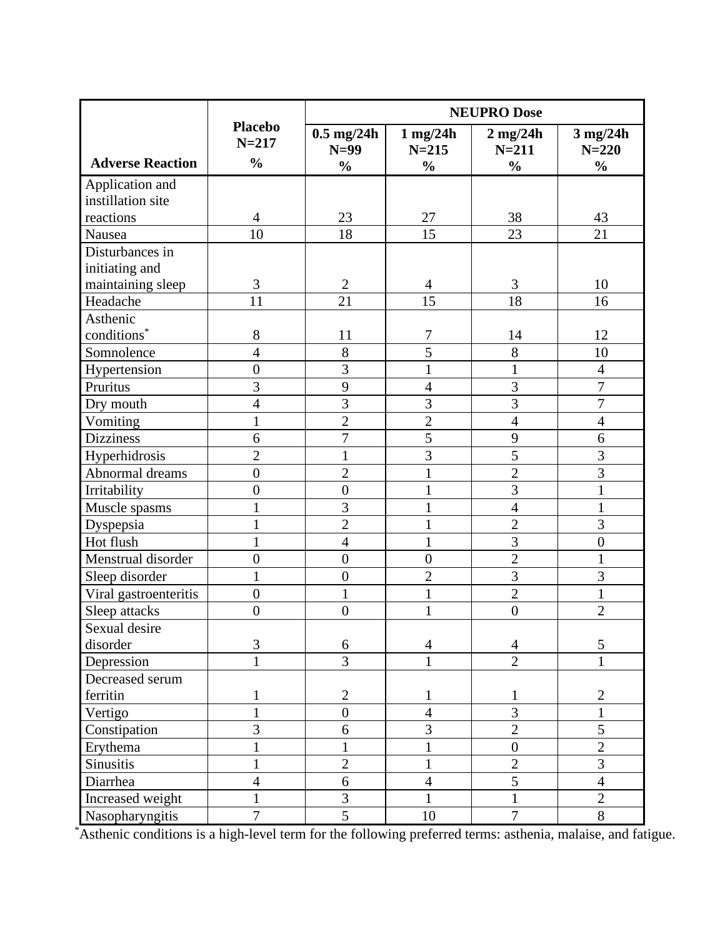|                         |                             | <b>NEUPRO Dose</b>     |                          |                         |                         |
|-------------------------|-----------------------------|------------------------|--------------------------|-------------------------|-------------------------|
|                         | <b>Placebo</b><br>$N = 217$ | $0.5$ mg/24h<br>$N=99$ | $1$ mg/24h<br>$N = 215$  | $2$ mg/24h<br>$N = 211$ | $3$ mg/24h<br>$N = 220$ |
| <b>Adverse Reaction</b> | $\frac{0}{0}$               | $\frac{0}{0}$          | $\frac{0}{0}$            | $\frac{0}{0}$           | $\frac{0}{0}$           |
| Application and         |                             |                        |                          |                         |                         |
| instillation site       |                             |                        |                          |                         |                         |
| reactions               | $\overline{4}$              | 23                     | 27                       | 38                      | 43                      |
| Nausea                  | 10                          | 18                     | 15                       | 23                      | 21                      |
| Disturbances in         |                             |                        |                          |                         |                         |
| initiating and          |                             |                        |                          |                         |                         |
| maintaining sleep       | 3                           | $\mathfrak{2}$         | 4                        | 3                       | 10                      |
| Headache                | 11                          | 21                     | 15                       | 18                      | 16                      |
| Asthenic                |                             |                        |                          |                         |                         |
| conditions <sup>*</sup> | 8                           | 11                     | 7                        | 14                      | 12                      |
| Somnolence              | $\overline{4}$              | 8                      | 5                        | 8                       | 10                      |
| Hypertension            | $\boldsymbol{0}$            | $\overline{3}$         | 1                        | $\mathbf{1}$            | $\overline{4}$          |
| Pruritus                | 3                           | 9                      | $\overline{4}$           | 3                       | $\overline{7}$          |
| Dry mouth               | $\overline{4}$              | $\overline{3}$         | 3                        | $\overline{3}$          | $\overline{7}$          |
| Vomiting                | $\mathbf{1}$                | $\overline{2}$         | $\overline{2}$           | $\overline{4}$          | $\overline{4}$          |
| <b>Dizziness</b>        | 6                           | $\overline{7}$         | 5                        | 9                       | 6                       |
| Hyperhidrosis           | $\overline{2}$              | $\mathbf{1}$           | $\overline{3}$           | 5                       | $\overline{3}$          |
| Abnormal dreams         | $\overline{0}$              | $\overline{c}$         | 1                        | $\overline{2}$          | 3                       |
| Irritability            | $\boldsymbol{0}$            | $\boldsymbol{0}$       | 1                        | 3                       | $\mathbf{1}$            |
| Muscle spasms           | $\mathbf{1}$                | $\overline{3}$         | $\mathbf{1}$             | $\overline{4}$          | $\mathbf{1}$            |
| Dyspepsia               | $\mathbf{1}$                | $\overline{2}$         | $\mathbf 1$              | $\overline{2}$          | 3                       |
| Hot flush               | 1                           | $\overline{4}$         | 1                        | 3                       | $\boldsymbol{0}$        |
| Menstrual disorder      | $\overline{0}$              | $\overline{0}$         | $\boldsymbol{0}$         | $\overline{2}$          | $\mathbf{1}$            |
| Sleep disorder          | $\mathbf{1}$                | $\boldsymbol{0}$       | $\overline{c}$           | $\overline{3}$          | 3                       |
| Viral gastroenteritis   | $\overline{0}$              | 1                      | 1                        | $\overline{2}$          | $\mathbf{1}$            |
| Sleep attacks           | $\overline{0}$              | $\boldsymbol{0}$       | $\mathbf 1$              | $\boldsymbol{0}$        | $\overline{2}$          |
| Sexual desire           |                             |                        |                          |                         |                         |
| disorder                | 3                           | 6                      | $\overline{4}$           | $\overline{4}$          | 5                       |
| Depression              | $\mathbf{1}$                | $\overline{3}$         | $\mathbf{1}$             | $\overline{2}$          | $\mathbf{1}$            |
| Decreased serum         |                             |                        |                          |                         |                         |
| ferritin                | 1                           | $\mathbf{2}$           | 1                        | $\mathbf{1}$            | $\mathfrak{2}$          |
| Vertigo                 | $\mathbf{1}$                | $\boldsymbol{0}$       | $\overline{4}$           | 3                       | $\mathbf{1}$            |
| Constipation            | 3                           | 6                      | 3                        | $\overline{2}$          | 5                       |
| Erythema                |                             | 1                      | $\mathbf{1}$             | $\boldsymbol{0}$        | $\overline{2}$          |
| <b>Sinusitis</b>        | $\mathbf{1}$                | $\overline{2}$         | $\mathbf 1$              | $\overline{2}$          | 3                       |
| Diarrhea                | $\overline{4}$              | 6                      | $\overline{\mathcal{L}}$ | 5                       | $\overline{4}$          |
| Increased weight        | $\mathbf{1}$                | 3                      | $\mathbf{1}$             | $\mathbf{1}$            | $\overline{2}$          |
| Nasopharyngitis         | $\overline{7}$              | $\overline{5}$         | 10                       | $\overline{7}$          | 8                       |

\* Asthenic conditions is a high-level term for the following preferred terms: asthenia, malaise, and fatigue.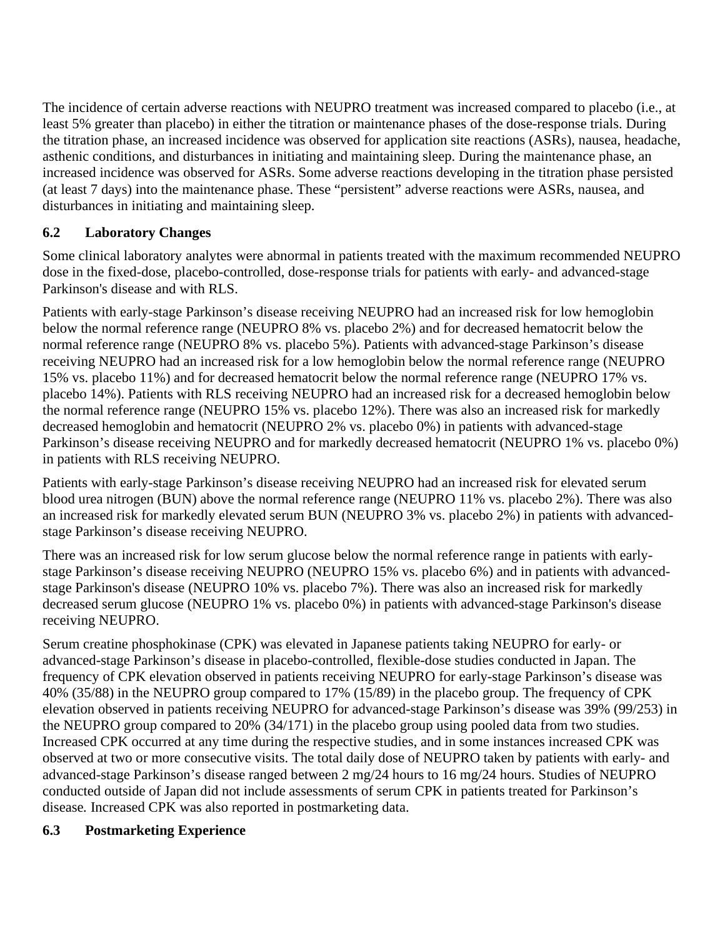The incidence of certain adverse reactions with NEUPRO treatment was increased compared to placebo (i.e., at least 5% greater than placebo) in either the titration or maintenance phases of the dose-response trials. During the titration phase, an increased incidence was observed for application site reactions (ASRs), nausea, headache, asthenic conditions, and disturbances in initiating and maintaining sleep. During the maintenance phase, an increased incidence was observed for ASRs. Some adverse reactions developing in the titration phase persisted (at least 7 days) into the maintenance phase. These "persistent" adverse reactions were ASRs, nausea, and disturbances in initiating and maintaining sleep.

# **6.2 Laboratory Changes**

Some clinical laboratory analytes were abnormal in patients treated with the maximum recommended NEUPRO dose in the fixed-dose, placebo-controlled, dose-response trials for patients with early- and advanced-stage Parkinson's disease and with RLS.

Patients with early-stage Parkinson's disease receiving NEUPRO had an increased risk for low hemoglobin below the normal reference range (NEUPRO 8% vs. placebo 2%) and for decreased hematocrit below the normal reference range (NEUPRO 8% vs. placebo 5%). Patients with advanced-stage Parkinson's disease receiving NEUPRO had an increased risk for a low hemoglobin below the normal reference range (NEUPRO 15% vs. placebo 11%) and for decreased hematocrit below the normal reference range (NEUPRO 17% vs. placebo 14%). Patients with RLS receiving NEUPRO had an increased risk for a decreased hemoglobin below the normal reference range (NEUPRO 15% vs. placebo 12%). There was also an increased risk for markedly decreased hemoglobin and hematocrit (NEUPRO 2% vs. placebo 0%) in patients with advanced-stage Parkinson's disease receiving NEUPRO and for markedly decreased hematocrit (NEUPRO 1% vs. placebo 0%) in patients with RLS receiving NEUPRO.

Patients with early-stage Parkinson's disease receiving NEUPRO had an increased risk for elevated serum blood urea nitrogen (BUN) above the normal reference range (NEUPRO 11% vs. placebo 2%). There was also an increased risk for markedly elevated serum BUN (NEUPRO 3% vs. placebo 2%) in patients with advancedstage Parkinson's disease receiving NEUPRO.

There was an increased risk for low serum glucose below the normal reference range in patients with earlystage Parkinson's disease receiving NEUPRO (NEUPRO 15% vs. placebo 6%) and in patients with advancedstage Parkinson's disease (NEUPRO 10% vs. placebo 7%). There was also an increased risk for markedly decreased serum glucose (NEUPRO 1% vs. placebo 0%) in patients with advanced-stage Parkinson's disease receiving NEUPRO.

Serum creatine phosphokinase (CPK) was elevated in Japanese patients taking NEUPRO for early- or advanced-stage Parkinson's disease in placebo-controlled, flexible-dose studies conducted in Japan. The frequency of CPK elevation observed in patients receiving NEUPRO for early-stage Parkinson's disease was 40% (35/88) in the NEUPRO group compared to 17% (15/89) in the placebo group. The frequency of CPK elevation observed in patients receiving NEUPRO for advanced-stage Parkinson's disease was 39% (99/253) in the NEUPRO group compared to 20% (34/171) in the placebo group using pooled data from two studies. Increased CPK occurred at any time during the respective studies, and in some instances increased CPK was observed at two or more consecutive visits. The total daily dose of NEUPRO taken by patients with early- and advanced-stage Parkinson's disease ranged between 2 mg/24 hours to 16 mg/24 hours. Studies of NEUPRO conducted outside of Japan did not include assessments of serum CPK in patients treated for Parkinson's disease*.* Increased CPK was also reported in postmarketing data.

# **6.3 Postmarketing Experience**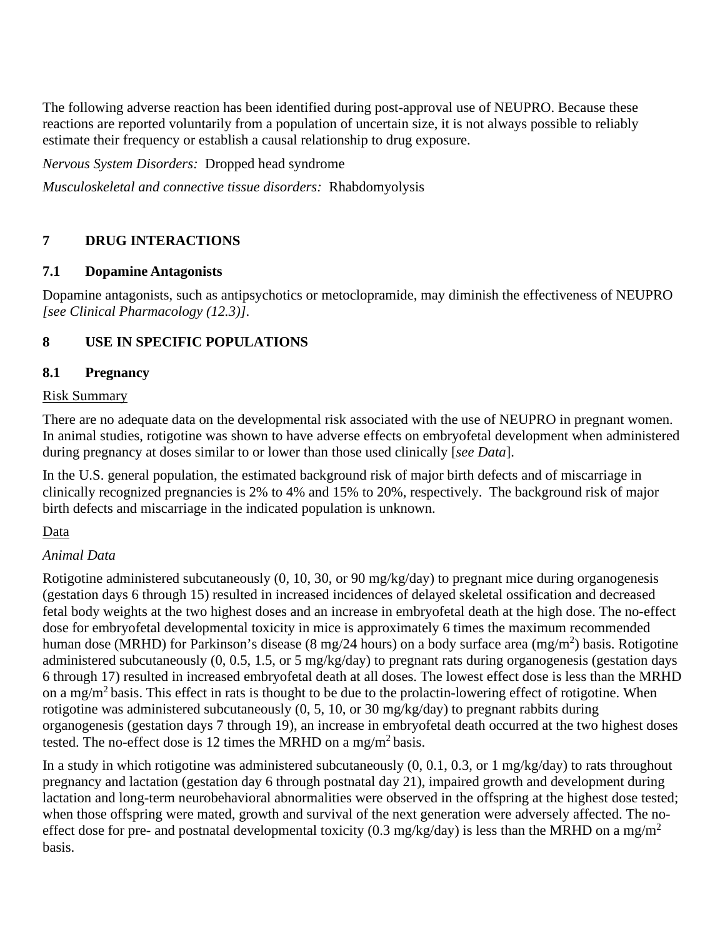The following adverse reaction has been identified during post-approval use of NEUPRO. Because these reactions are reported voluntarily from a population of uncertain size, it is not always possible to reliably estimate their frequency or establish a causal relationship to drug exposure.

*Nervous System Disorders:* Dropped head syndrome

*Musculoskeletal and connective tissue disorders:* Rhabdomyolysis

# **7 DRUG INTERACTIONS**

## **7.1 Dopamine Antagonists**

Dopamine antagonists, such as antipsychotics or metoclopramide, may diminish the effectiveness of NEUPRO *[see Clinical Pharmacology (12.3)]*.

# **8 USE IN SPECIFIC POPULATIONS**

## **8.1 Pregnancy**

## Risk Summary

There are no adequate data on the developmental risk associated with the use of NEUPRO in pregnant women. In animal studies, rotigotine was shown to have adverse effects on embryofetal development when administered during pregnancy at doses similar to or lower than those used clinically [*see Data*].

In the U.S. general population, the estimated background risk of major birth defects and of miscarriage in clinically recognized pregnancies is 2% to 4% and 15% to 20%, respectively. The background risk of major birth defects and miscarriage in the indicated population is unknown.

## Data

## *Animal Data*

Rotigotine administered subcutaneously (0, 10, 30, or 90 mg/kg/day) to pregnant mice during organogenesis (gestation days 6 through 15) resulted in increased incidences of delayed skeletal ossification and decreased fetal body weights at the two highest doses and an increase in embryofetal death at the high dose. The no-effect dose for embryofetal developmental toxicity in mice is approximately 6 times the maximum recommended human dose (MRHD) for Parkinson's disease (8 mg/24 hours) on a body surface area (mg/m<sup>2</sup>) basis. Rotigotine administered subcutaneously (0, 0.5, 1.5, or 5 mg/kg/day) to pregnant rats during organogenesis (gestation days 6 through 17) resulted in increased embryofetal death at all doses. The lowest effect dose is less than the MRHD on a mg/m2 basis. This effect in rats is thought to be due to the prolactin-lowering effect of rotigotine. When rotigotine was administered subcutaneously (0, 5, 10, or 30 mg/kg/day) to pregnant rabbits during organogenesis (gestation days 7 through 19), an increase in embryofetal death occurred at the two highest doses tested. The no-effect dose is 12 times the MRHD on a mg/m<sup>2</sup> basis.

In a study in which rotigotine was administered subcutaneously (0, 0.1, 0.3, or 1 mg/kg/day) to rats throughout pregnancy and lactation (gestation day 6 through postnatal day 21), impaired growth and development during lactation and long-term neurobehavioral abnormalities were observed in the offspring at the highest dose tested; when those offspring were mated, growth and survival of the next generation were adversely affected. The noeffect dose for pre- and postnatal developmental toxicity (0.3 mg/kg/day) is less than the MRHD on a mg/m<sup>2</sup> basis.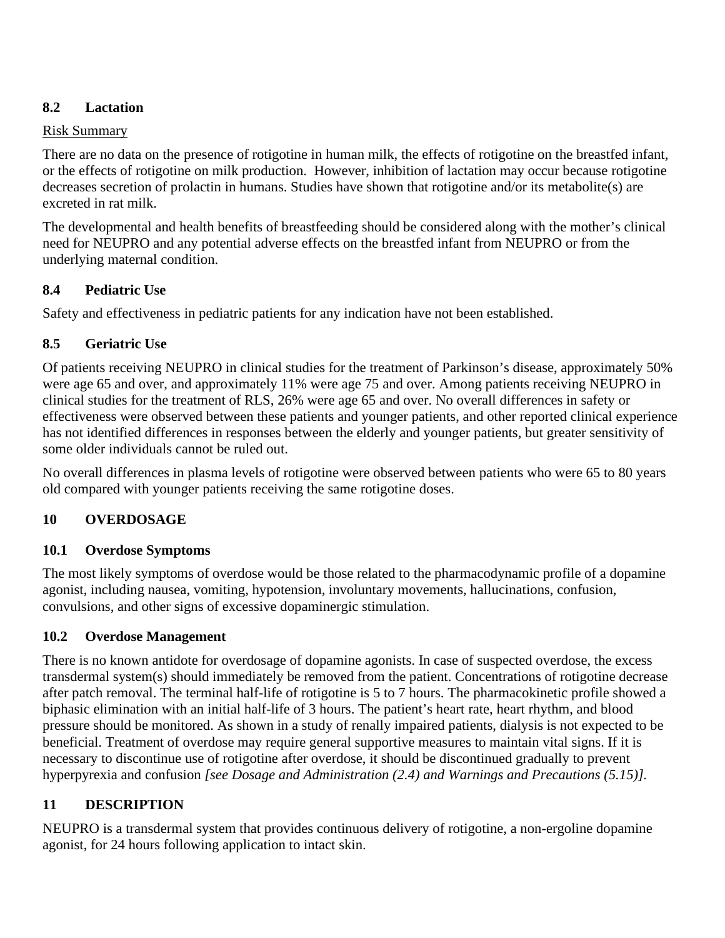# **8.2 Lactation**

## Risk Summary

There are no data on the presence of rotigotine in human milk, the effects of rotigotine on the breastfed infant, or the effects of rotigotine on milk production. However, inhibition of lactation may occur because rotigotine decreases secretion of prolactin in humans. Studies have shown that rotigotine and/or its metabolite(s) are excreted in rat milk.

The developmental and health benefits of breastfeeding should be considered along with the mother's clinical need for NEUPRO and any potential adverse effects on the breastfed infant from NEUPRO or from the underlying maternal condition.

## **8.4 Pediatric Use**

Safety and effectiveness in pediatric patients for any indication have not been established.

# **8.5 Geriatric Use**

Of patients receiving NEUPRO in clinical studies for the treatment of Parkinson's disease, approximately 50% were age 65 and over, and approximately 11% were age 75 and over. Among patients receiving NEUPRO in clinical studies for the treatment of RLS, 26% were age 65 and over. No overall differences in safety or effectiveness were observed between these patients and younger patients, and other reported clinical experience has not identified differences in responses between the elderly and younger patients, but greater sensitivity of some older individuals cannot be ruled out.

No overall differences in plasma levels of rotigotine were observed between patients who were 65 to 80 years old compared with younger patients receiving the same rotigotine doses.

# **10 OVERDOSAGE**

# **10.1 Overdose Symptoms**

The most likely symptoms of overdose would be those related to the pharmacodynamic profile of a dopamine agonist, including nausea, vomiting, hypotension, involuntary movements, hallucinations, confusion, convulsions, and other signs of excessive dopaminergic stimulation.

# **10.2 Overdose Management**

There is no known antidote for overdosage of dopamine agonists. In case of suspected overdose, the excess transdermal system(s) should immediately be removed from the patient. Concentrations of rotigotine decrease after patch removal. The terminal half-life of rotigotine is 5 to 7 hours. The pharmacokinetic profile showed a biphasic elimination with an initial half-life of 3 hours. The patient's heart rate, heart rhythm, and blood pressure should be monitored. As shown in a study of renally impaired patients, dialysis is not expected to be beneficial. Treatment of overdose may require general supportive measures to maintain vital signs. If it is necessary to discontinue use of rotigotine after overdose, it should be discontinued gradually to prevent hyperpyrexia and confusion *[see Dosage and Administration (2.4) and Warnings and Precautions (5.15)].*

# **11 DESCRIPTION**

NEUPRO is a transdermal system that provides continuous delivery of rotigotine, a non-ergoline dopamine agonist, for 24 hours following application to intact skin.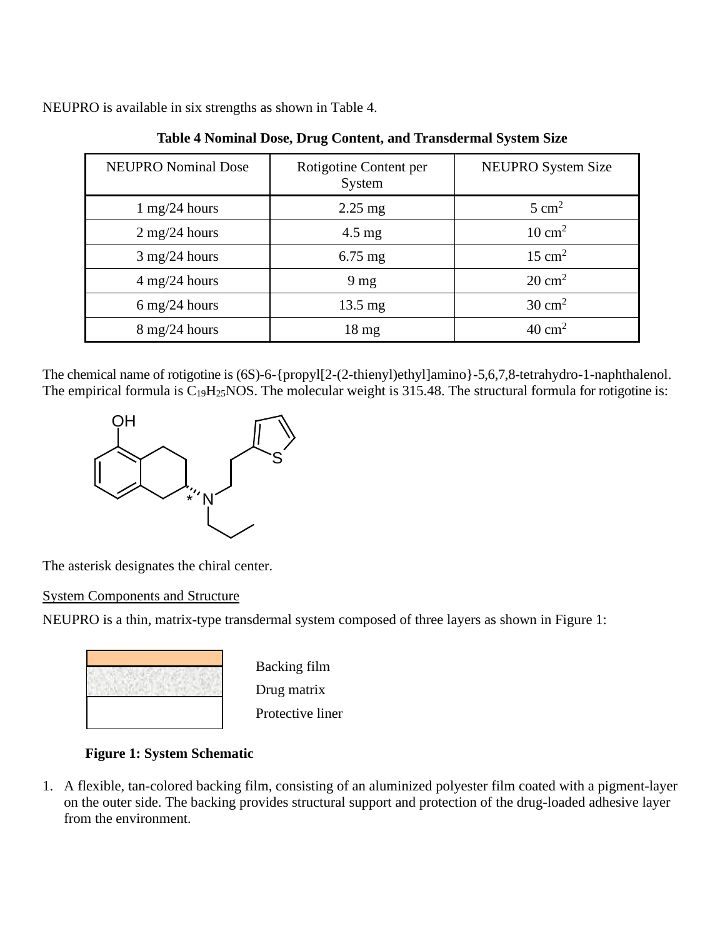NEUPRO is available in six strengths as shown in Table 4.

| <b>NEUPRO Nominal Dose</b>      | Rotigotine Content per<br>System | NEUPRO System Size |
|---------------------------------|----------------------------------|--------------------|
| $1 \text{ mg}/24 \text{ hours}$ | $2.25$ mg                        | $5 \text{ cm}^2$   |
| $2 \text{ mg}/24 \text{ hours}$ | $4.5 \text{ mg}$                 | $10 \text{ cm}^2$  |
| $3 \text{ mg}/24 \text{ hours}$ | $6.75$ mg                        | $15 \text{ cm}^2$  |
| $4 \text{ mg}/24 \text{ hours}$ | 9 <sub>mg</sub>                  | $20 \text{ cm}^2$  |
| $6 \text{ mg}/24 \text{ hours}$ | $13.5 \text{ mg}$                | $30 \text{ cm}^2$  |
| $8 \text{ mg}/24 \text{ hours}$ | $18 \text{ mg}$                  | $40 \text{ cm}^2$  |

**Table 4 Nominal Dose, Drug Content, and Transdermal System Size**

The chemical name of rotigotine is (6S)-6-{propyl[2-(2-thienyl)ethyl]amino}-5,6,7,8-tetrahydro-1-naphthalenol. The empirical formula is  $C_{19}H_{25}NOS$ . The molecular weight is 315.48. The structural formula for rotigotine is:



The asterisk designates the chiral center.

## System Components and Structure

NEUPRO is a thin, matrix-type transdermal system composed of three layers as shown in Figure 1:



Backing film Drug matrix Protective liner

# **Figure 1: System Schematic**

1. A flexible, tan-colored backing film, consisting of an aluminized polyester film coated with a pigment-layer on the outer side. The backing provides structural support and protection of the drug-loaded adhesive layer from the environment.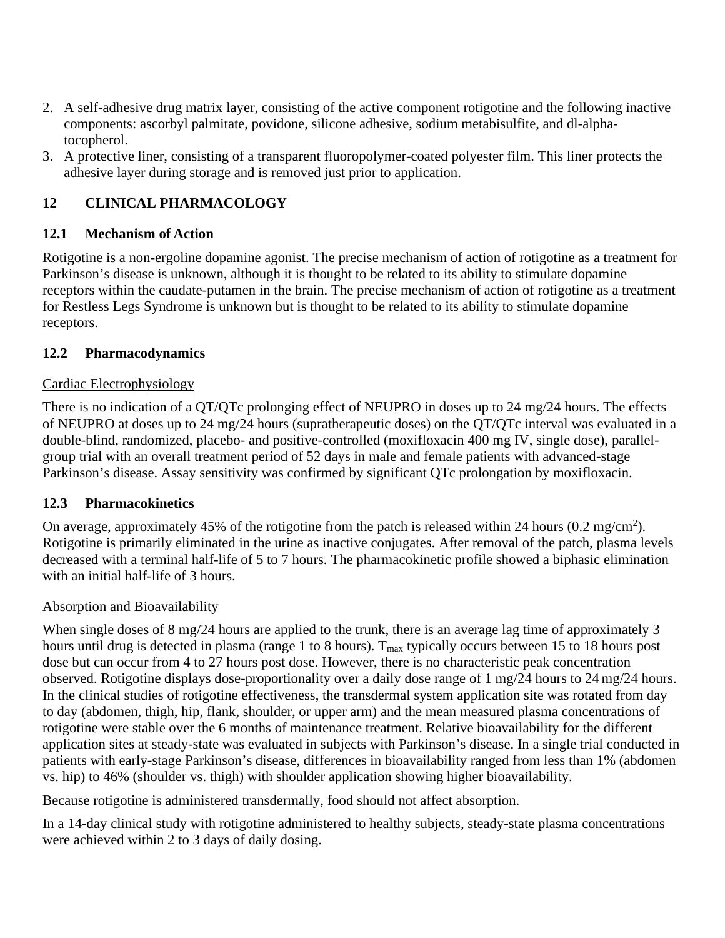- 2. A self-adhesive drug matrix layer, consisting of the active component rotigotine and the following inactive components: ascorbyl palmitate, povidone, silicone adhesive, sodium metabisulfite, and dl-alphatocopherol.
- 3. A protective liner, consisting of a transparent fluoropolymer-coated polyester film. This liner protects the adhesive layer during storage and is removed just prior to application.

# **12 CLINICAL PHARMACOLOGY**

# **12.1 Mechanism of Action**

Rotigotine is a non-ergoline dopamine agonist. The precise mechanism of action of rotigotine as a treatment for Parkinson's disease is unknown, although it is thought to be related to its ability to stimulate dopamine receptors within the caudate-putamen in the brain. The precise mechanism of action of rotigotine as a treatment for Restless Legs Syndrome is unknown but is thought to be related to its ability to stimulate dopamine receptors.

# **12.2 Pharmacodynamics**

# Cardiac Electrophysiology

There is no indication of a QT/QTc prolonging effect of NEUPRO in doses up to 24 mg/24 hours. The effects of NEUPRO at doses up to 24 mg/24 hours (supratherapeutic doses) on the QT/QTc interval was evaluated in a double-blind, randomized, placebo- and positive-controlled (moxifloxacin 400 mg IV, single dose), parallelgroup trial with an overall treatment period of 52 days in male and female patients with advanced-stage Parkinson's disease. Assay sensitivity was confirmed by significant QTc prolongation by moxifloxacin.

# **12.3 Pharmacokinetics**

On average, approximately 45% of the rotigotine from the patch is released within 24 hours  $(0.2 \text{ mg/cm}^2)$ . Rotigotine is primarily eliminated in the urine as inactive conjugates. After removal of the patch, plasma levels decreased with a terminal half-life of 5 to 7 hours. The pharmacokinetic profile showed a biphasic elimination with an initial half-life of 3 hours.

# Absorption and Bioavailability

When single doses of 8 mg/24 hours are applied to the trunk, there is an average lag time of approximately 3 hours until drug is detected in plasma (range 1 to 8 hours).  $T_{\text{max}}$  typically occurs between 15 to 18 hours post dose but can occur from 4 to 27 hours post dose. However, there is no characteristic peak concentration observed. Rotigotine displays dose-proportionality over a daily dose range of 1 mg/24 hours to 24 mg/24 hours. In the clinical studies of rotigotine effectiveness, the transdermal system application site was rotated from day to day (abdomen, thigh, hip, flank, shoulder, or upper arm) and the mean measured plasma concentrations of rotigotine were stable over the 6 months of maintenance treatment. Relative bioavailability for the different application sites at steady-state was evaluated in subjects with Parkinson's disease. In a single trial conducted in patients with early-stage Parkinson's disease, differences in bioavailability ranged from less than 1% (abdomen vs. hip) to 46% (shoulder vs. thigh) with shoulder application showing higher bioavailability.

Because rotigotine is administered transdermally, food should not affect absorption.

In a 14-day clinical study with rotigotine administered to healthy subjects, steady-state plasma concentrations were achieved within 2 to 3 days of daily dosing.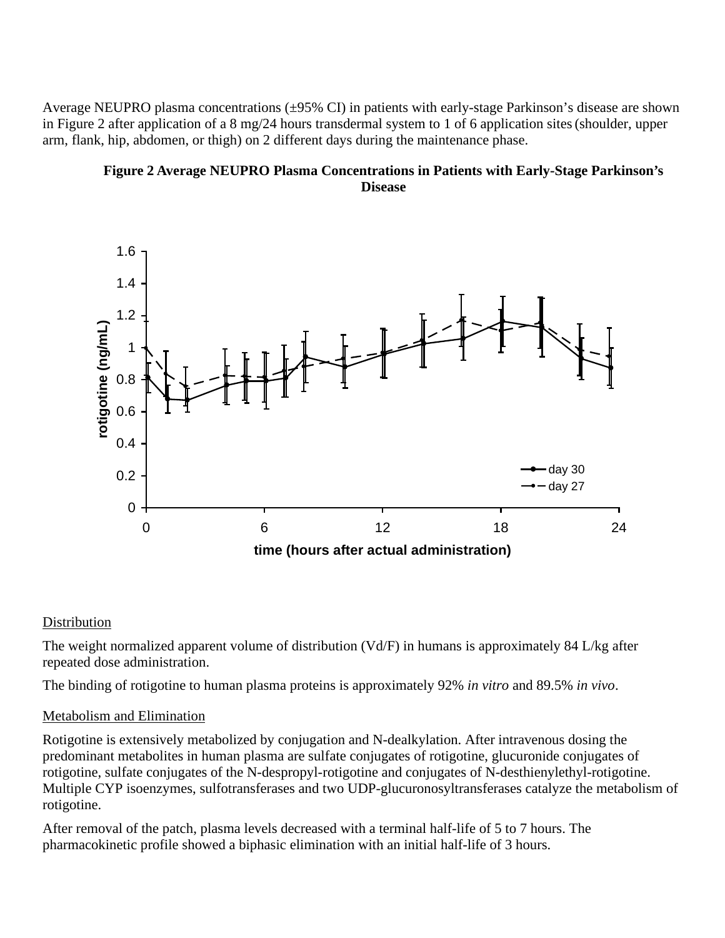Average NEUPRO plasma concentrations (±95% CI) in patients with early-stage Parkinson's disease are shown in Figure 2 after application of a 8 mg/24 hours transdermal system to 1 of 6 application sites(shoulder, upper arm, flank, hip, abdomen, or thigh) on 2 different days during the maintenance phase.

## **Figure 2 Average NEUPRO Plasma Concentrations in Patients with Early-Stage Parkinson's Disease**



## **Distribution**

The weight normalized apparent volume of distribution (Vd/F) in humans is approximately 84 L/kg after repeated dose administration.

The binding of rotigotine to human plasma proteins is approximately 92% *in vitro* and 89.5% *in vivo*.

## Metabolism and Elimination

Rotigotine is extensively metabolized by conjugation and N-dealkylation. After intravenous dosing the predominant metabolites in human plasma are sulfate conjugates of rotigotine, glucuronide conjugates of rotigotine, sulfate conjugates of the N-despropyl-rotigotine and conjugates of N-desthienylethyl-rotigotine. Multiple CYP isoenzymes, sulfotransferases and two UDP-glucuronosyltransferases catalyze the metabolism of rotigotine.

After removal of the patch, plasma levels decreased with a terminal half-life of 5 to 7 hours. The pharmacokinetic profile showed a biphasic elimination with an initial half-life of 3 hours.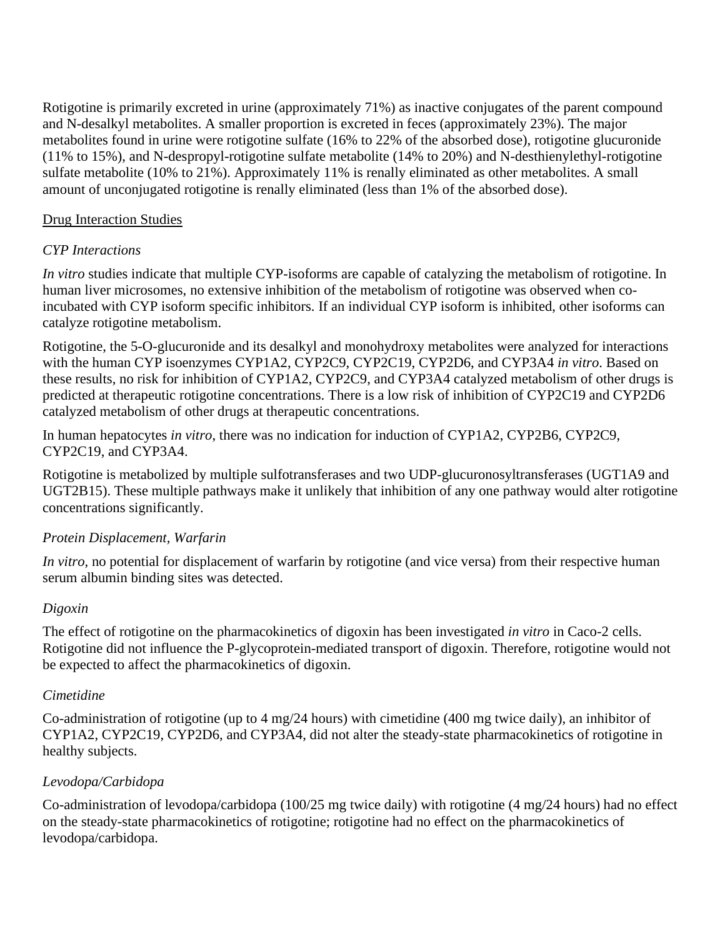Rotigotine is primarily excreted in urine (approximately 71%) as inactive conjugates of the parent compound and N-desalkyl metabolites. A smaller proportion is excreted in feces (approximately 23%). The major metabolites found in urine were rotigotine sulfate (16% to 22% of the absorbed dose), rotigotine glucuronide (11% to 15%), and N-despropyl-rotigotine sulfate metabolite (14% to 20%) and N-desthienylethyl-rotigotine sulfate metabolite (10% to 21%). Approximately 11% is renally eliminated as other metabolites. A small amount of unconjugated rotigotine is renally eliminated (less than 1% of the absorbed dose).

## Drug Interaction Studies

# *CYP Interactions*

*In vitro* studies indicate that multiple CYP-isoforms are capable of catalyzing the metabolism of rotigotine. In human liver microsomes, no extensive inhibition of the metabolism of rotigotine was observed when coincubated with CYP isoform specific inhibitors. If an individual CYP isoform is inhibited, other isoforms can catalyze rotigotine metabolism.

Rotigotine, the 5-O-glucuronide and its desalkyl and monohydroxy metabolites were analyzed for interactions with the human CYP isoenzymes CYP1A2, CYP2C9, CYP2C19, CYP2D6, and CYP3A4 *in vitro*. Based on these results, no risk for inhibition of CYP1A2, CYP2C9, and CYP3A4 catalyzed metabolism of other drugs is predicted at therapeutic rotigotine concentrations. There is a low risk of inhibition of CYP2C19 and CYP2D6 catalyzed metabolism of other drugs at therapeutic concentrations.

In human hepatocytes *in vitro*, there was no indication for induction of CYP1A2, CYP2B6, CYP2C9, CYP2C19, and CYP3A4.

Rotigotine is metabolized by multiple sulfotransferases and two UDP-glucuronosyltransferases (UGT1A9 and UGT2B15). These multiple pathways make it unlikely that inhibition of any one pathway would alter rotigotine concentrations significantly.

## *Protein Displacement, Warfarin*

*In vitro*, no potential for displacement of warfarin by rotigotine (and vice versa) from their respective human serum albumin binding sites was detected.

## *Digoxin*

The effect of rotigotine on the pharmacokinetics of digoxin has been investigated *in vitro* in Caco-2 cells. Rotigotine did not influence the P-glycoprotein-mediated transport of digoxin. Therefore, rotigotine would not be expected to affect the pharmacokinetics of digoxin.

## *Cimetidine*

Co-administration of rotigotine (up to 4 mg/24 hours) with cimetidine (400 mg twice daily), an inhibitor of CYP1A2, CYP2C19, CYP2D6, and CYP3A4, did not alter the steady-state pharmacokinetics of rotigotine in healthy subjects.

# *Levodopa/Carbidopa*

Co-administration of levodopa/carbidopa (100/25 mg twice daily) with rotigotine (4 mg/24 hours) had no effect on the steady-state pharmacokinetics of rotigotine; rotigotine had no effect on the pharmacokinetics of levodopa/carbidopa.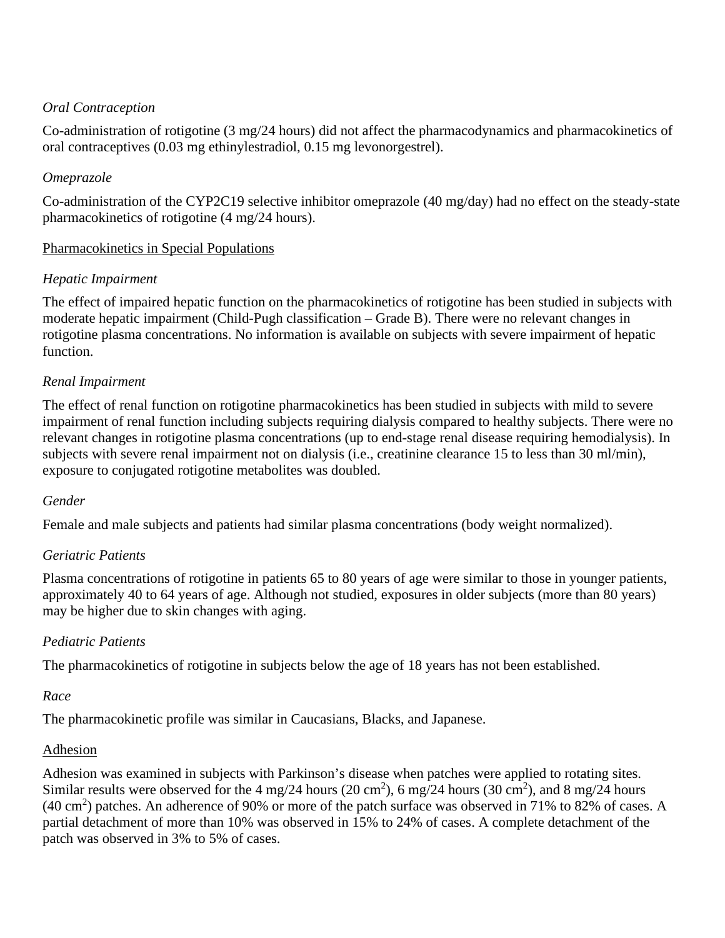## *Oral Contraception*

Co-administration of rotigotine (3 mg/24 hours) did not affect the pharmacodynamics and pharmacokinetics of oral contraceptives (0.03 mg ethinylestradiol, 0.15 mg levonorgestrel).

## *Omeprazole*

Co-administration of the CYP2C19 selective inhibitor omeprazole (40 mg/day) had no effect on the steady-state pharmacokinetics of rotigotine (4 mg/24 hours).

## Pharmacokinetics in Special Populations

## *Hepatic Impairment*

The effect of impaired hepatic function on the pharmacokinetics of rotigotine has been studied in subjects with moderate hepatic impairment (Child-Pugh classification – Grade B). There were no relevant changes in rotigotine plasma concentrations. No information is available on subjects with severe impairment of hepatic function.

## *Renal Impairment*

The effect of renal function on rotigotine pharmacokinetics has been studied in subjects with mild to severe impairment of renal function including subjects requiring dialysis compared to healthy subjects. There were no relevant changes in rotigotine plasma concentrations (up to end-stage renal disease requiring hemodialysis). In subjects with severe renal impairment not on dialysis (i.e., creatinine clearance 15 to less than 30 ml/min), exposure to conjugated rotigotine metabolites was doubled.

## *Gender*

Female and male subjects and patients had similar plasma concentrations (body weight normalized).

# *Geriatric Patients*

Plasma concentrations of rotigotine in patients 65 to 80 years of age were similar to those in younger patients, approximately 40 to 64 years of age. Although not studied, exposures in older subjects (more than 80 years) may be higher due to skin changes with aging.

# *Pediatric Patients*

The pharmacokinetics of rotigotine in subjects below the age of 18 years has not been established.

## *Race*

The pharmacokinetic profile was similar in Caucasians, Blacks, and Japanese.

## Adhesion

Adhesion was examined in subjects with Parkinson's disease when patches were applied to rotating sites. Similar results were observed for the 4 mg/24 hours (20 cm<sup>2</sup>), 6 mg/24 hours (30 cm<sup>2</sup>), and 8 mg/24 hours  $(40 \text{ cm}^2)$  patches. An adherence of 90% or more of the patch surface was observed in 71% to 82% of cases. A partial detachment of more than 10% was observed in 15% to 24% of cases. A complete detachment of the patch was observed in 3% to 5% of cases.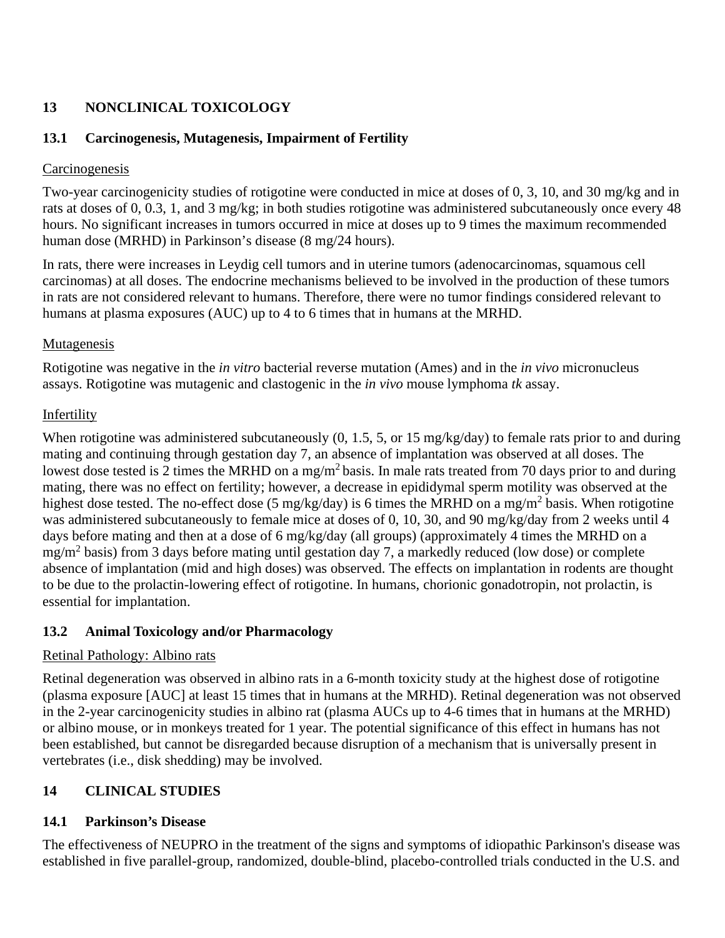# **13 NONCLINICAL TOXICOLOGY**

# **13.1 Carcinogenesis, Mutagenesis, Impairment of Fertility**

## **Carcinogenesis**

Two-year carcinogenicity studies of rotigotine were conducted in mice at doses of 0, 3, 10, and 30 mg/kg and in rats at doses of 0, 0.3, 1, and 3 mg/kg; in both studies rotigotine was administered subcutaneously once every 48 hours. No significant increases in tumors occurred in mice at doses up to 9 times the maximum recommended human dose (MRHD) in Parkinson's disease (8 mg/24 hours).

In rats, there were increases in Leydig cell tumors and in uterine tumors (adenocarcinomas, squamous cell carcinomas) at all doses. The endocrine mechanisms believed to be involved in the production of these tumors in rats are not considered relevant to humans. Therefore, there were no tumor findings considered relevant to humans at plasma exposures (AUC) up to 4 to 6 times that in humans at the MRHD.

# **Mutagenesis**

Rotigotine was negative in the *in vitro* bacterial reverse mutation (Ames) and in the *in vivo* micronucleus assays. Rotigotine was mutagenic and clastogenic in the *in vivo* mouse lymphoma *tk* assay.

# Infertility

When rotigotine was administered subcutaneously  $(0, 1.5, 5,$  or 15 mg/kg/day) to female rats prior to and during mating and continuing through gestation day 7, an absence of implantation was observed at all doses. The lowest dose tested is 2 times the MRHD on a mg/m<sup>2</sup> basis. In male rats treated from 70 days prior to and during mating, there was no effect on fertility; however, a decrease in epididymal sperm motility was observed at the highest dose tested. The no-effect dose (5 mg/kg/day) is 6 times the MRHD on a mg/m<sup>2</sup> basis. When rotigotine was administered subcutaneously to female mice at doses of 0, 10, 30, and 90 mg/kg/day from 2 weeks until 4 days before mating and then at a dose of 6 mg/kg/day (all groups) (approximately 4 times the MRHD on a  $mg/m<sup>2</sup>$  basis) from 3 days before mating until gestation day 7, a markedly reduced (low dose) or complete absence of implantation (mid and high doses) was observed. The effects on implantation in rodents are thought to be due to the prolactin-lowering effect of rotigotine. In humans, chorionic gonadotropin, not prolactin, is essential for implantation.

# **13.2 Animal Toxicology and/or Pharmacology**

# Retinal Pathology: Albino rats

Retinal degeneration was observed in albino rats in a 6-month toxicity study at the highest dose of rotigotine (plasma exposure [AUC] at least 15 times that in humans at the MRHD). Retinal degeneration was not observed in the 2-year carcinogenicity studies in albino rat (plasma AUCs up to 4-6 times that in humans at the MRHD) or albino mouse, or in monkeys treated for 1 year. The potential significance of this effect in humans has not been established, but cannot be disregarded because disruption of a mechanism that is universally present in vertebrates (i.e., disk shedding) may be involved.

# **14 CLINICAL STUDIES**

# **14.1 Parkinson's Disease**

The effectiveness of NEUPRO in the treatment of the signs and symptoms of idiopathic Parkinson's disease was established in five parallel-group, randomized, double-blind, placebo-controlled trials conducted in the U.S. and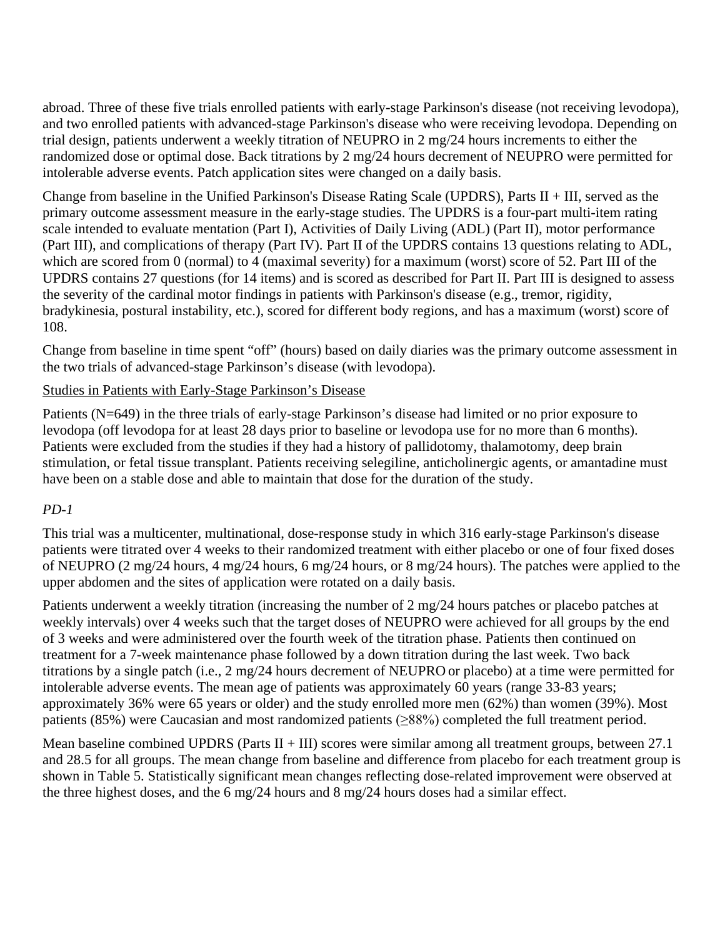abroad. Three of these five trials enrolled patients with early-stage Parkinson's disease (not receiving levodopa), and two enrolled patients with advanced-stage Parkinson's disease who were receiving levodopa. Depending on trial design, patients underwent a weekly titration of NEUPRO in 2 mg/24 hours increments to either the randomized dose or optimal dose. Back titrations by 2 mg/24 hours decrement of NEUPRO were permitted for intolerable adverse events. Patch application sites were changed on a daily basis.

Change from baseline in the Unified Parkinson's Disease Rating Scale (UPDRS), Parts II + III, served as the primary outcome assessment measure in the early-stage studies. The UPDRS is a four-part multi-item rating scale intended to evaluate mentation (Part I), Activities of Daily Living (ADL) (Part II), motor performance (Part III), and complications of therapy (Part IV). Part II of the UPDRS contains 13 questions relating to ADL, which are scored from 0 (normal) to 4 (maximal severity) for a maximum (worst) score of 52. Part III of the UPDRS contains 27 questions (for 14 items) and is scored as described for Part II. Part III is designed to assess the severity of the cardinal motor findings in patients with Parkinson's disease (e.g., tremor, rigidity, bradykinesia, postural instability, etc.), scored for different body regions, and has a maximum (worst) score of 108.

Change from baseline in time spent "off" (hours) based on daily diaries was the primary outcome assessment in the two trials of advanced-stage Parkinson's disease (with levodopa).

## Studies in Patients with Early-Stage Parkinson's Disease

Patients (N=649) in the three trials of early-stage Parkinson's disease had limited or no prior exposure to levodopa (off levodopa for at least 28 days prior to baseline or levodopa use for no more than 6 months). Patients were excluded from the studies if they had a history of pallidotomy, thalamotomy, deep brain stimulation, or fetal tissue transplant. Patients receiving selegiline, anticholinergic agents, or amantadine must have been on a stable dose and able to maintain that dose for the duration of the study.

## *PD-1*

This trial was a multicenter, multinational, dose-response study in which 316 early-stage Parkinson's disease patients were titrated over 4 weeks to their randomized treatment with either placebo or one of four fixed doses of NEUPRO (2 mg/24 hours, 4 mg/24 hours, 6 mg/24 hours, or 8 mg/24 hours). The patches were applied to the upper abdomen and the sites of application were rotated on a daily basis.

Patients underwent a weekly titration (increasing the number of 2 mg/24 hours patches or placebo patches at weekly intervals) over 4 weeks such that the target doses of NEUPRO were achieved for all groups by the end of 3 weeks and were administered over the fourth week of the titration phase. Patients then continued on treatment for a 7-week maintenance phase followed by a down titration during the last week. Two back titrations by a single patch (i.e., 2 mg/24 hours decrement of NEUPRO or placebo) at a time were permitted for intolerable adverse events. The mean age of patients was approximately 60 years (range 33-83 years; approximately 36% were 65 years or older) and the study enrolled more men (62%) than women (39%). Most patients (85%) were Caucasian and most randomized patients (≥88%) completed the full treatment period.

Mean baseline combined UPDRS (Parts  $II + III$ ) scores were similar among all treatment groups, between 27.1 and 28.5 for all groups. The mean change from baseline and difference from placebo for each treatment group is shown in Table 5. Statistically significant mean changes reflecting dose-related improvement were observed at the three highest doses, and the 6 mg/24 hours and 8 mg/24 hours doses had a similar effect.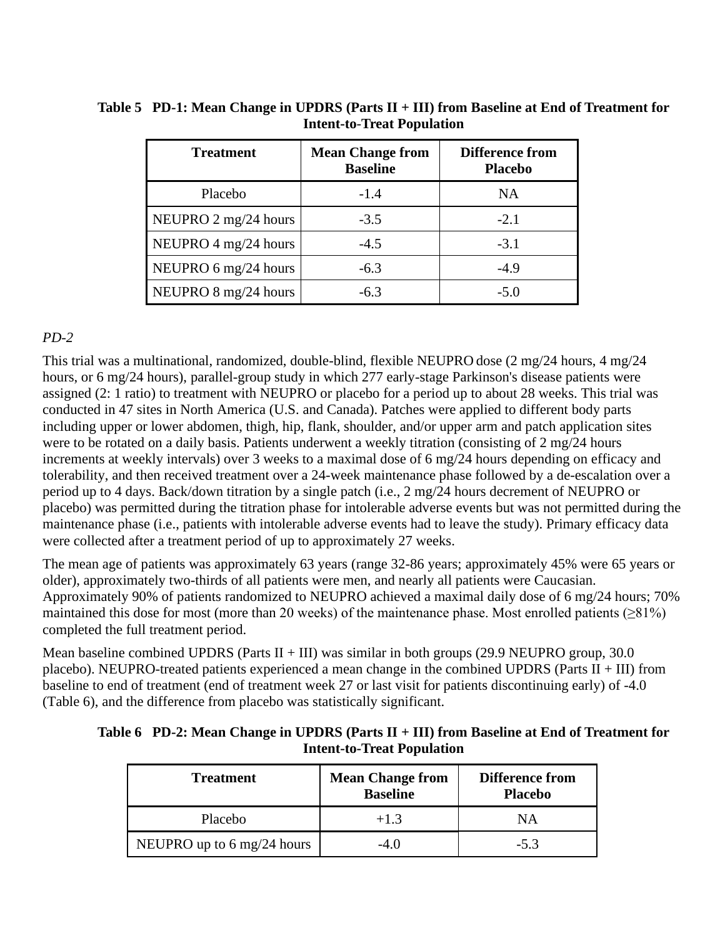| <b>Treatment</b>     | <b>Mean Change from</b><br><b>Baseline</b> | <b>Difference from</b><br><b>Placebo</b> |
|----------------------|--------------------------------------------|------------------------------------------|
| Placebo              | $-1.4$                                     | NA                                       |
| NEUPRO 2 mg/24 hours | $-3.5$                                     | $-2.1$                                   |
| NEUPRO 4 mg/24 hours | $-4.5$                                     | $-3.1$                                   |
| NEUPRO 6 mg/24 hours | $-6.3$                                     | $-4.9$                                   |
| NEUPRO 8 mg/24 hours | $-6.3$                                     | $-5.0$                                   |

| Table 5 PD-1: Mean Change in UPDRS (Parts $II + III$ ) from Baseline at End of Treatment for |
|----------------------------------------------------------------------------------------------|
| <b>Intent-to-Treat Population</b>                                                            |

## *PD-2*

This trial was a multinational, randomized, double-blind, flexible NEUPRO dose (2 mg/24 hours, 4 mg/24 hours, or 6 mg/24 hours), parallel-group study in which 277 early-stage Parkinson's disease patients were assigned (2: 1 ratio) to treatment with NEUPRO or placebo for a period up to about 28 weeks. This trial was conducted in 47 sites in North America (U.S. and Canada). Patches were applied to different body parts including upper or lower abdomen, thigh, hip, flank, shoulder, and/or upper arm and patch application sites were to be rotated on a daily basis. Patients underwent a weekly titration (consisting of 2 mg/24 hours increments at weekly intervals) over 3 weeks to a maximal dose of 6 mg/24 hours depending on efficacy and tolerability, and then received treatment over a 24-week maintenance phase followed by a de-escalation over a period up to 4 days. Back/down titration by a single patch (i.e., 2 mg/24 hours decrement of NEUPRO or placebo) was permitted during the titration phase for intolerable adverse events but was not permitted during the maintenance phase (i.e., patients with intolerable adverse events had to leave the study). Primary efficacy data were collected after a treatment period of up to approximately 27 weeks.

The mean age of patients was approximately 63 years (range 32-86 years; approximately 45% were 65 years or older), approximately two-thirds of all patients were men, and nearly all patients were Caucasian. Approximately 90% of patients randomized to NEUPRO achieved a maximal daily dose of 6 mg/24 hours; 70% maintained this dose for most (more than 20 weeks) of the maintenance phase. Most enrolled patients ( $\geq$ 81%) completed the full treatment period.

Mean baseline combined UPDRS (Parts  $II + III$ ) was similar in both groups (29.9 NEUPRO group, 30.0 placebo). NEUPRO-treated patients experienced a mean change in the combined UPDRS (Parts II + III) from baseline to end of treatment (end of treatment week 27 or last visit for patients discontinuing early) of -4.0 (Table 6), and the difference from placebo was statistically significant.

| Table 6 PD-2: Mean Change in UPDRS (Parts $II + III$ ) from Baseline at End of Treatment for |
|----------------------------------------------------------------------------------------------|
| <b>Intent-to-Treat Population</b>                                                            |

| <b>Treatment</b>                             | <b>Mean Change from</b><br><b>Baseline</b> | <b>Difference from</b><br><b>Placebo</b> |  |
|----------------------------------------------|--------------------------------------------|------------------------------------------|--|
| Placebo                                      | $+1.3$                                     | NΑ                                       |  |
| NEUPRO up to $6 \text{ mg}/24 \text{ hours}$ | $-4()$                                     | $-5.3$                                   |  |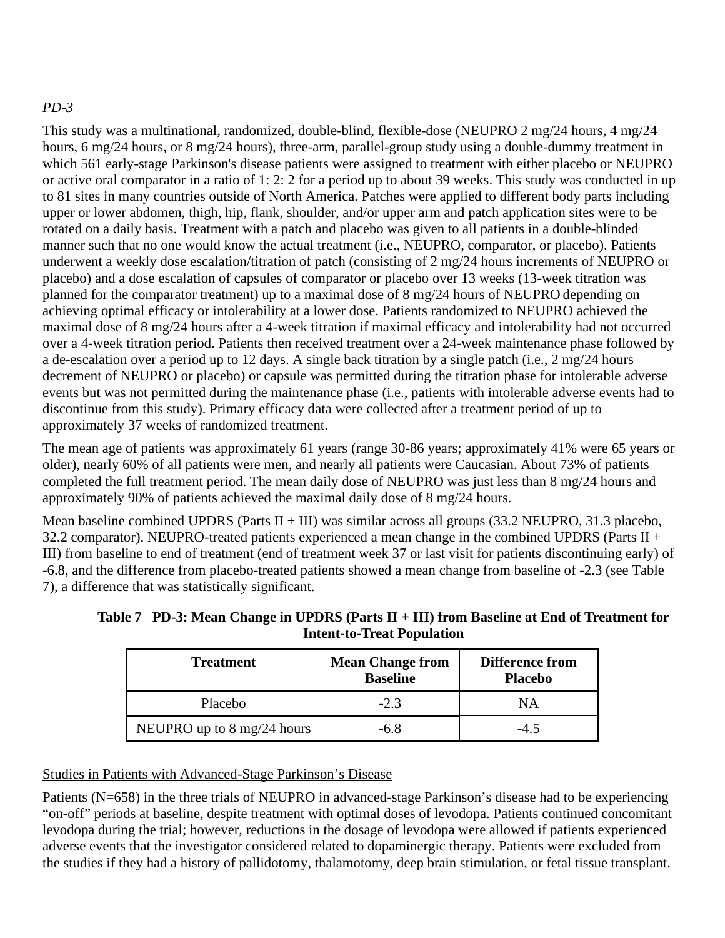# *PD-3*

This study was a multinational, randomized, double-blind, flexible-dose (NEUPRO 2 mg/24 hours, 4 mg/24 hours, 6 mg/24 hours, or 8 mg/24 hours), three-arm, parallel-group study using a double-dummy treatment in which 561 early-stage Parkinson's disease patients were assigned to treatment with either placebo or NEUPRO or active oral comparator in a ratio of 1: 2: 2 for a period up to about 39 weeks. This study was conducted in up to 81 sites in many countries outside of North America. Patches were applied to different body parts including upper or lower abdomen, thigh, hip, flank, shoulder, and/or upper arm and patch application sites were to be rotated on a daily basis. Treatment with a patch and placebo was given to all patients in a double-blinded manner such that no one would know the actual treatment (i.e., NEUPRO, comparator, or placebo). Patients underwent a weekly dose escalation/titration of patch (consisting of 2 mg/24 hours increments of NEUPRO or placebo) and a dose escalation of capsules of comparator or placebo over 13 weeks (13-week titration was planned for the comparator treatment) up to a maximal dose of 8 mg/24 hours of NEUPRO depending on achieving optimal efficacy or intolerability at a lower dose. Patients randomized to NEUPRO achieved the maximal dose of 8 mg/24 hours after a 4-week titration if maximal efficacy and intolerability had not occurred over a 4-week titration period. Patients then received treatment over a 24-week maintenance phase followed by a de-escalation over a period up to 12 days. A single back titration by a single patch (i.e., 2 mg/24 hours decrement of NEUPRO or placebo) or capsule was permitted during the titration phase for intolerable adverse events but was not permitted during the maintenance phase (i.e., patients with intolerable adverse events had to discontinue from this study). Primary efficacy data were collected after a treatment period of up to approximately 37 weeks of randomized treatment.

The mean age of patients was approximately 61 years (range 30-86 years; approximately 41% were 65 years or older), nearly 60% of all patients were men, and nearly all patients were Caucasian. About 73% of patients completed the full treatment period. The mean daily dose of NEUPRO was just less than 8 mg/24 hours and approximately 90% of patients achieved the maximal daily dose of 8 mg/24 hours.

Mean baseline combined UPDRS (Parts  $II + III$ ) was similar across all groups (33.2 NEUPRO, 31.3 placebo, 32.2 comparator). NEUPRO-treated patients experienced a mean change in the combined UPDRS (Parts  $II +$ III) from baseline to end of treatment (end of treatment week 37 or last visit for patients discontinuing early) of -6.8, and the difference from placebo-treated patients showed a mean change from baseline of -2.3 (see Table 7), a difference that was statistically significant.

**Table 7 PD-3: Mean Change in UPDRS (Parts II + III) from Baseline at End of Treatment for Intent-to-Treat Population**

| <b>Treatment</b>                             | <b>Mean Change from</b><br><b>Baseline</b> | <b>Difference from</b><br><b>Placebo</b> |
|----------------------------------------------|--------------------------------------------|------------------------------------------|
| Placebo                                      | $-2.3$                                     | NΑ                                       |
| NEUPRO up to $8 \text{ mg}/24 \text{ hours}$ | $-6.8$                                     | $-4.5$                                   |

## Studies in Patients with Advanced-Stage Parkinson's Disease

Patients (N=658) in the three trials of NEUPRO in advanced-stage Parkinson's disease had to be experiencing "on-off" periods at baseline, despite treatment with optimal doses of levodopa. Patients continued concomitant levodopa during the trial; however, reductions in the dosage of levodopa were allowed if patients experienced adverse events that the investigator considered related to dopaminergic therapy. Patients were excluded from the studies if they had a history of pallidotomy, thalamotomy, deep brain stimulation, or fetal tissue transplant.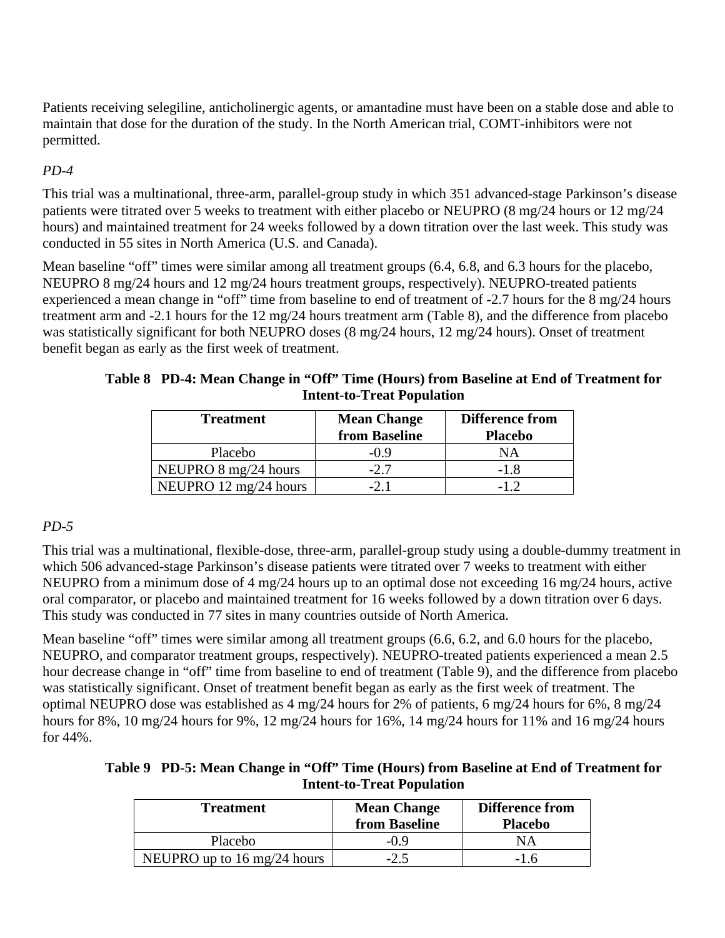Patients receiving selegiline, anticholinergic agents, or amantadine must have been on a stable dose and able to maintain that dose for the duration of the study. In the North American trial, COMT-inhibitors were not permitted.

## *PD-4*

This trial was a multinational, three-arm, parallel-group study in which 351 advanced-stage Parkinson's disease patients were titrated over 5 weeks to treatment with either placebo or NEUPRO (8 mg/24 hours or 12 mg/24 hours) and maintained treatment for 24 weeks followed by a down titration over the last week. This study was conducted in 55 sites in North America (U.S. and Canada).

Mean baseline "off" times were similar among all treatment groups (6.4, 6.8, and 6.3 hours for the placebo, NEUPRO 8 mg/24 hours and 12 mg/24 hours treatment groups, respectively). NEUPRO-treated patients experienced a mean change in "off" time from baseline to end of treatment of -2.7 hours for the 8 mg/24 hours treatment arm and -2.1 hours for the 12 mg/24 hours treatment arm (Table 8), and the difference from placebo was statistically significant for both NEUPRO doses (8 mg/24 hours, 12 mg/24 hours). Onset of treatment benefit began as early as the first week of treatment.

| Table 8 PD-4: Mean Change in "Off" Time (Hours) from Baseline at End of Treatment for |
|---------------------------------------------------------------------------------------|
| <b>Intent-to-Treat Population</b>                                                     |

| <b>Treatment</b>      | <b>Mean Change</b> | Difference from |
|-----------------------|--------------------|-----------------|
|                       | from Baseline      | <b>Placebo</b>  |
| Placebo               | -0.9               | NΑ              |
| NEUPRO 8 mg/24 hours  | $-2.7$             | -1.8            |
| NEUPRO 12 mg/24 hours |                    |                 |

# *PD-5*

This trial was a multinational, flexible-dose, three-arm, parallel-group study using a double-dummy treatment in which 506 advanced-stage Parkinson's disease patients were titrated over 7 weeks to treatment with either NEUPRO from a minimum dose of 4 mg/24 hours up to an optimal dose not exceeding 16 mg/24 hours, active oral comparator, or placebo and maintained treatment for 16 weeks followed by a down titration over 6 days. This study was conducted in 77 sites in many countries outside of North America.

Mean baseline "off" times were similar among all treatment groups (6.6, 6.2, and 6.0 hours for the placebo, NEUPRO, and comparator treatment groups, respectively). NEUPRO-treated patients experienced a mean 2.5 hour decrease change in "off" time from baseline to end of treatment (Table 9), and the difference from placebo was statistically significant. Onset of treatment benefit began as early as the first week of treatment. The optimal NEUPRO dose was established as 4 mg/24 hours for 2% of patients, 6 mg/24 hours for 6%, 8 mg/24 hours for 8%, 10 mg/24 hours for 9%, 12 mg/24 hours for 16%, 14 mg/24 hours for 11% and 16 mg/24 hours for 44%.

**Table 9 PD-5: Mean Change in "Off" Time (Hours) from Baseline at End of Treatment for Intent-to-Treat Population**

| <b>Treatment</b>                              | <b>Mean Change</b><br>from Baseline | <b>Difference from</b><br><b>Placebo</b> |
|-----------------------------------------------|-------------------------------------|------------------------------------------|
| Placebo                                       | -0.9                                | NΑ                                       |
| NEUPRO up to $16 \text{ mg}/24 \text{ hours}$ | $-2.5$                              | -16                                      |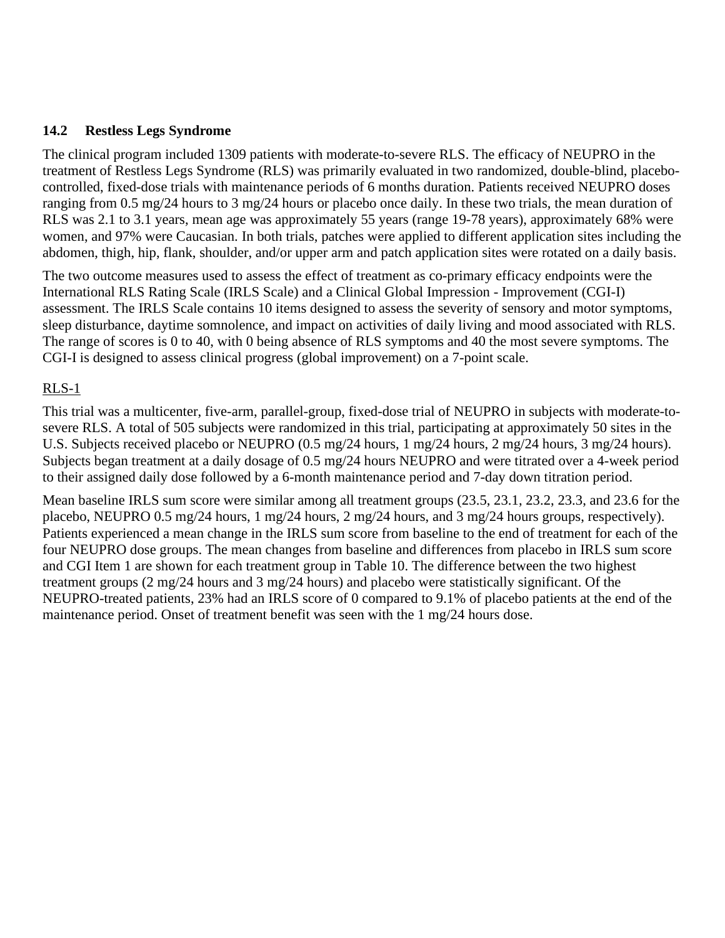#### **14.2 Restless Legs Syndrome**

The clinical program included 1309 patients with moderate-to-severe RLS. The efficacy of NEUPRO in the treatment of Restless Legs Syndrome (RLS) was primarily evaluated in two randomized, double-blind, placebocontrolled, fixed-dose trials with maintenance periods of 6 months duration. Patients received NEUPRO doses ranging from 0.5 mg/24 hours to 3 mg/24 hours or placebo once daily. In these two trials, the mean duration of RLS was 2.1 to 3.1 years, mean age was approximately 55 years (range 19-78 years), approximately 68% were women, and 97% were Caucasian. In both trials, patches were applied to different application sites including the abdomen, thigh, hip, flank, shoulder, and/or upper arm and patch application sites were rotated on a daily basis.

The two outcome measures used to assess the effect of treatment as co-primary efficacy endpoints were the International RLS Rating Scale (IRLS Scale) and a Clinical Global Impression - Improvement (CGI-I) assessment. The IRLS Scale contains 10 items designed to assess the severity of sensory and motor symptoms, sleep disturbance, daytime somnolence, and impact on activities of daily living and mood associated with RLS. The range of scores is 0 to 40, with 0 being absence of RLS symptoms and 40 the most severe symptoms. The CGI-I is designed to assess clinical progress (global improvement) on a 7-point scale.

## RLS-1

This trial was a multicenter, five-arm, parallel-group, fixed-dose trial of NEUPRO in subjects with moderate-tosevere RLS. A total of 505 subjects were randomized in this trial, participating at approximately 50 sites in the U.S. Subjects received placebo or NEUPRO (0.5 mg/24 hours, 1 mg/24 hours, 2 mg/24 hours, 3 mg/24 hours). Subjects began treatment at a daily dosage of 0.5 mg/24 hours NEUPRO and were titrated over a 4-week period to their assigned daily dose followed by a 6-month maintenance period and 7-day down titration period.

Mean baseline IRLS sum score were similar among all treatment groups (23.5, 23.1, 23.2, 23.3, and 23.6 for the placebo, NEUPRO 0.5 mg/24 hours, 1 mg/24 hours, 2 mg/24 hours, and 3 mg/24 hours groups, respectively). Patients experienced a mean change in the IRLS sum score from baseline to the end of treatment for each of the four NEUPRO dose groups. The mean changes from baseline and differences from placebo in IRLS sum score and CGI Item 1 are shown for each treatment group in Table 10. The difference between the two highest treatment groups (2 mg/24 hours and 3 mg/24 hours) and placebo were statistically significant. Of the NEUPRO-treated patients, 23% had an IRLS score of 0 compared to 9.1% of placebo patients at the end of the maintenance period. Onset of treatment benefit was seen with the 1 mg/24 hours dose.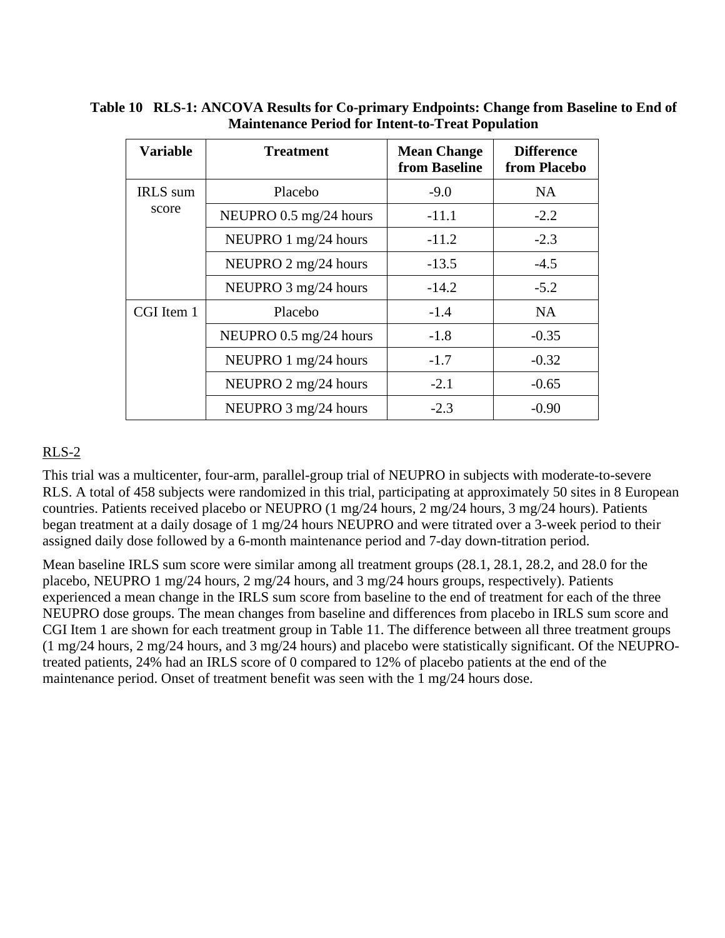| <b>Variable</b>          | <b>Treatment</b>       | <b>Mean Change</b><br>from Baseline | <b>Difference</b><br>from Placebo |
|--------------------------|------------------------|-------------------------------------|-----------------------------------|
| <b>IRLS</b> sum<br>score | Placebo                | $-9.0$                              | <b>NA</b>                         |
|                          | NEUPRO 0.5 mg/24 hours | $-11.1$                             | $-2.2$                            |
|                          | NEUPRO 1 mg/24 hours   | $-11.2$                             | $-2.3$                            |
|                          | NEUPRO 2 mg/24 hours   | $-13.5$                             | $-4.5$                            |
|                          | NEUPRO 3 mg/24 hours   | $-14.2$                             | $-5.2$                            |
| CGI Item 1               | Placebo                | $-1.4$                              | <b>NA</b>                         |
|                          | NEUPRO 0.5 mg/24 hours | $-1.8$                              | $-0.35$                           |
|                          | NEUPRO 1 mg/24 hours   | $-1.7$                              | $-0.32$                           |
|                          | NEUPRO 2 mg/24 hours   | $-2.1$                              | $-0.65$                           |
|                          | NEUPRO 3 mg/24 hours   | $-2.3$                              | $-0.90$                           |

**Table 10 RLS-1: ANCOVA Results for Co-primary Endpoints: Change from Baseline to End of Maintenance Period for Intent-to-Treat Population**

# RLS-2

This trial was a multicenter, four-arm, parallel-group trial of NEUPRO in subjects with moderate-to-severe RLS. A total of 458 subjects were randomized in this trial, participating at approximately 50 sites in 8 European countries. Patients received placebo or NEUPRO (1 mg/24 hours, 2 mg/24 hours, 3 mg/24 hours). Patients began treatment at a daily dosage of 1 mg/24 hours NEUPRO and were titrated over a 3-week period to their assigned daily dose followed by a 6-month maintenance period and 7-day down-titration period.

Mean baseline IRLS sum score were similar among all treatment groups (28.1, 28.1, 28.2, and 28.0 for the placebo, NEUPRO 1 mg/24 hours, 2 mg/24 hours, and 3 mg/24 hours groups, respectively). Patients experienced a mean change in the IRLS sum score from baseline to the end of treatment for each of the three NEUPRO dose groups. The mean changes from baseline and differences from placebo in IRLS sum score and CGI Item 1 are shown for each treatment group in Table 11. The difference between all three treatment groups (1 mg/24 hours, 2 mg/24 hours, and 3 mg/24 hours) and placebo were statistically significant. Of the NEUPROtreated patients, 24% had an IRLS score of 0 compared to 12% of placebo patients at the end of the maintenance period. Onset of treatment benefit was seen with the 1 mg/24 hours dose.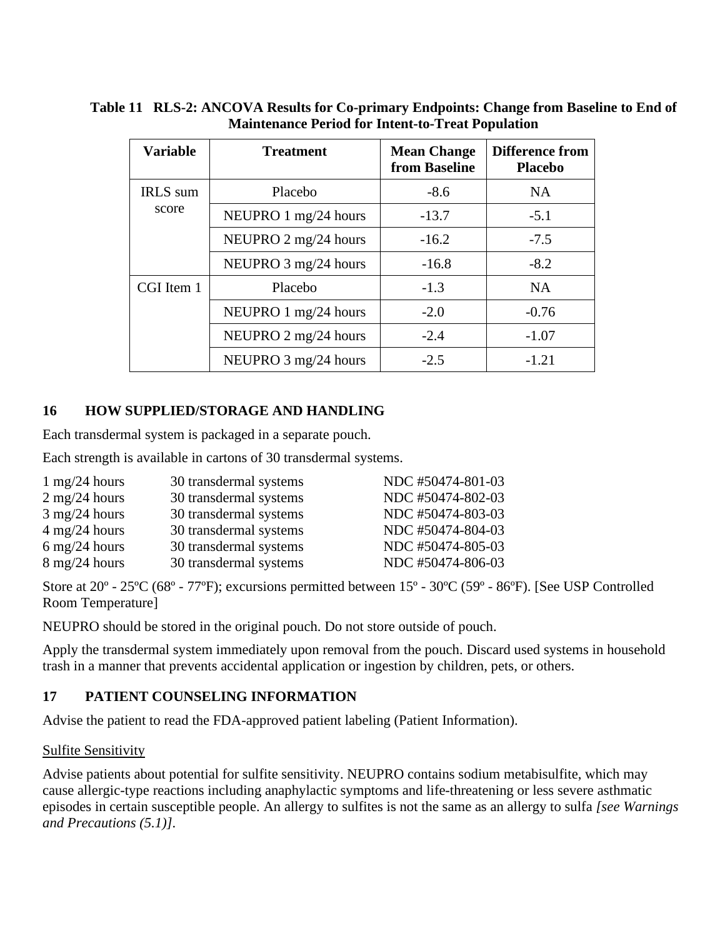| <b>Variable</b>          | <b>Treatment</b>     | <b>Mean Change</b><br>from Baseline | <b>Difference from</b><br><b>Placebo</b> |
|--------------------------|----------------------|-------------------------------------|------------------------------------------|
| <b>IRLS</b> sum<br>score | Placebo              | $-8.6$                              | <b>NA</b>                                |
|                          | NEUPRO 1 mg/24 hours | $-13.7$                             | $-5.1$                                   |
|                          | NEUPRO 2 mg/24 hours | $-16.2$                             | $-7.5$                                   |
|                          | NEUPRO 3 mg/24 hours | $-16.8$                             | $-8.2$                                   |
| CGI Item 1               | Placebo              | $-1.3$                              | <b>NA</b>                                |
|                          | NEUPRO 1 mg/24 hours | $-2.0$                              | $-0.76$                                  |
|                          | NEUPRO 2 mg/24 hours | $-2.4$                              | $-1.07$                                  |
|                          | NEUPRO 3 mg/24 hours | $-2.5$                              | $-1.21$                                  |

**Table 11 RLS-2: ANCOVA Results for Co-primary Endpoints: Change from Baseline to End of Maintenance Period for Intent-to-Treat Population**

## **16 HOW SUPPLIED/STORAGE AND HANDLING**

Each transdermal system is packaged in a separate pouch.

Each strength is available in cartons of 30 transdermal systems.

| $1 \text{ mg}/24 \text{ hours}$ | 30 transdermal systems | NDC #50474-801-03 |
|---------------------------------|------------------------|-------------------|
| $2 \text{ mg}/24 \text{ hours}$ | 30 transdermal systems | NDC #50474-802-03 |
| $3 \text{ mg}/24 \text{ hours}$ | 30 transdermal systems | NDC #50474-803-03 |
| $4 \text{ mg}/24 \text{ hours}$ | 30 transdermal systems | NDC #50474-804-03 |
| $6 \text{ mg}/24 \text{ hours}$ | 30 transdermal systems | NDC #50474-805-03 |
| $8 \text{ mg}/24 \text{ hours}$ | 30 transdermal systems | NDC #50474-806-03 |

Store at 20º - 25ºC (68º - 77ºF); excursions permitted between 15º - 30ºC (59º - 86ºF). [See USP Controlled Room Temperature]

NEUPRO should be stored in the original pouch. Do not store outside of pouch.

Apply the transdermal system immediately upon removal from the pouch. Discard used systems in household trash in a manner that prevents accidental application or ingestion by children, pets, or others.

# **17 PATIENT COUNSELING INFORMATION**

Advise the patient to read the FDA-approved patient labeling (Patient Information).

## Sulfite Sensitivity

Advise patients about potential for sulfite sensitivity. NEUPRO contains sodium metabisulfite, which may cause allergic-type reactions including anaphylactic symptoms and life-threatening or less severe asthmatic episodes in certain susceptible people. An allergy to sulfites is not the same as an allergy to sulfa *[see Warnings and Precautions (5.1)]*.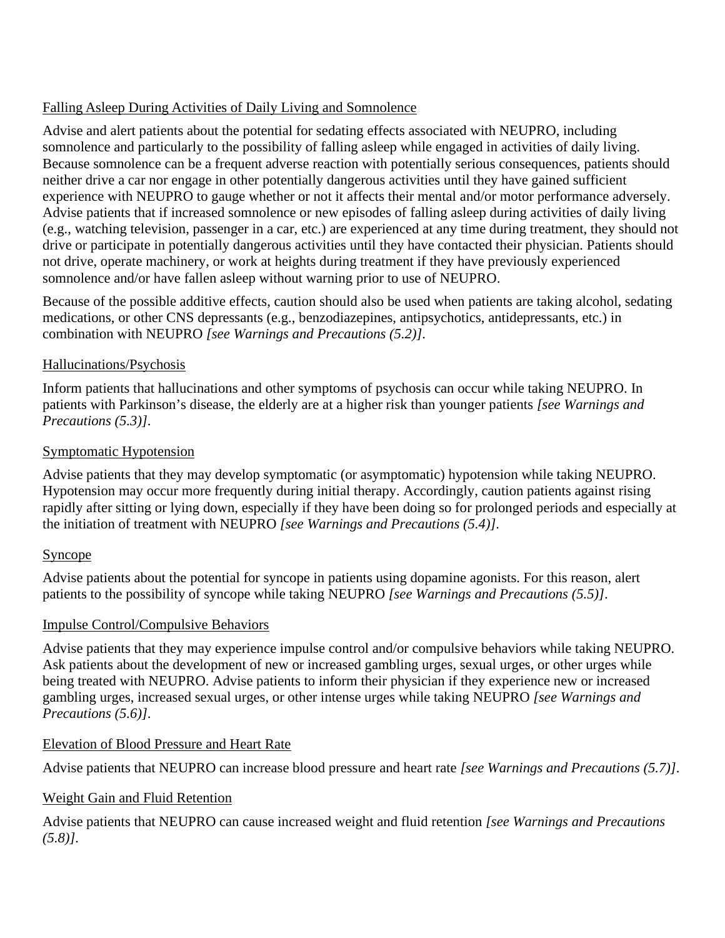## Falling Asleep During Activities of Daily Living and Somnolence

Advise and alert patients about the potential for sedating effects associated with NEUPRO, including somnolence and particularly to the possibility of falling asleep while engaged in activities of daily living. Because somnolence can be a frequent adverse reaction with potentially serious consequences, patients should neither drive a car nor engage in other potentially dangerous activities until they have gained sufficient experience with NEUPRO to gauge whether or not it affects their mental and/or motor performance adversely. Advise patients that if increased somnolence or new episodes of falling asleep during activities of daily living (e.g., watching television, passenger in a car, etc.) are experienced at any time during treatment, they should not drive or participate in potentially dangerous activities until they have contacted their physician. Patients should not drive, operate machinery, or work at heights during treatment if they have previously experienced somnolence and/or have fallen asleep without warning prior to use of NEUPRO.

Because of the possible additive effects, caution should also be used when patients are taking alcohol, sedating medications, or other CNS depressants (e.g., benzodiazepines, antipsychotics, antidepressants, etc.) in combination with NEUPRO *[see Warnings and Precautions (5.2)]*.

## Hallucinations/Psychosis

Inform patients that hallucinations and other symptoms of psychosis can occur while taking NEUPRO. In patients with Parkinson's disease, the elderly are at a higher risk than younger patients *[see Warnings and Precautions (5.3)]*.

## Symptomatic Hypotension

Advise patients that they may develop symptomatic (or asymptomatic) hypotension while taking NEUPRO. Hypotension may occur more frequently during initial therapy. Accordingly, caution patients against rising rapidly after sitting or lying down, especially if they have been doing so for prolonged periods and especially at the initiation of treatment with NEUPRO *[see Warnings and Precautions (5.4)]*.

# Syncope

Advise patients about the potential for syncope in patients using dopamine agonists. For this reason, alert patients to the possibility of syncope while taking NEUPRO *[see Warnings and Precautions (5.5)]*.

# Impulse Control/Compulsive Behaviors

Advise patients that they may experience impulse control and/or compulsive behaviors while taking NEUPRO. Ask patients about the development of new or increased gambling urges, sexual urges, or other urges while being treated with NEUPRO. Advise patients to inform their physician if they experience new or increased gambling urges, increased sexual urges, or other intense urges while taking NEUPRO *[see Warnings and Precautions (5.6)]*.

## Elevation of Blood Pressure and Heart Rate

Advise patients that NEUPRO can increase blood pressure and heart rate *[see Warnings and Precautions (5.7)]*.

# Weight Gain and Fluid Retention

Advise patients that NEUPRO can cause increased weight and fluid retention *[see Warnings and Precautions (5.8)]*.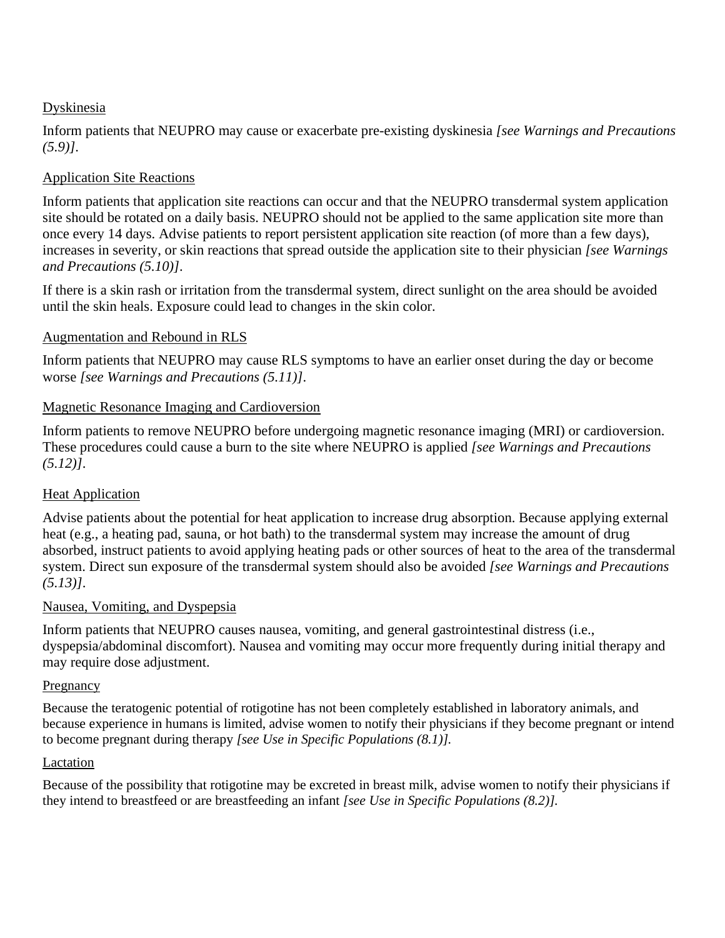## Dyskinesia

Inform patients that NEUPRO may cause or exacerbate pre-existing dyskinesia *[see Warnings and Precautions (5.9)]*.

# Application Site Reactions

Inform patients that application site reactions can occur and that the NEUPRO transdermal system application site should be rotated on a daily basis. NEUPRO should not be applied to the same application site more than once every 14 days. Advise patients to report persistent application site reaction (of more than a few days), increases in severity, or skin reactions that spread outside the application site to their physician *[see Warnings and Precautions (5.10)]*.

If there is a skin rash or irritation from the transdermal system, direct sunlight on the area should be avoided until the skin heals. Exposure could lead to changes in the skin color.

## Augmentation and Rebound in RLS

Inform patients that NEUPRO may cause RLS symptoms to have an earlier onset during the day or become worse *[see Warnings and Precautions (5.11)]*.

## Magnetic Resonance Imaging and Cardioversion

Inform patients to remove NEUPRO before undergoing magnetic resonance imaging (MRI) or cardioversion. These procedures could cause a burn to the site where NEUPRO is applied *[see Warnings and Precautions (5.12)]*.

# Heat Application

Advise patients about the potential for heat application to increase drug absorption. Because applying external heat (e.g., a heating pad, sauna, or hot bath) to the transdermal system may increase the amount of drug absorbed, instruct patients to avoid applying heating pads or other sources of heat to the area of the transdermal system. Direct sun exposure of the transdermal system should also be avoided *[see Warnings and Precautions (5.13)]*.

## Nausea, Vomiting, and Dyspepsia

Inform patients that NEUPRO causes nausea, vomiting, and general gastrointestinal distress (i.e., dyspepsia/abdominal discomfort). Nausea and vomiting may occur more frequently during initial therapy and may require dose adjustment.

## Pregnancy

Because the teratogenic potential of rotigotine has not been completely established in laboratory animals, and because experience in humans is limited, advise women to notify their physicians if they become pregnant or intend to become pregnant during therapy *[see Use in Specific Populations (8.1)].* 

## Lactation

Because of the possibility that rotigotine may be excreted in breast milk, advise women to notify their physicians if they intend to breastfeed or are breastfeeding an infant *[see Use in Specific Populations (8.2)].*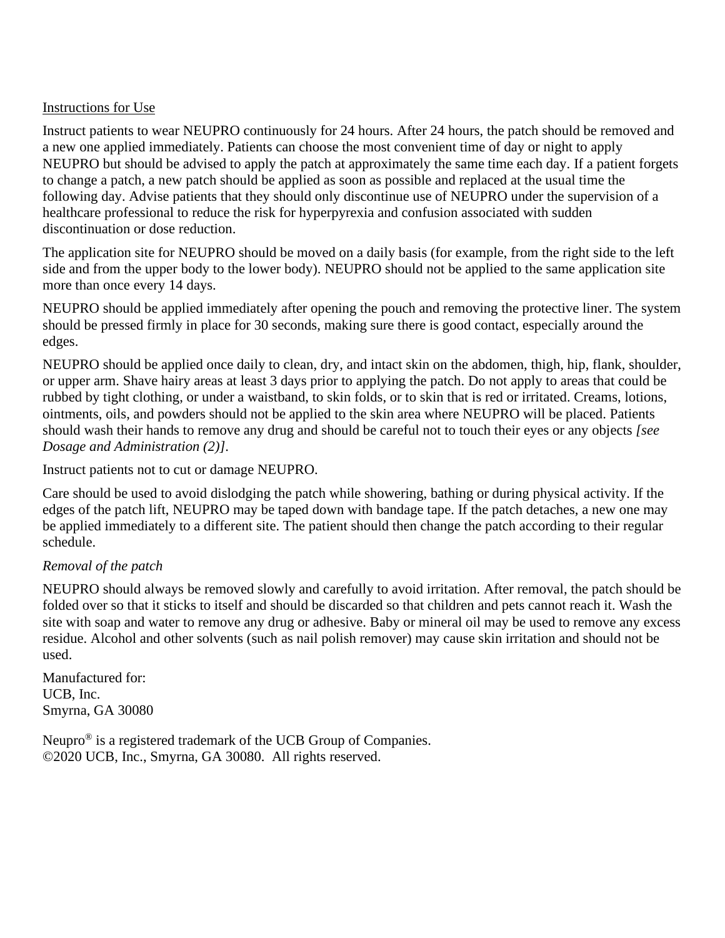#### Instructions for Use

Instruct patients to wear NEUPRO continuously for 24 hours. After 24 hours, the patch should be removed and a new one applied immediately. Patients can choose the most convenient time of day or night to apply NEUPRO but should be advised to apply the patch at approximately the same time each day. If a patient forgets to change a patch, a new patch should be applied as soon as possible and replaced at the usual time the following day. Advise patients that they should only discontinue use of NEUPRO under the supervision of a healthcare professional to reduce the risk for hyperpyrexia and confusion associated with sudden discontinuation or dose reduction.

The application site for NEUPRO should be moved on a daily basis (for example, from the right side to the left side and from the upper body to the lower body). NEUPRO should not be applied to the same application site more than once every 14 days.

NEUPRO should be applied immediately after opening the pouch and removing the protective liner. The system should be pressed firmly in place for 30 seconds, making sure there is good contact, especially around the edges.

NEUPRO should be applied once daily to clean, dry, and intact skin on the abdomen, thigh, hip, flank, shoulder, or upper arm. Shave hairy areas at least 3 days prior to applying the patch. Do not apply to areas that could be rubbed by tight clothing, or under a waistband, to skin folds, or to skin that is red or irritated. Creams, lotions, ointments, oils, and powders should not be applied to the skin area where NEUPRO will be placed. Patients should wash their hands to remove any drug and should be careful not to touch their eyes or any objects *[see Dosage and Administration (2)]*.

Instruct patients not to cut or damage NEUPRO.

Care should be used to avoid dislodging the patch while showering, bathing or during physical activity. If the edges of the patch lift, NEUPRO may be taped down with bandage tape. If the patch detaches, a new one may be applied immediately to a different site. The patient should then change the patch according to their regular schedule.

## *Removal of the patch*

NEUPRO should always be removed slowly and carefully to avoid irritation. After removal, the patch should be folded over so that it sticks to itself and should be discarded so that children and pets cannot reach it. Wash the site with soap and water to remove any drug or adhesive. Baby or mineral oil may be used to remove any excess residue. Alcohol and other solvents (such as nail polish remover) may cause skin irritation and should not be used.

Manufactured for: UCB, Inc. Smyrna, GA 30080

Neupro® is a registered trademark of the UCB Group of Companies. ©2020 UCB, Inc., Smyrna, GA 30080. All rights reserved.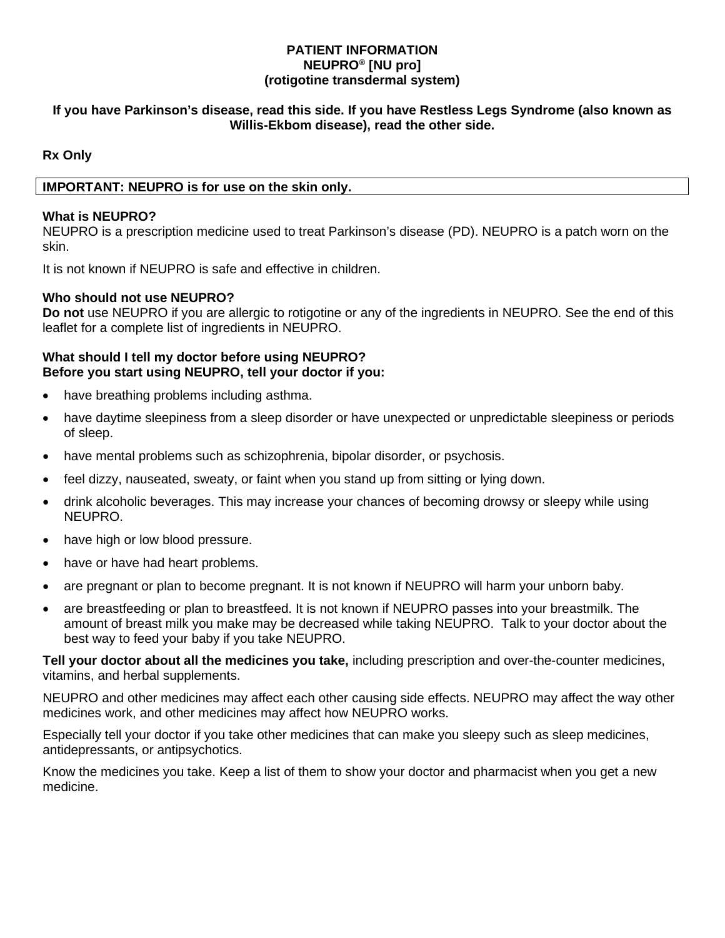#### **PATIENT INFORMATION NEUPRO® [NU pro] (rotigotine transdermal system)**

#### **If you have Parkinson's disease, read this side. If you have Restless Legs Syndrome (also known as Willis-Ekbom disease), read the other side.**

## **Rx Only**

#### **IMPORTANT: NEUPRO is for use on the skin only.**

#### **What is NEUPRO?**

NEUPRO is a prescription medicine used to treat Parkinson's disease (PD). NEUPRO is a patch worn on the skin.

It is not known if NEUPRO is safe and effective in children.

#### **Who should not use NEUPRO?**

**Do not** use NEUPRO if you are allergic to rotigotine or any of the ingredients in NEUPRO. See the end of this leaflet for a complete list of ingredients in NEUPRO.

#### **What should I tell my doctor before using NEUPRO? Before you start using NEUPRO, tell your doctor if you:**

- have breathing problems including asthma.
- have daytime sleepiness from a sleep disorder or have unexpected or unpredictable sleepiness or periods of sleep.
- have mental problems such as schizophrenia, bipolar disorder, or psychosis.
- feel dizzy, nauseated, sweaty, or faint when you stand up from sitting or lying down.
- drink alcoholic beverages. This may increase your chances of becoming drowsy or sleepy while using NEUPRO.
- have high or low blood pressure.
- have or have had heart problems.
- are pregnant or plan to become pregnant. It is not known if NEUPRO will harm your unborn baby.
- are breastfeeding or plan to breastfeed. It is not known if NEUPRO passes into your breastmilk. The amount of breast milk you make may be decreased while taking NEUPRO. Talk to your doctor about the best way to feed your baby if you take NEUPRO.

**Tell your doctor about all the medicines you take,** including prescription and over-the-counter medicines, vitamins, and herbal supplements.

NEUPRO and other medicines may affect each other causing side effects. NEUPRO may affect the way other medicines work, and other medicines may affect how NEUPRO works.

Especially tell your doctor if you take other medicines that can make you sleepy such as sleep medicines, antidepressants, or antipsychotics.

Know the medicines you take. Keep a list of them to show your doctor and pharmacist when you get a new medicine.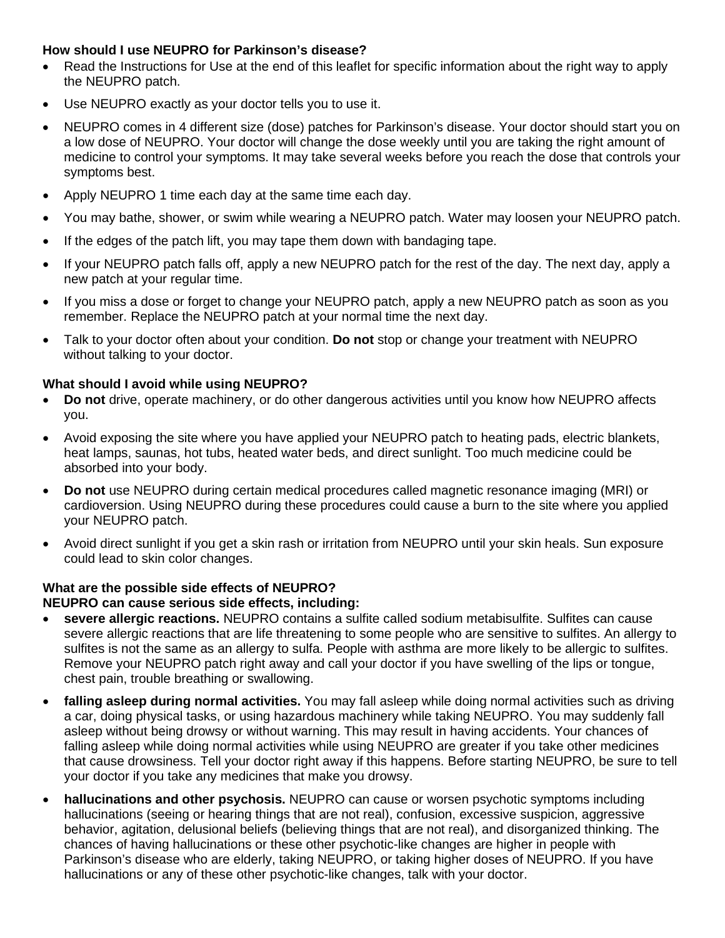#### **How should I use NEUPRO for Parkinson's disease?**

- Read the Instructions for Use at the end of this leaflet for specific information about the right way to apply the NEUPRO patch.
- Use NEUPRO exactly as your doctor tells you to use it.
- NEUPRO comes in 4 different size (dose) patches for Parkinson's disease. Your doctor should start you on a low dose of NEUPRO. Your doctor will change the dose weekly until you are taking the right amount of medicine to control your symptoms. It may take several weeks before you reach the dose that controls your symptoms best.
- Apply NEUPRO 1 time each day at the same time each day.
- You may bathe, shower, or swim while wearing a NEUPRO patch. Water may loosen your NEUPRO patch.
- If the edges of the patch lift, you may tape them down with bandaging tape.
- If your NEUPRO patch falls off, apply a new NEUPRO patch for the rest of the day. The next day, apply a new patch at your regular time.
- If you miss a dose or forget to change your NEUPRO patch, apply a new NEUPRO patch as soon as you remember. Replace the NEUPRO patch at your normal time the next day.
- Talk to your doctor often about your condition. **Do not** stop or change your treatment with NEUPRO without talking to your doctor.

#### **What should I avoid while using NEUPRO?**

- **Do not** drive, operate machinery, or do other dangerous activities until you know how NEUPRO affects you.
- Avoid exposing the site where you have applied your NEUPRO patch to heating pads, electric blankets, heat lamps, saunas, hot tubs, heated water beds, and direct sunlight. Too much medicine could be absorbed into your body.
- **Do not** use NEUPRO during certain medical procedures called magnetic resonance imaging (MRI) or cardioversion. Using NEUPRO during these procedures could cause a burn to the site where you applied your NEUPRO patch.
- Avoid direct sunlight if you get a skin rash or irritation from NEUPRO until your skin heals. Sun exposure could lead to skin color changes.

# **What are the possible side effects of NEUPRO?**

#### **NEUPRO can cause serious side effects, including:**

- **severe allergic reactions.** NEUPRO contains a sulfite called sodium metabisulfite. Sulfites can cause severe allergic reactions that are life threatening to some people who are sensitive to sulfites. An allergy to sulfites is not the same as an allergy to sulfa. People with asthma are more likely to be allergic to sulfites. Remove your NEUPRO patch right away and call your doctor if you have swelling of the lips or tongue, chest pain, trouble breathing or swallowing.
- **falling asleep during normal activities.** You may fall asleep while doing normal activities such as driving a car, doing physical tasks, or using hazardous machinery while taking NEUPRO. You may suddenly fall asleep without being drowsy or without warning. This may result in having accidents. Your chances of falling asleep while doing normal activities while using NEUPRO are greater if you take other medicines that cause drowsiness. Tell your doctor right away if this happens. Before starting NEUPRO, be sure to tell your doctor if you take any medicines that make you drowsy.
- **hallucinations and other psychosis.** NEUPRO can cause or worsen psychotic symptoms including hallucinations (seeing or hearing things that are not real), confusion, excessive suspicion, aggressive behavior, agitation, delusional beliefs (believing things that are not real), and disorganized thinking. The chances of having hallucinations or these other psychotic-like changes are higher in people with Parkinson's disease who are elderly, taking NEUPRO, or taking higher doses of NEUPRO. If you have hallucinations or any of these other psychotic-like changes, talk with your doctor.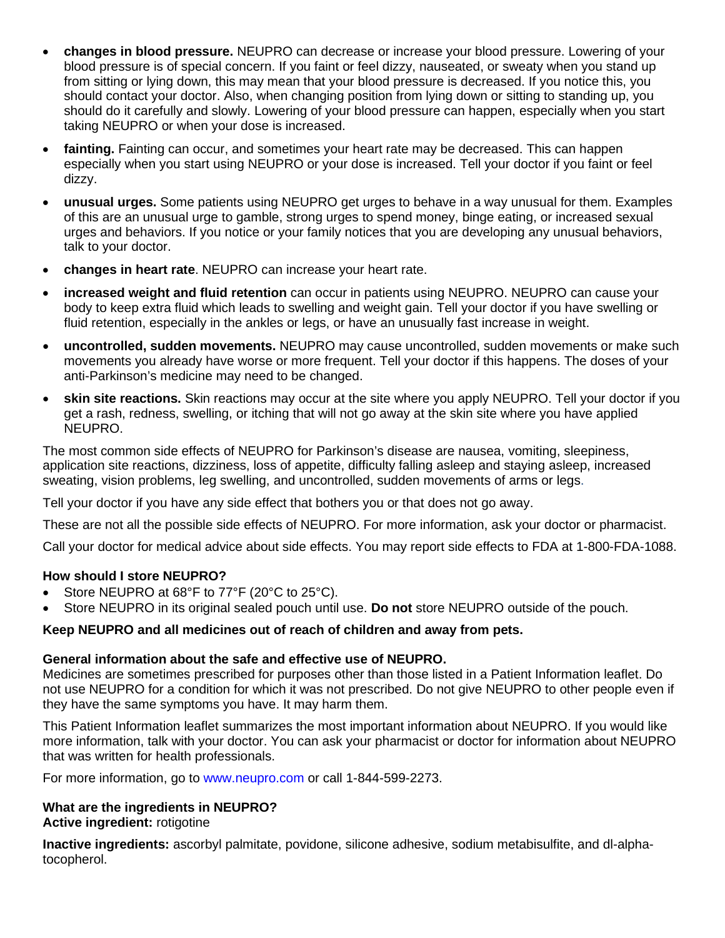- **changes in blood pressure.** NEUPRO can decrease or increase your blood pressure. Lowering of your blood pressure is of special concern. If you faint or feel dizzy, nauseated, or sweaty when you stand up from sitting or lying down, this may mean that your blood pressure is decreased. If you notice this, you should contact your doctor. Also, when changing position from lying down or sitting to standing up, you should do it carefully and slowly. Lowering of your blood pressure can happen, especially when you start taking NEUPRO or when your dose is increased.
- **fainting.** Fainting can occur, and sometimes your heart rate may be decreased. This can happen especially when you start using NEUPRO or your dose is increased. Tell your doctor if you faint or feel dizzy.
- **unusual urges.** Some patients using NEUPRO get urges to behave in a way unusual for them. Examples of this are an unusual urge to gamble, strong urges to spend money, binge eating, or increased sexual urges and behaviors. If you notice or your family notices that you are developing any unusual behaviors, talk to your doctor.
- **changes in heart rate**. NEUPRO can increase your heart rate.
- **increased weight and fluid retention** can occur in patients using NEUPRO. NEUPRO can cause your body to keep extra fluid which leads to swelling and weight gain. Tell your doctor if you have swelling or fluid retention, especially in the ankles or legs, or have an unusually fast increase in weight.
- **uncontrolled, sudden movements.** NEUPRO may cause uncontrolled, sudden movements or make such movements you already have worse or more frequent. Tell your doctor if this happens. The doses of your anti-Parkinson's medicine may need to be changed.
- **skin site reactions.** Skin reactions may occur at the site where you apply NEUPRO. Tell your doctor if you get a rash, redness, swelling, or itching that will not go away at the skin site where you have applied NEUPRO.

The most common side effects of NEUPRO for Parkinson's disease are nausea, vomiting, sleepiness, application site reactions, dizziness, loss of appetite, difficulty falling asleep and staying asleep, increased sweating, vision problems, leg swelling, and uncontrolled, sudden movements of arms or legs.

Tell your doctor if you have any side effect that bothers you or that does not go away.

These are not all the possible side effects of NEUPRO. For more information, ask your doctor or pharmacist.

Call your doctor for medical advice about side effects. You may report side effects to FDA at 1-800-FDA-1088.

## **How should I store NEUPRO?**

- Store NEUPRO at 68°F to 77°F (20°C to 25°C).
- Store NEUPRO in its original sealed pouch until use. **Do not** store NEUPRO outside of the pouch.

## **Keep NEUPRO and all medicines out of reach of children and away from pets.**

#### **General information about the safe and effective use of NEUPRO.**

Medicines are sometimes prescribed for purposes other than those listed in a Patient Information leaflet. Do not use NEUPRO for a condition for which it was not prescribed. Do not give NEUPRO to other people even if they have the same symptoms you have. It may harm them.

This Patient Information leaflet summarizes the most important information about NEUPRO. If you would like more information, talk with your doctor. You can ask your pharmacist or doctor for information about NEUPRO that was written for health professionals.

For more information, go to [www.neupro.com](http://www.neupro.com/) or call 1-844-599-2273.

#### **What are the ingredients in NEUPRO? Active ingredient:** rotigotine

**Inactive ingredients:** ascorbyl palmitate, povidone, silicone adhesive, sodium metabisulfite, and dl-alphatocopherol.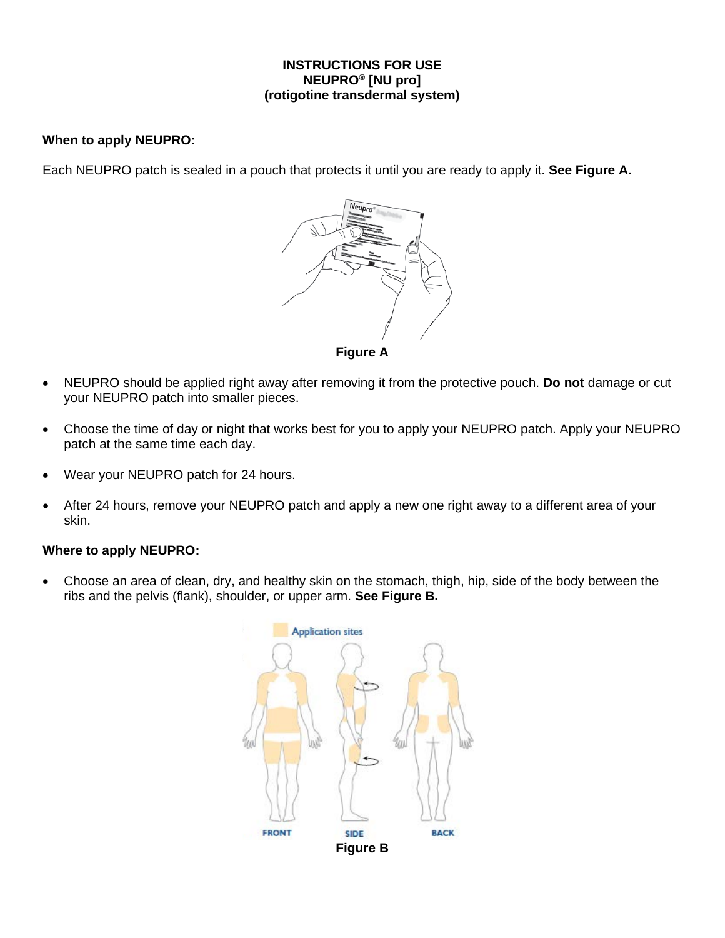#### **INSTRUCTIONS FOR USE NEUPRO® [NU pro] (rotigotine transdermal system)**

#### **When to apply NEUPRO:**

Each NEUPRO patch is sealed in a pouch that protects it until you are ready to apply it. **See Figure A.**



- NEUPRO should be applied right away after removing it from the protective pouch. **Do not** damage or cut your NEUPRO patch into smaller pieces.
- Choose the time of day or night that works best for you to apply your NEUPRO patch. Apply your NEUPRO patch at the same time each day.
- Wear your NEUPRO patch for 24 hours.
- After 24 hours, remove your NEUPRO patch and apply a new one right away to a different area of your skin.

#### **Where to apply NEUPRO:**

• Choose an area of clean, dry, and healthy skin on the stomach, thigh, hip, side of the body between the ribs and the pelvis (flank), shoulder, or upper arm. **See Figure B.**

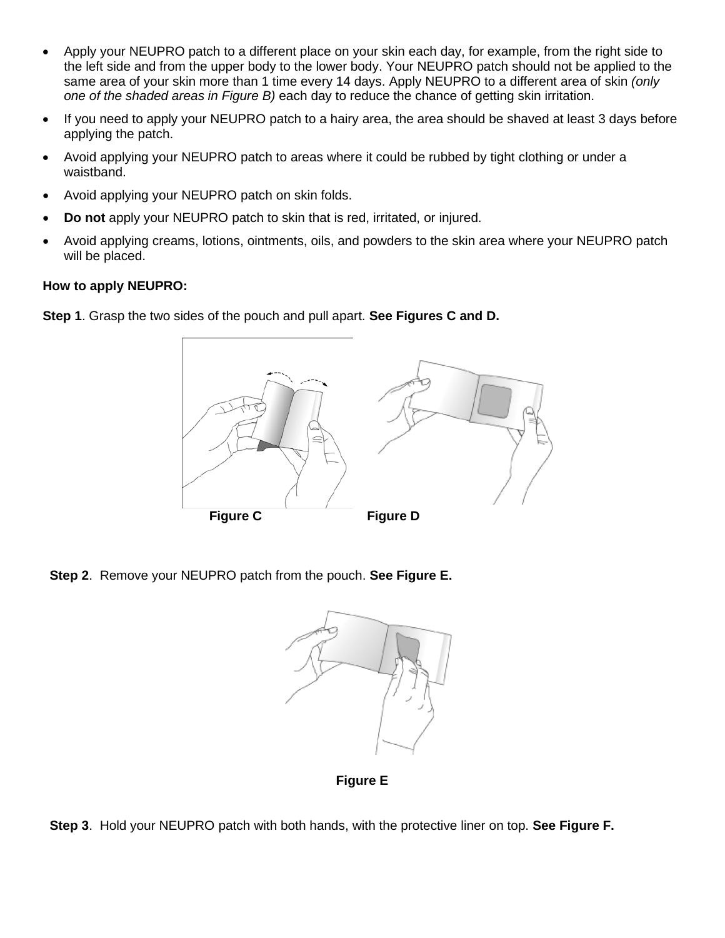- Apply your NEUPRO patch to a different place on your skin each day, for example, from the right side to the left side and from the upper body to the lower body. Your NEUPRO patch should not be applied to the same area of your skin more than 1 time every 14 days. Apply NEUPRO to a different area of skin *(only one of the shaded areas in Figure B)* each day to reduce the chance of getting skin irritation.
- If you need to apply your NEUPRO patch to a hairy area, the area should be shaved at least 3 days before applying the patch.
- Avoid applying your NEUPRO patch to areas where it could be rubbed by tight clothing or under a waistband.
- Avoid applying your NEUPRO patch on skin folds.
- **Do not** apply your NEUPRO patch to skin that is red, irritated, or injured.
- Avoid applying creams, lotions, ointments, oils, and powders to the skin area where your NEUPRO patch will be placed.

#### **How to apply NEUPRO:**

**Step 1**. Grasp the two sides of the pouch and pull apart. **See Figures C and D.**



**Step 2**. Remove your NEUPRO patch from the pouch. **See Figure E.**



**Figure E**

**Step 3**. Hold your NEUPRO patch with both hands, with the protective liner on top. **See Figure F.**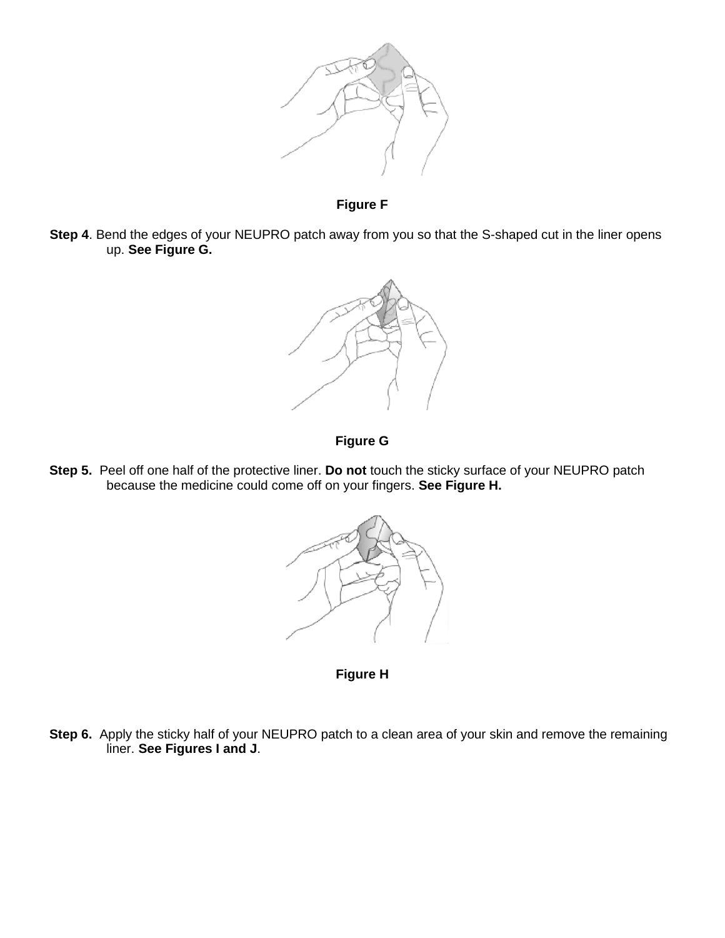

**Figure F**

**Step 4**. Bend the edges of your NEUPRO patch away from you so that the S-shaped cut in the liner opens up. **See Figure G.**



## **Figure G**

**Step 5.** Peel off one half of the protective liner. **Do not** touch the sticky surface of your NEUPRO patch because the medicine could come off on your fingers. **See Figure H.**



**Figure H**

**Step 6.** Apply the sticky half of your NEUPRO patch to a clean area of your skin and remove the remaining liner. **See Figures I and J**.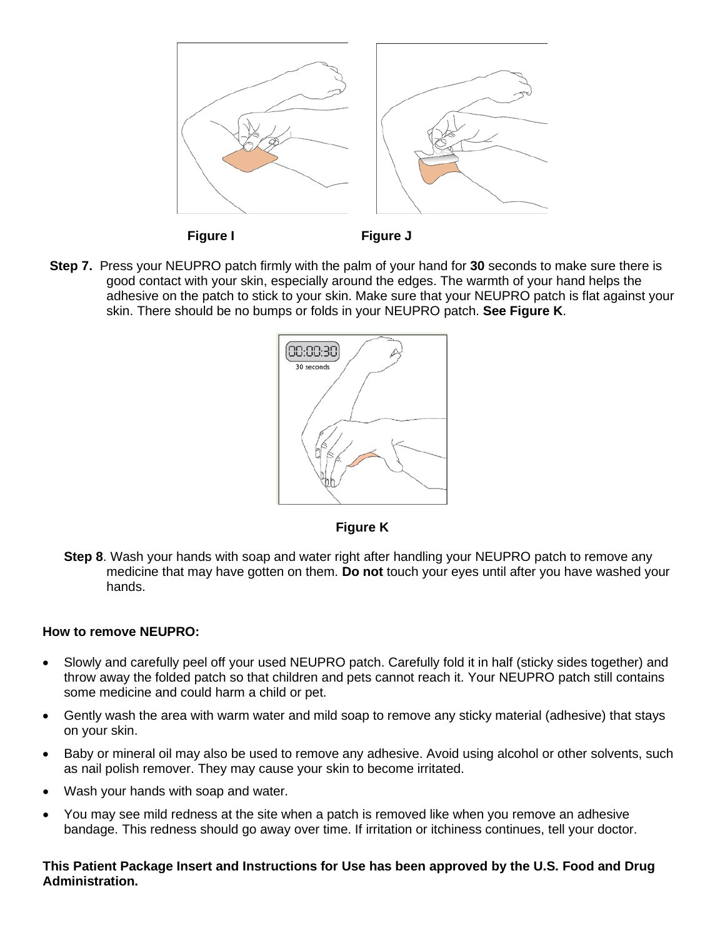

 **Figure I Figure J**

**Step 7.** Press your NEUPRO patch firmly with the palm of your hand for **30** seconds to make sure there is good contact with your skin, especially around the edges. The warmth of your hand helps the adhesive on the patch to stick to your skin. Make sure that your NEUPRO patch is flat against your skin. There should be no bumps or folds in your NEUPRO patch. **See Figure K**.





**Step 8**. Wash your hands with soap and water right after handling your NEUPRO patch to remove any medicine that may have gotten on them. **Do not** touch your eyes until after you have washed your hands.

#### **How to remove NEUPRO:**

- Slowly and carefully peel off your used NEUPRO patch. Carefully fold it in half (sticky sides together) and throw away the folded patch so that children and pets cannot reach it. Your NEUPRO patch still contains some medicine and could harm a child or pet.
- Gently wash the area with warm water and mild soap to remove any sticky material (adhesive) that stays on your skin.
- Baby or mineral oil may also be used to remove any adhesive. Avoid using alcohol or other solvents, such as nail polish remover. They may cause your skin to become irritated.
- Wash your hands with soap and water.
- You may see mild redness at the site when a patch is removed like when you remove an adhesive bandage. This redness should go away over time. If irritation or itchiness continues, tell your doctor.

#### **This Patient Package Insert and Instructions for Use has been approved by the U.S. Food and Drug Administration.**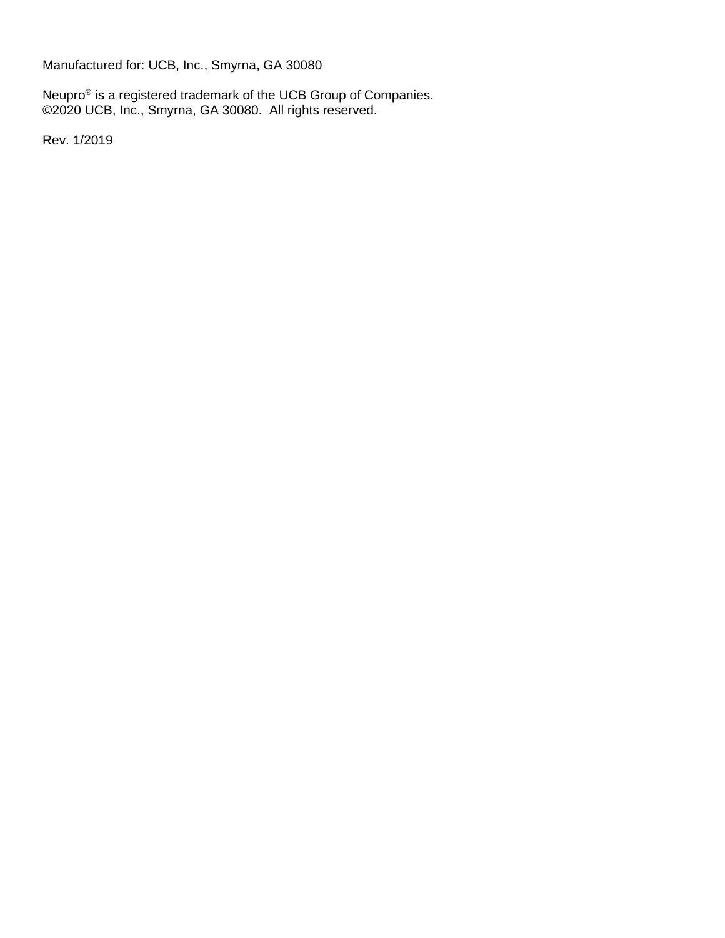Manufactured for: UCB, Inc., Smyrna, GA 30080

Neupro<sup>®</sup> is a registered trademark of the UCB Group of Companies. ©2020 UCB, Inc., Smyrna, GA 30080. All rights reserved.

Rev. 1/2019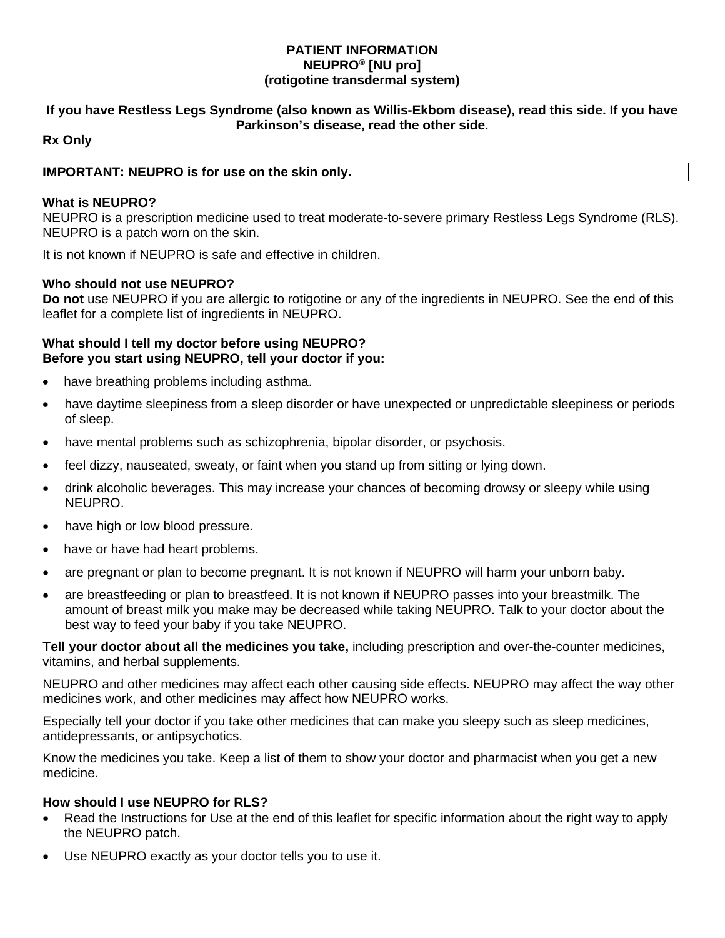#### **PATIENT INFORMATION NEUPRO® [NU pro] (rotigotine transdermal system)**

#### **If you have Restless Legs Syndrome (also known as Willis-Ekbom disease), read this side. If you have Parkinson's disease, read the other side.**

#### **Rx Only**

#### **IMPORTANT: NEUPRO is for use on the skin only.**

#### **What is NEUPRO?**

NEUPRO is a prescription medicine used to treat moderate-to-severe primary Restless Legs Syndrome (RLS). NEUPRO is a patch worn on the skin.

It is not known if NEUPRO is safe and effective in children.

#### **Who should not use NEUPRO?**

**Do not** use NEUPRO if you are allergic to rotigotine or any of the ingredients in NEUPRO. See the end of this leaflet for a complete list of ingredients in NEUPRO.

#### **What should I tell my doctor before using NEUPRO? Before you start using NEUPRO, tell your doctor if you:**

- have breathing problems including asthma.
- have daytime sleepiness from a sleep disorder or have unexpected or unpredictable sleepiness or periods of sleep.
- have mental problems such as schizophrenia, bipolar disorder, or psychosis.
- feel dizzy, nauseated, sweaty, or faint when you stand up from sitting or lying down.
- drink alcoholic beverages. This may increase your chances of becoming drowsy or sleepy while using NEUPRO.
- have high or low blood pressure.
- have or have had heart problems.
- are pregnant or plan to become pregnant. It is not known if NEUPRO will harm your unborn baby.
- are breastfeeding or plan to breastfeed. It is not known if NEUPRO passes into your breastmilk. The amount of breast milk you make may be decreased while taking NEUPRO. Talk to your doctor about the best way to feed your baby if you take NEUPRO.

**Tell your doctor about all the medicines you take,** including prescription and over-the-counter medicines, vitamins, and herbal supplements.

NEUPRO and other medicines may affect each other causing side effects. NEUPRO may affect the way other medicines work, and other medicines may affect how NEUPRO works.

Especially tell your doctor if you take other medicines that can make you sleepy such as sleep medicines, antidepressants, or antipsychotics.

Know the medicines you take. Keep a list of them to show your doctor and pharmacist when you get a new medicine.

#### **How should I use NEUPRO for RLS?**

- Read the Instructions for Use at the end of this leaflet for specific information about the right way to apply the NEUPRO patch.
- Use NEUPRO exactly as your doctor tells you to use it.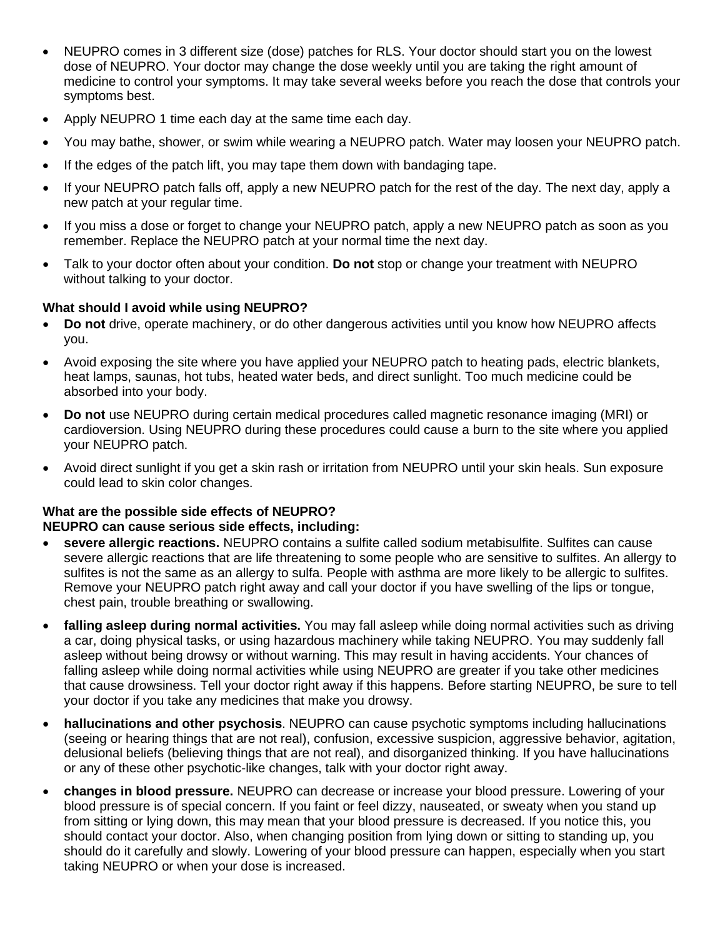- NEUPRO comes in 3 different size (dose) patches for RLS. Your doctor should start you on the lowest dose of NEUPRO. Your doctor may change the dose weekly until you are taking the right amount of medicine to control your symptoms. It may take several weeks before you reach the dose that controls your symptoms best.
- Apply NEUPRO 1 time each day at the same time each day.
- You may bathe, shower, or swim while wearing a NEUPRO patch. Water may loosen your NEUPRO patch.
- If the edges of the patch lift, you may tape them down with bandaging tape.
- If your NEUPRO patch falls off, apply a new NEUPRO patch for the rest of the day. The next day, apply a new patch at your regular time.
- If you miss a dose or forget to change your NEUPRO patch, apply a new NEUPRO patch as soon as you remember. Replace the NEUPRO patch at your normal time the next day.
- Talk to your doctor often about your condition. **Do not** stop or change your treatment with NEUPRO without talking to your doctor.

#### **What should I avoid while using NEUPRO?**

- **Do not** drive, operate machinery, or do other dangerous activities until you know how NEUPRO affects you.
- Avoid exposing the site where you have applied your NEUPRO patch to heating pads, electric blankets, heat lamps, saunas, hot tubs, heated water beds, and direct sunlight. Too much medicine could be absorbed into your body.
- **Do not** use NEUPRO during certain medical procedures called magnetic resonance imaging (MRI) or cardioversion. Using NEUPRO during these procedures could cause a burn to the site where you applied your NEUPRO patch.
- Avoid direct sunlight if you get a skin rash or irritation from NEUPRO until your skin heals. Sun exposure could lead to skin color changes.

# **What are the possible side effects of NEUPRO?**

## **NEUPRO can cause serious side effects, including:**

- **severe allergic reactions.** NEUPRO contains a sulfite called sodium metabisulfite. Sulfites can cause severe allergic reactions that are life threatening to some people who are sensitive to sulfites. An allergy to sulfites is not the same as an allergy to sulfa. People with asthma are more likely to be allergic to sulfites. Remove your NEUPRO patch right away and call your doctor if you have swelling of the lips or tongue, chest pain, trouble breathing or swallowing.
- **falling asleep during normal activities.** You may fall asleep while doing normal activities such as driving a car, doing physical tasks, or using hazardous machinery while taking NEUPRO. You may suddenly fall asleep without being drowsy or without warning. This may result in having accidents. Your chances of falling asleep while doing normal activities while using NEUPRO are greater if you take other medicines that cause drowsiness. Tell your doctor right away if this happens. Before starting NEUPRO, be sure to tell your doctor if you take any medicines that make you drowsy.
- **hallucinations and other psychosis**. NEUPRO can cause psychotic symptoms including hallucinations (seeing or hearing things that are not real), confusion, excessive suspicion, aggressive behavior, agitation, delusional beliefs (believing things that are not real), and disorganized thinking. If you have hallucinations or any of these other psychotic-like changes, talk with your doctor right away.
- **changes in blood pressure.** NEUPRO can decrease or increase your blood pressure. Lowering of your blood pressure is of special concern. If you faint or feel dizzy, nauseated, or sweaty when you stand up from sitting or lying down, this may mean that your blood pressure is decreased. If you notice this, you should contact your doctor. Also, when changing position from lying down or sitting to standing up, you should do it carefully and slowly. Lowering of your blood pressure can happen, especially when you start taking NEUPRO or when your dose is increased.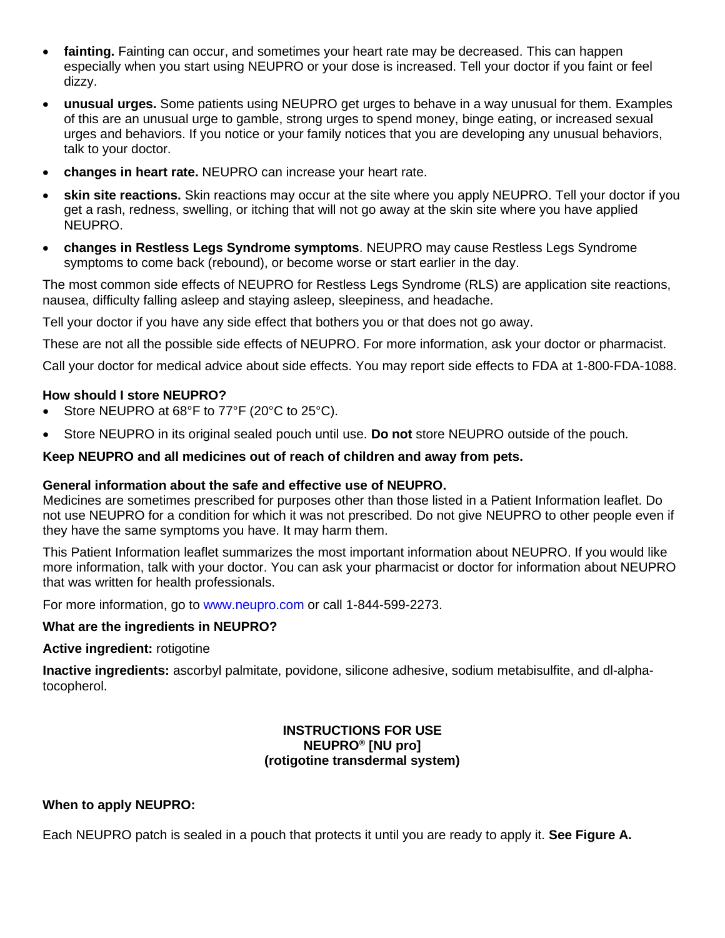- **fainting.** Fainting can occur, and sometimes your heart rate may be decreased. This can happen especially when you start using NEUPRO or your dose is increased. Tell your doctor if you faint or feel dizzy.
- **unusual urges.** Some patients using NEUPRO get urges to behave in a way unusual for them. Examples of this are an unusual urge to gamble, strong urges to spend money, binge eating, or increased sexual urges and behaviors. If you notice or your family notices that you are developing any unusual behaviors, talk to your doctor.
- **changes in heart rate.** NEUPRO can increase your heart rate.
- **skin site reactions.** Skin reactions may occur at the site where you apply NEUPRO. Tell your doctor if you get a rash, redness, swelling, or itching that will not go away at the skin site where you have applied NEUPRO.
- **changes in Restless Legs Syndrome symptoms**. NEUPRO may cause Restless Legs Syndrome symptoms to come back (rebound), or become worse or start earlier in the day.

The most common side effects of NEUPRO for Restless Legs Syndrome (RLS) are application site reactions, nausea, difficulty falling asleep and staying asleep, sleepiness, and headache.

Tell your doctor if you have any side effect that bothers you or that does not go away.

These are not all the possible side effects of NEUPRO. For more information, ask your doctor or pharmacist.

Call your doctor for medical advice about side effects. You may report side effects to FDA at 1-800-FDA-1088.

#### **How should I store NEUPRO?**

- Store NEUPRO at 68°F to 77°F (20°C to 25°C).
- Store NEUPRO in its original sealed pouch until use. **Do not** store NEUPRO outside of the pouch.

#### **Keep NEUPRO and all medicines out of reach of children and away from pets.**

#### **General information about the safe and effective use of NEUPRO.**

Medicines are sometimes prescribed for purposes other than those listed in a Patient Information leaflet. Do not use NEUPRO for a condition for which it was not prescribed. Do not give NEUPRO to other people even if they have the same symptoms you have. It may harm them.

This Patient Information leaflet summarizes the most important information about NEUPRO. If you would like more information, talk with your doctor. You can ask your pharmacist or doctor for information about NEUPRO that was written for health professionals.

For more information, go to [www.neupro.com](http://www.neupro.com/) or call 1-844-599-2273.

#### **What are the ingredients in NEUPRO?**

#### **Active ingredient:** rotigotine

**Inactive ingredients:** ascorbyl palmitate, povidone, silicone adhesive, sodium metabisulfite, and dl-alphatocopherol.

#### **INSTRUCTIONS FOR USE NEUPRO® [NU pro] (rotigotine transdermal system)**

#### **When to apply NEUPRO:**

Each NEUPRO patch is sealed in a pouch that protects it until you are ready to apply it. **See Figure A.**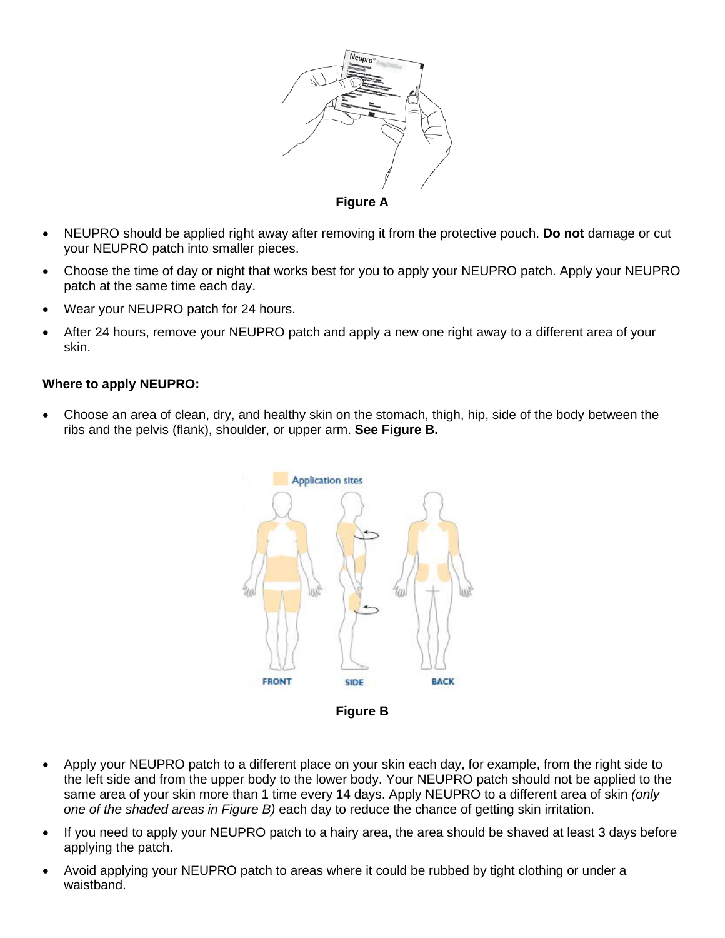

- NEUPRO should be applied right away after removing it from the protective pouch. **Do not** damage or cut your NEUPRO patch into smaller pieces.
- Choose the time of day or night that works best for you to apply your NEUPRO patch. Apply your NEUPRO patch at the same time each day.
- Wear your NEUPRO patch for 24 hours.
- After 24 hours, remove your NEUPRO patch and apply a new one right away to a different area of your skin.

#### **Where to apply NEUPRO:**

• Choose an area of clean, dry, and healthy skin on the stomach, thigh, hip, side of the body between the ribs and the pelvis (flank), shoulder, or upper arm. **See Figure B.**



- Apply your NEUPRO patch to a different place on your skin each day, for example, from the right side to the left side and from the upper body to the lower body. Your NEUPRO patch should not be applied to the same area of your skin more than 1 time every 14 days. Apply NEUPRO to a different area of skin *(only one of the shaded areas in Figure B)* each day to reduce the chance of getting skin irritation.
- If you need to apply your NEUPRO patch to a hairy area, the area should be shaved at least 3 days before applying the patch.
- Avoid applying your NEUPRO patch to areas where it could be rubbed by tight clothing or under a waistband.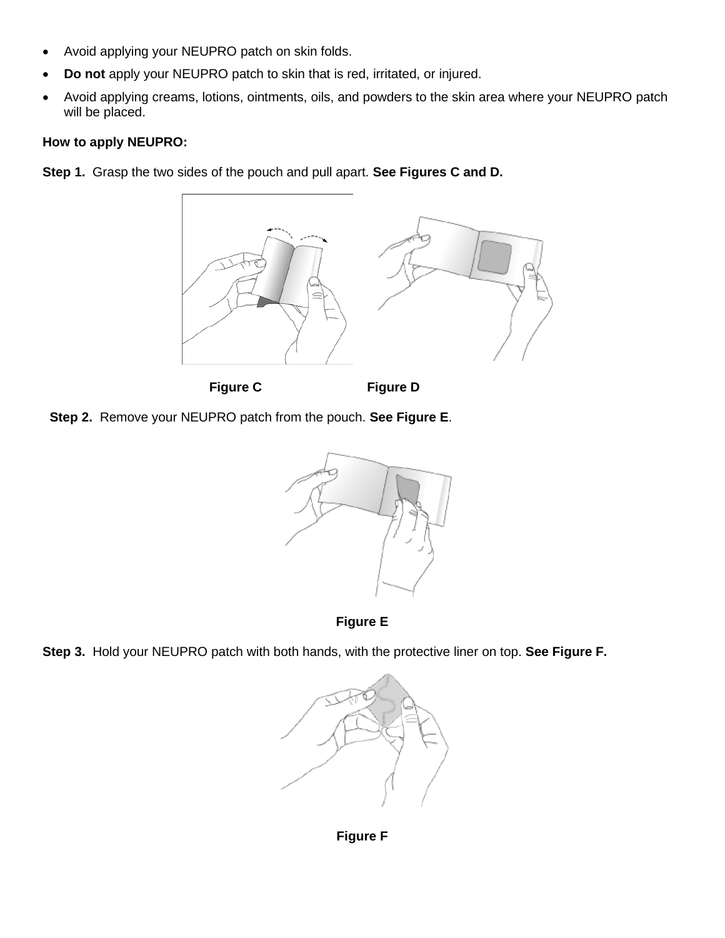- Avoid applying your NEUPRO patch on skin folds.
- **Do not** apply your NEUPRO patch to skin that is red, irritated, or injured.
- Avoid applying creams, lotions, ointments, oils, and powders to the skin area where your NEUPRO patch will be placed.

#### **How to apply NEUPRO:**

**Step 1.** Grasp the two sides of the pouch and pull apart. **See Figures C and D.**



Figure C Figure D







**Step 3.** Hold your NEUPRO patch with both hands, with the protective liner on top. **See Figure F.**



**Figure F**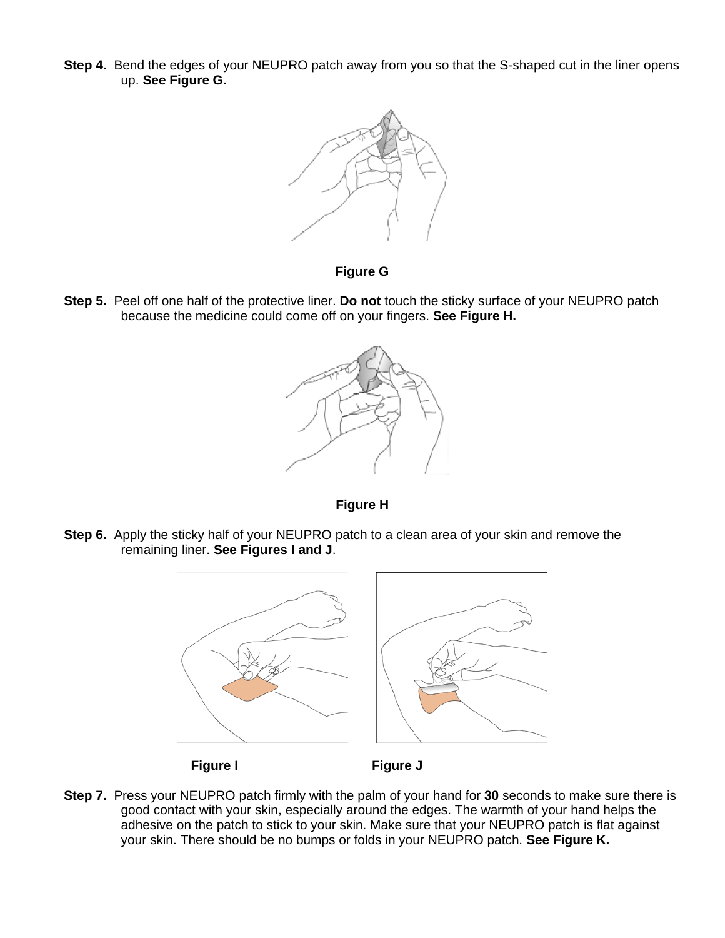**Step 4.** Bend the edges of your NEUPRO patch away from you so that the S-shaped cut in the liner opens up. **See Figure G.**



#### **Figure G**

**Step 5.** Peel off one half of the protective liner. **Do not** touch the sticky surface of your NEUPRO patch because the medicine could come off on your fingers. **See Figure H.**





**Step 6.** Apply the sticky half of your NEUPRO patch to a clean area of your skin and remove the remaining liner. **See Figures I and J**.



#### **Figure I Figure J**

**Step 7.** Press your NEUPRO patch firmly with the palm of your hand for **30** seconds to make sure there is good contact with your skin, especially around the edges. The warmth of your hand helps the adhesive on the patch to stick to your skin. Make sure that your NEUPRO patch is flat against your skin. There should be no bumps or folds in your NEUPRO patch. **See Figure K.**